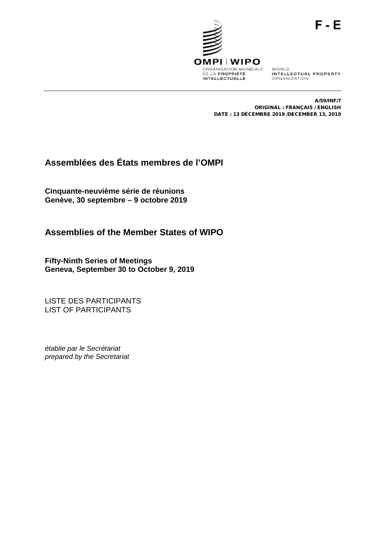

ORGANIZATION

A/59/INF/7 ORIGINAL : FRANÇAIS / ENGLISH DATE : 13 DÉCEMBRE 2019 /DECEMBER 13, 2019

# **Assemblées des États membres de l'OMPI**

**Cinquante-neuvième série de réunions Genève, 30 septembre – 9 octobre 2019**

**Assemblies of the Member States of WIPO**

**Fifty-Ninth Series of Meetings Geneva, September 30 to October 9, 2019**

LISTE DES PARTICIPANTS LIST OF PARTICIPANTS

*établie par le Secrétariat prepared by the Secretariat*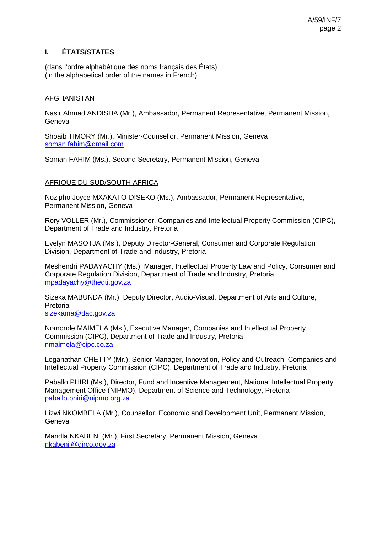# **I. ÉTATS/STATES**

(dans l'ordre alphabétique des noms français des États) (in the alphabetical order of the names in French)

### AFGHANISTAN

Nasir Ahmad ANDISHA (Mr.), Ambassador, Permanent Representative, Permanent Mission, **Geneva** 

Shoaib TIMORY (Mr.), Minister-Counsellor, Permanent Mission, Geneva [soman.fahim@gmail.com](mailto:soman.fahim@gmail.com)

Soman FAHIM (Ms.), Second Secretary, Permanent Mission, Geneva

### AFRIQUE DU SUD/SOUTH AFRICA

Nozipho Joyce MXAKATO-DISEKO (Ms.), Ambassador, Permanent Representative, Permanent Mission, Geneva

Rory VOLLER (Mr.), Commissioner, Companies and Intellectual Property Commission (CIPC), Department of Trade and Industry, Pretoria

Evelyn MASOTJA (Ms.), Deputy Director-General, Consumer and Corporate Regulation Division, Department of Trade and Industry, Pretoria

Meshendri PADAYACHY (Ms.), Manager, Intellectual Property Law and Policy, Consumer and Corporate Regulation Division, Department of Trade and Industry, Pretoria [mpadayachy@thedti.gov.za](mailto:mpadayachy@thedti.gov.za)

Sizeka MABUNDA (Mr.), Deputy Director, Audio-Visual, Department of Arts and Culture, Pretoria

[sizekama@dac.gov.za](mailto:sizekama@dac.gov.za)

Nomonde MAIMELA (Ms.), Executive Manager, Companies and Intellectual Property Commission (CIPC), Department of Trade and Industry, Pretoria [nmaimela@cipc.co.za](mailto:nmaimela@cipc.co.za)

Loganathan CHETTY (Mr.), Senior Manager, Innovation, Policy and Outreach, Companies and Intellectual Property Commission (CIPC), Department of Trade and Industry, Pretoria

Paballo PHIRI (Ms.), Director, Fund and Incentive Management, National Intellectual Property Management Office (NIPMO), Department of Science and Technology, Pretoria [paballo.phiri@nipmo.org.za](mailto:paballo.phiri@nipmo.org.za)

Lizwi NKOMBELA (Mr.), Counsellor, Economic and Development Unit, Permanent Mission, Geneva

Mandla NKABENI (Mr.), First Secretary, Permanent Mission, Geneva [nkabenij@dirco.gov.za](mailto:nkabenij@dirco.gov.za)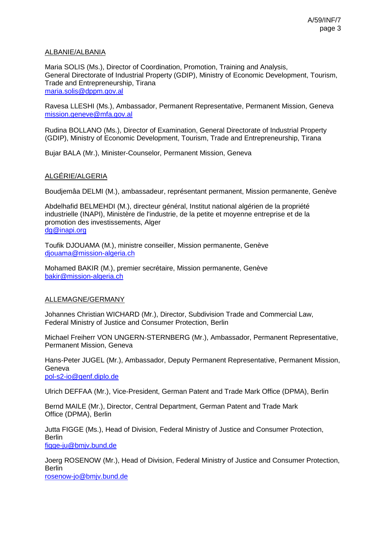### ALBANIE/ALBANIA

Maria SOLIS (Ms.), Director of Coordination, Promotion, Training and Analysis, General Directorate of Industrial Property (GDIP), Ministry of Economic Development, Tourism, Trade and Entrepreneurship, Tirana [maria.solis@dppm.gov.al](mailto:maria.solis@dppm.gov.al)

Ravesa LLESHI (Ms.), Ambassador, Permanent Representative, Permanent Mission, Geneva [mission.geneve@mfa.gov.al](mailto:mission.geneve@mfa.gov.al)

Rudina BOLLANO (Ms.), Director of Examination, General Directorate of Industrial Property (GDIP), Ministry of Economic Development, Tourism, Trade and Entrepreneurship, Tirana

Bujar BALA (Mr.), Minister-Counselor, Permanent Mission, Geneva

### ALGÉRIE/ALGERIA

Boudjemâa DELMI (M.), ambassadeur, représentant permanent, Mission permanente, Genève

Abdelhafid BELMEHDI (M.), directeur général, Institut national algérien de la propriété industrielle (INAPI), Ministère de l'industrie, de la petite et moyenne entreprise et de la promotion des investissements, Alger [dg@inapi.org](mailto:dg@inapi.org) 

Toufik DJOUAMA (M.), ministre conseiller, Mission permanente, Genève [djouama@mission-algeria.ch](mailto:djouama@mission-algeria.ch)

Mohamed BAKIR (M.), premier secrétaire, Mission permanente, Genève [bakir@mission-algeria.ch](mailto:bakir@mission-algeria.ch)

### ALLEMAGNE/GERMANY

Johannes Christian WICHARD (Mr.), Director, Subdivision Trade and Commercial Law, Federal Ministry of Justice and Consumer Protection, Berlin

Michael Freiherr VON UNGERN-STERNBERG (Mr.), Ambassador, Permanent Representative, Permanent Mission, Geneva

Hans-Peter JUGEL (Mr.), Ambassador, Deputy Permanent Representative, Permanent Mission, Geneva [pol-s2-io@genf.diplo.de](mailto:pol-s2-io@genf.diplo.de)

Ulrich DEFFAA (Mr.), Vice-President, German Patent and Trade Mark Office (DPMA), Berlin

Bernd MAILE (Mr.), Director, Central Department, German Patent and Trade Mark Office (DPMA), Berlin

Jutta FIGGE (Ms.), Head of Division, Federal Ministry of Justice and Consumer Protection, Berlin [figge-ju@bmjv.bund.de](mailto:figge-ju@bmjv.bund.de)

Joerg ROSENOW (Mr.), Head of Division, Federal Ministry of Justice and Consumer Protection, Berlin [rosenow-jo@bmjv.bund.de](mailto:rosenow-jo@bmjv.bund.de)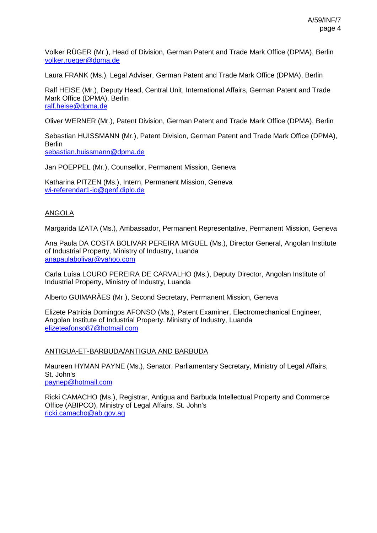Volker RÜGER (Mr.), Head of Division, German Patent and Trade Mark Office (DPMA), Berlin [volker.rueger@dpma.de](mailto:volker.rueger@dpma.de)

Laura FRANK (Ms.), Legal Adviser, German Patent and Trade Mark Office (DPMA), Berlin

Ralf HEISE (Mr.), Deputy Head, Central Unit, International Affairs, German Patent and Trade Mark Office (DPMA), Berlin [ralf.heise@dpma.de](mailto:ralf.heise@dpma.de)

Oliver WERNER (Mr.), Patent Division, German Patent and Trade Mark Office (DPMA), Berlin

Sebastian HUISSMANN (Mr.), Patent Division, German Patent and Trade Mark Office (DPMA), Berlin [sebastian.huissmann@dpma.de](mailto:sebastian.huissmann@dpma.de) 

Jan POEPPEL (Mr.), Counsellor, Permanent Mission, Geneva

Katharina PITZEN (Ms.), Intern, Permanent Mission, Geneva [wi-referendar1-io@genf.diplo.de](mailto:wi-referendar1-io@genf.diplo.de) 

### ANGOLA

Margarida IZATA (Ms.), Ambassador, Permanent Representative, Permanent Mission, Geneva

Ana Paula DA COSTA BOLIVAR PEREIRA MIGUEL (Ms.), Director General, Angolan Institute of Industrial Property, Ministry of Industry, Luanda [anapaulabolivar@yahoo.com](mailto:anapaulabolivar@yahoo.com)

Carla Luísa LOURO PEREIRA DE CARVALHO (Ms.), Deputy Director, Angolan Institute of Industrial Property, Ministry of Industry, Luanda

Alberto GUIMARÃES (Mr.), Second Secretary, Permanent Mission, Geneva

Elizete Patrícia Domingos AFONSO (Ms.), Patent Examiner, Electromechanical Engineer, Angolan Institute of Industrial Property, Ministry of Industry, Luanda [elizeteafonso87@hotmail.com](mailto:elizeteafonso87@hotmail.com)

#### ANTIGUA-ET-BARBUDA/ANTIGUA AND BARBUDA

Maureen HYMAN PAYNE (Ms.), Senator, Parliamentary Secretary, Ministry of Legal Affairs, St. John's [paynep@hotmail.com](mailto:paynep@hotmail.com)

Ricki CAMACHO (Ms.), Registrar, Antigua and Barbuda Intellectual Property and Commerce Office (ABIPCO), Ministry of Legal Affairs, St. John's [ricki.camacho@ab.gov.ag](mailto:ricki.camacho@ab.gov.ag)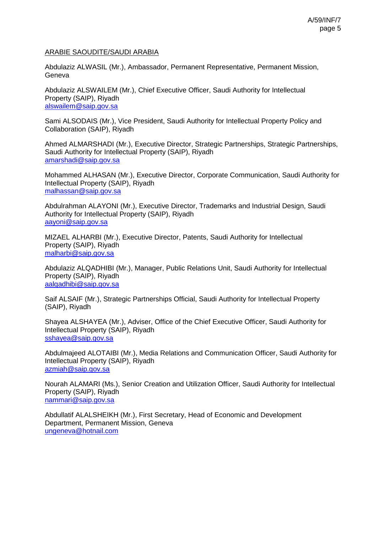### ARABIE SAOUDITE/SAUDI ARABIA

Abdulaziz ALWASIL (Mr.), Ambassador, Permanent Representative, Permanent Mission, **Geneva** 

Abdulaziz ALSWAILEM (Mr.), Chief Executive Officer, Saudi Authority for Intellectual Property (SAIP), Riyadh [alswailem@saip.gov.sa](mailto:alswailem@saip.gov.sa)

Sami ALSODAIS (Mr.), Vice President, Saudi Authority for Intellectual Property Policy and Collaboration (SAIP), Riyadh

Ahmed ALMARSHADI (Mr.), Executive Director, Strategic Partnerships, Strategic Partnerships, Saudi Authority for Intellectual Property (SAIP), Riyadh [amarshadi@saip.gov.sa](mailto:amarshadi@saip.gov.sa)

Mohammed ALHASAN (Mr.), Executive Director, Corporate Communication, Saudi Authority for Intellectual Property (SAIP), Riyadh [malhassan@saip.gov.sa](mailto:malhassan@saip.gov.sa)

Abdulrahman ALAYONI (Mr.), Executive Director, Trademarks and Industrial Design, Saudi Authority for Intellectual Property (SAIP), Riyadh [aayoni@saip.gov.sa](mailto:aayoni@saip.gov.sa)

MIZAEL ALHARBI (Mr.), Executive Director, Patents, Saudi Authority for Intellectual Property (SAIP), Riyadh [malharbi@saip.gov.sa](mailto:malharbi@saip.gov.sa)

Abdulaziz ALQADHIBI (Mr.), Manager, Public Relations Unit, Saudi Authority for Intellectual Property (SAIP), Riyadh [aalqadhibi@saip.gov.sa](mailto:aalqadhibi@saip.gov.sa)

Saif ALSAIF (Mr.), Strategic Partnerships Official, Saudi Authority for Intellectual Property (SAIP), Riyadh

Shayea ALSHAYEA (Mr.), Adviser, Office of the Chief Executive Officer, Saudi Authority for Intellectual Property (SAIP), Riyadh [sshayea@saip.gov.sa](mailto:sshayea@saip.gov.sa)

Abdulmajeed ALOTAIBI (Mr.), Media Relations and Communication Officer, Saudi Authority for Intellectual Property (SAIP), Riyadh [azmiah@saip.gov.sa](mailto:azmiah@saip.gov.sa)

Nourah ALAMARI (Ms.), Senior Creation and Utilization Officer, Saudi Authority for Intellectual Property (SAIP), Riyadh [nammari@saip.gov.sa](mailto:nammari@saip.gov.sa)

Abdullatif ALALSHEIKH (Mr.), First Secretary, Head of Economic and Development Department, Permanent Mission, Geneva [ungeneva@hotnail.com](mailto:ungeneva@hotnail.com)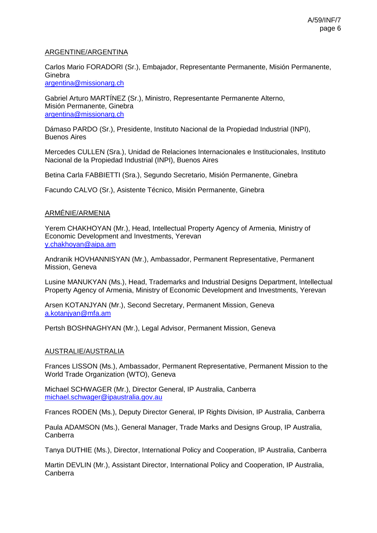### ARGENTINE/ARGENTINA

Carlos Mario FORADORI (Sr.), Embajador, Representante Permanente, Misión Permanente, **Ginebra** [argentina@missionarg.ch](mailto:argentina@missionarg.ch)

Gabriel Arturo MARTÍNEZ (Sr.), Ministro, Representante Permanente Alterno, Misión Permanente, Ginebra [argentina@missionarg.ch](mailto:argentina@missionarg.ch)

Dámaso PARDO (Sr.), Presidente, Instituto Nacional de la Propiedad Industrial (INPI), Buenos Aires

Mercedes CULLEN (Sra.), Unidad de Relaciones Internacionales e Institucionales, Instituto Nacional de la Propiedad Industrial (INPI), Buenos Aires

Betina Carla FABBIETTI (Sra.), Segundo Secretario, Misión Permanente, Ginebra

Facundo CALVO (Sr.), Asistente Técnico, Misión Permanente, Ginebra

### ARMÉNIE/ARMENIA

Yerem CHAKHOYAN (Mr.), Head, Intellectual Property Agency of Armenia, Ministry of Economic Development and Investments, Yerevan [y.chakhoyan@aipa.am](mailto:y.chakhoyan@aipa.am)

Andranik HOVHANNISYAN (Mr.), Ambassador, Permanent Representative, Permanent Mission, Geneva

Lusine MANUKYAN (Ms.), Head, Trademarks and Industrial Designs Department, Intellectual Property Agency of Armenia, Ministry of Economic Development and Investments, Yerevan

Arsen KOTANJYAN (Mr.), Second Secretary, Permanent Mission, Geneva [a.kotanjyan@mfa.am](mailto:a.kotanjyan@mfa.am)

Pertsh BOSHNAGHYAN (Mr.), Legal Advisor, Permanent Mission, Geneva

### AUSTRALIE/AUSTRALIA

Frances LISSON (Ms.), Ambassador, Permanent Representative, Permanent Mission to the World Trade Organization (WTO), Geneva

Michael SCHWAGER (Mr.), Director General, IP Australia, Canberra [michael.schwager@ipaustralia.gov.au](mailto:michael.schwager@ipaustralia.gov.au)

Frances RODEN (Ms.), Deputy Director General, IP Rights Division, IP Australia, Canberra

Paula ADAMSON (Ms.), General Manager, Trade Marks and Designs Group, IP Australia, Canberra

Tanya DUTHIE (Ms.), Director, International Policy and Cooperation, IP Australia, Canberra

Martin DEVLIN (Mr.), Assistant Director, International Policy and Cooperation, IP Australia, Canberra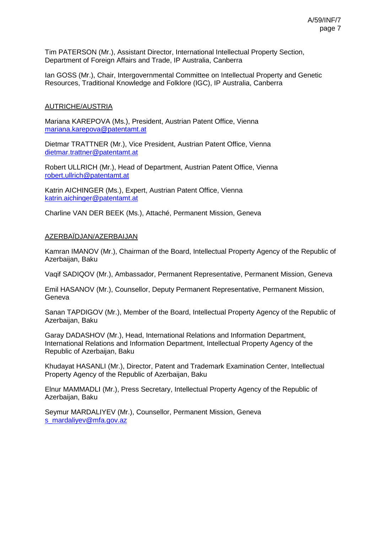Tim PATERSON (Mr.), Assistant Director, International Intellectual Property Section, Department of Foreign Affairs and Trade, IP Australia, Canberra

Ian GOSS (Mr.), Chair, Intergovernmental Committee on Intellectual Property and Genetic Resources, Traditional Knowledge and Folklore (IGC), IP Australia, Canberra

### AUTRICHE/AUSTRIA

Mariana KAREPOVA (Ms.), President, Austrian Patent Office, Vienna [mariana.karepova@patentamt.at](mailto:mariana.karepova@patentamt.at)

Dietmar TRATTNER (Mr.), Vice President, Austrian Patent Office, Vienna [dietmar.trattner@patentamt.at](mailto:dietmar.trattner@patentamt.at)

Robert ULLRICH (Mr.), Head of Department, Austrian Patent Office, Vienna [robert.ullrich@patentamt.at](mailto:robert.ullrich@patentamt.at)

Katrin AICHINGER (Ms.), Expert, Austrian Patent Office, Vienna [katrin.aichinger@patentamt.at](mailto:katrin.aichinger@patentamt.at)

Charline VAN DER BEEK (Ms.), Attaché, Permanent Mission, Geneva

### AZERBAÏDJAN/AZERBAIJAN

Kamran IMANOV (Mr.), Chairman of the Board, Intellectual Property Agency of the Republic of Azerbaijan, Baku

Vaqif SADIQOV (Mr.), Ambassador, Permanent Representative, Permanent Mission, Geneva

Emil HASANOV (Mr.), Counsellor, Deputy Permanent Representative, Permanent Mission, **Geneva** 

Sanan TAPDIGOV (Mr.), Member of the Board, Intellectual Property Agency of the Republic of Azerbaijan, Baku

Garay DADASHOV (Mr.), Head, International Relations and Information Department, International Relations and Information Department, Intellectual Property Agency of the Republic of Azerbaijan, Baku

Khudayat HASANLI (Mr.), Director, Patent and Trademark Examination Center, Intellectual Property Agency of the Republic of Azerbaijan, Baku

Elnur MAMMADLI (Mr.), Press Secretary, Intellectual Property Agency of the Republic of Azerbaijan, Baku

Seymur MARDALIYEV (Mr.), Counsellor, Permanent Mission, Geneva [s\\_mardaliyev@mfa.gov.az](mailto:s_mardaliyev@mfa.gov.az)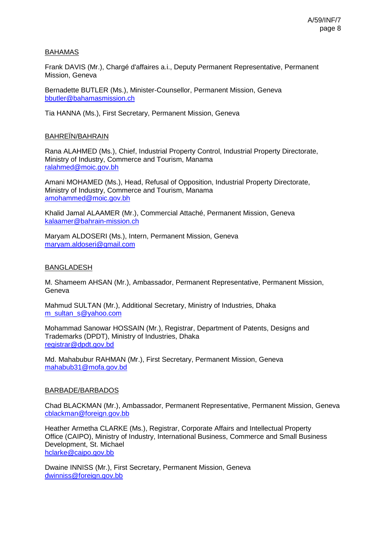### BAHAMAS

Frank DAVIS (Mr.), Chargé d'affaires a.i., Deputy Permanent Representative, Permanent Mission, Geneva

Bernadette BUTLER (Ms.), Minister-Counsellor, Permanent Mission, Geneva [bbutler@bahamasmission.ch](mailto:bbutler@bahamasmission.ch) 

Tia HANNA (Ms.), First Secretary, Permanent Mission, Geneva

### BAHREÏN/BAHRAIN

Rana ALAHMED (Ms.), Chief, Industrial Property Control, Industrial Property Directorate, Ministry of Industry, Commerce and Tourism, Manama [ralahmed@moic.gov.bh](mailto:ralahmed@moic.gov.bh)

Amani MOHAMED (Ms.), Head, Refusal of Opposition, Industrial Property Directorate, Ministry of Industry, Commerce and Tourism, Manama [amohammed@moic.gov.bh](mailto:amohammed@moic.gov.bh)

Khalid Jamal ALAAMER (Mr.), Commercial Attaché, Permanent Mission, Geneva [kalaamer@bahrain-mission.ch](mailto:kalaamer@bahrain-mission.ch)

Maryam ALDOSERI (Ms.), Intern, Permanent Mission, Geneva [maryam.aldoseri@gmail.com](mailto:maryam.aldoseri@gmail.com)

#### BANGLADESH

M. Shameem AHSAN (Mr.), Ambassador, Permanent Representative, Permanent Mission, **Geneva** 

Mahmud SULTAN (Mr.), Additional Secretary, Ministry of Industries, Dhaka [m\\_sultan\\_s@yahoo.com](mailto:m_sultan_s@yahoo.com)

Mohammad Sanowar HOSSAIN (Mr.), Registrar, Department of Patents, Designs and Trademarks (DPDT), Ministry of Industries, Dhaka [registrar@dpdt.gov.bd](mailto:registrar@dpdt.gov.bd)

Md. Mahabubur RAHMAN (Mr.), First Secretary, Permanent Mission, Geneva [mahabub31@mofa.gov.bd](mailto:mahabub31@mofa.gov.bd)

### BARBADE/BARBADOS

Chad BLACKMAN (Mr.), Ambassador, Permanent Representative, Permanent Mission, Geneva [cblackman@foreign.gov.bb](mailto:cblackman@foreign.gov.bb)

Heather Armetha CLARKE (Ms.), Registrar, Corporate Affairs and Intellectual Property Office (CAIPO), Ministry of Industry, International Business, Commerce and Small Business Development, St. Michael [hclarke@caipo.gov.bb](mailto:hclarke@caipo.gov.bb)

Dwaine INNISS (Mr.), First Secretary, Permanent Mission, Geneva [dwinniss@foreign.gov.bb](mailto:dwinniss@foreign.gov.bb)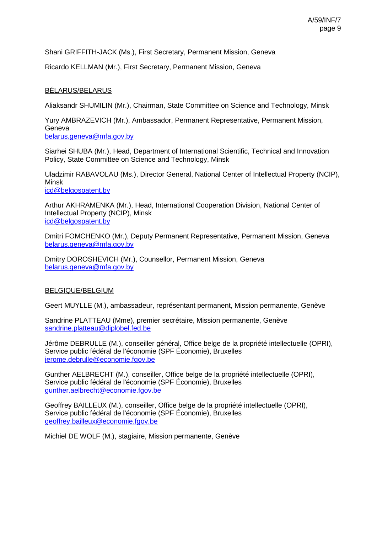Shani GRIFFITH-JACK (Ms.), First Secretary, Permanent Mission, Geneva

Ricardo KELLMAN (Mr.), First Secretary, Permanent Mission, Geneva

### BÉLARUS/BELARUS

Aliaksandr SHUMILIN (Mr.), Chairman, State Committee on Science and Technology, Minsk

Yury AMBRAZEVICH (Mr.), Ambassador, Permanent Representative, Permanent Mission, Geneva

[belarus.geneva@mfa.gov.by](mailto:belarus.geneva@mfa.gov.by)

Siarhei SHUBA (Mr.), Head, Department of International Scientific, Technical and Innovation Policy, State Committee on Science and Technology, Minsk

Uladzimir RABAVOLAU (Ms.), Director General, National Center of Intellectual Property (NCIP), Minsk

[icd@belgospatent.by](mailto:icd@belgospatent.by)

Arthur AKHRAMENKA (Mr.), Head, International Cooperation Division, National Center of Intellectual Property (NCIP), Minsk [icd@belgospatent.by](mailto:icd@belgospatent.by)

Dmitri FOMCHENKO (Mr.), Deputy Permanent Representative, Permanent Mission, Geneva [belarus.geneva@mfa.gov.by](mailto:belarus.geneva@mfa.gov.by)

Dmitry DOROSHEVICH (Mr.), Counsellor, Permanent Mission, Geneva [belarus.geneva@mfa.gov.by](mailto:belarus.geneva@mfa.gov.by)

### BELGIQUE/BELGIUM

Geert MUYLLE (M.), ambassadeur, représentant permanent, Mission permanente, Genève

Sandrine PLATTEAU (Mme), premier secrétaire, Mission permanente, Genève [sandrine.platteau@diplobel.fed.be](mailto:sandrine.platteau@diplobel.fed.be)

Jérôme DEBRULLE (M.), conseiller général, Office belge de la propriété intellectuelle (OPRI), Service public fédéral de l'économie (SPF Économie), Bruxelles jerome.debrulle@economie.fgov.be

Gunther AELBRECHT (M.), conseiller, Office belge de la propriété intellectuelle (OPRI), Service public fédéral de l'économie (SPF Économie), Bruxelles [gunther.aelbrecht@economie.fgov.be](mailto:gunther.aelbrecht@economie.fgov.be)

Geoffrey BAILLEUX (M.), conseiller, Office belge de la propriété intellectuelle (OPRI), Service public fédéral de l'économie (SPF Économie), Bruxelles [geoffrey.bailleux@economie.fgov.be](mailto:geoffrey.bailleux@economie.fgov.be)

Michiel DE WOLF (M.), stagiaire, Mission permanente, Genève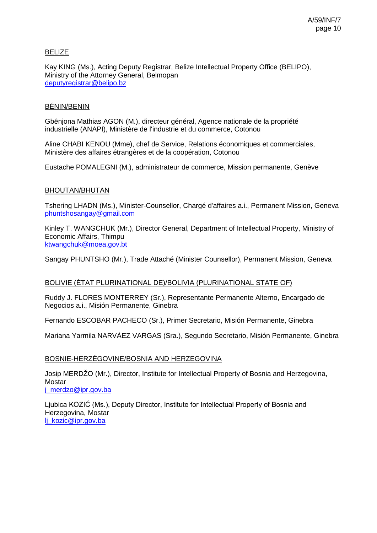### BELIZE

Kay KING (Ms.), Acting Deputy Registrar, Belize Intellectual Property Office (BELIPO), Ministry of the Attorney General, Belmopan [deputyregistrar@belipo.bz](mailto:deputyregistrar@belipo.bz)

### BÉNIN/BENIN

Gbênjona Mathias AGON (M.), directeur général, Agence nationale de la propriété industrielle (ANAPI), Ministère de l'industrie et du commerce, Cotonou

Aline CHABI KENOU (Mme), chef de Service, Relations économiques et commerciales, Ministère des affaires étrangères et de la coopération, Cotonou

Eustache POMALEGNI (M.), administrateur de commerce, Mission permanente, Genève

#### BHOUTAN/BHUTAN

Tshering LHADN (Ms.), Minister-Counsellor, Chargé d'affaires a.i., Permanent Mission, Geneva [phuntshosangay@gmail.com](mailto:phuntshosangay@gmail.com)

Kinley T. WANGCHUK (Mr.), Director General, Department of Intellectual Property, Ministry of Economic Affairs, Thimpu [ktwangchuk@moea.gov.bt](mailto:ktwangchuk@moea.gov.bt)

Sangay PHUNTSHO (Mr.), Trade Attaché (Minister Counsellor), Permanent Mission, Geneva

### BOLIVIE (ÉTAT PLURINATIONAL DE)/BOLIVIA (PLURINATIONAL STATE OF)

Ruddy J. FLORES MONTERREY (Sr.), Representante Permanente Alterno, Encargado de Negocios a.i., Misión Permanente, Ginebra

Fernando ESCOBAR PACHECO (Sr.), Primer Secretario, Misión Permanente, Ginebra

Mariana Yarmila NARVÁEZ VARGAS (Sra.), Segundo Secretario, Misión Permanente, Ginebra

#### BOSNIE-HERZÉGOVINE/BOSNIA AND HERZEGOVINA

Josip MERDŽO (Mr.), Director, Institute for Intellectual Property of Bosnia and Herzegovina, **Mostar** [j\\_merdzo@ipr.gov.ba](mailto:j_merdzo@ipr.gov.ba)

Ljubica KOZIĆ (Ms.), Deputy Director, Institute for Intellectual Property of Bosnia and Herzegovina, Mostar [lj\\_kozic@ipr.gov.ba](mailto:lj_kozic@ipr.gov.ba)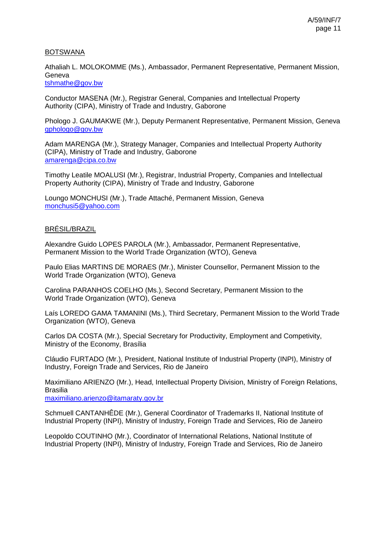### BOTSWANA

Athaliah L. MOLOKOMME (Ms.), Ambassador, Permanent Representative, Permanent Mission, Geneva

[tshmathe@gov.bw](mailto:tshmathe@gov.bw)

Conductor MASENA (Mr.), Registrar General, Companies and Intellectual Property Authority (CIPA), Ministry of Trade and Industry, Gaborone

Phologo J. GAUMAKWE (Mr.), Deputy Permanent Representative, Permanent Mission, Geneva [gphologo@gov.bw](mailto:gphologo@gov.bw)

Adam MARENGA (Mr.), Strategy Manager, Companies and Intellectual Property Authority (CIPA), Ministry of Trade and Industry, Gaborone [amarenga@cipa.co.bw](mailto:amarenga@cipa.co.bw)

Timothy Leatile MOALUSI (Mr.), Registrar, Industrial Property, Companies and Intellectual Property Authority (CIPA), Ministry of Trade and Industry, Gaborone

Loungo MONCHUSI (Mr.), Trade Attaché, Permanent Mission, Geneva [monchusi5@yahoo.com](mailto:monchusi5@yahoo.com)

### BRÉSIL/BRAZIL

Alexandre Guido LOPES PAROLA (Mr.), Ambassador, Permanent Representative, Permanent Mission to the World Trade Organization (WTO), Geneva

Paulo Elias MARTINS DE MORAES (Mr.), Minister Counsellor, Permanent Mission to the World Trade Organization (WTO), Geneva

Carolina PARANHOS COELHO (Ms.), Second Secretary, Permanent Mission to the World Trade Organization (WTO), Geneva

Laís LOREDO GAMA TAMANINI (Ms.), Third Secretary, Permanent Mission to the World Trade Organization (WTO), Geneva

Carlos DA COSTA (Mr.), Special Secretary for Productivity, Employment and Competivity, Ministry of the Economy, Brasília

Cláudio FURTADO (Mr.), President, National Institute of Industrial Property (INPI), Ministry of Industry, Foreign Trade and Services, Rio de Janeiro

Maximiliano ARIENZO (Mr.), Head, Intellectual Property Division, Ministry of Foreign Relations, Brasilia

[maximiliano.arienzo@itamaraty.gov.br](mailto:maximiliano.arienzo@itamaraty.gov.br)

Schmuell CANTANHÊDE (Mr.), General Coordinator of Trademarks II, National Institute of Industrial Property (INPI), Ministry of Industry, Foreign Trade and Services, Rio de Janeiro

Leopoldo COUTINHO (Mr.), Coordinator of International Relations, National Institute of Industrial Property (INPI), Ministry of Industry, Foreign Trade and Services, Rio de Janeiro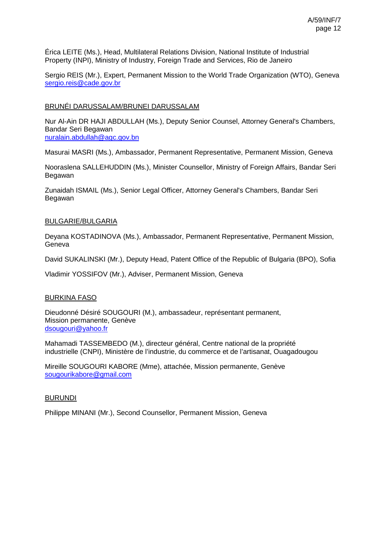Érica LEITE (Ms.), Head, Multilateral Relations Division, National Institute of Industrial Property (INPI), Ministry of Industry, Foreign Trade and Services, Rio de Janeiro

Sergio REIS (Mr.), Expert, Permanent Mission to the World Trade Organization (WTO), Geneva [sergio.reis@cade.gov.br](mailto:sergio.reis@cade.gov.br)

### BRUNÉI DARUSSALAM/BRUNEI DARUSSALAM

Nur Al-Ain DR HAJI ABDULLAH (Ms.), Deputy Senior Counsel, Attorney General's Chambers, Bandar Seri Begawan [nuralain.abdullah@agc.gov.bn](mailto:nuralain.abdullah@agc.gov.bn)

Masurai MASRI (Ms.), Ambassador, Permanent Representative, Permanent Mission, Geneva

Nooraslena SALLEHUDDIN (Ms.), Minister Counsellor, Ministry of Foreign Affairs, Bandar Seri Begawan

Zunaidah ISMAIL (Ms.), Senior Legal Officer, Attorney General's Chambers, Bandar Seri Begawan

### BULGARIE/BULGARIA

Deyana KOSTADINOVA (Ms.), Ambassador, Permanent Representative, Permanent Mission, Geneva

David SUKALINSKI (Mr.), Deputy Head, Patent Office of the Republic of Bulgaria (BPO), Sofia

Vladimir YOSSIFOV (Mr.), Adviser, Permanent Mission, Geneva

### BURKINA FASO

Dieudonné Désiré SOUGOURI (M.), ambassadeur, représentant permanent, Mission permanente, Genève [dsougouri@yahoo.fr](mailto:dsougouri@yahoo.fr)

Mahamadi TASSEMBEDO (M.), directeur général, Centre national de la propriété industrielle (CNPI), Ministère de l'industrie, du commerce et de l'artisanat, Ouagadougou

Mireille SOUGOURI KABORE (Mme), attachée, Mission permanente, Genève [sougourikabore@gmail.com](mailto:sougourikabore@gmail.com)

### BURUNDI

Philippe MINANI (Mr.), Second Counsellor, Permanent Mission, Geneva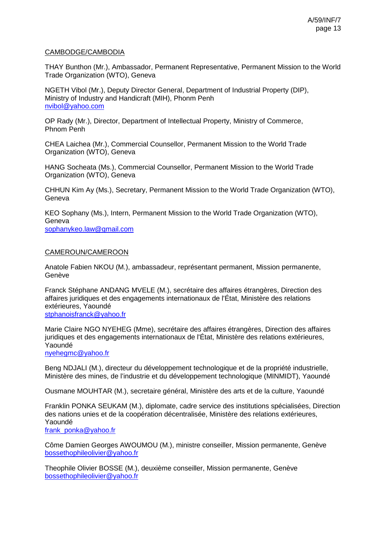### CAMBODGE/CAMBODIA

THAY Bunthon (Mr.), Ambassador, Permanent Representative, Permanent Mission to the World Trade Organization (WTO), Geneva

NGETH Vibol (Mr.), Deputy Director General, Department of Industrial Property (DIP), Ministry of Industry and Handicraft (MIH), Phonm Penh [nvibol@yahoo.com](mailto:nvibol@yahoo.com)

OP Rady (Mr.), Director, Department of Intellectual Property, Ministry of Commerce, Phnom Penh

CHEA Laichea (Mr.), Commercial Counsellor, Permanent Mission to the World Trade Organization (WTO), Geneva

HANG Socheata (Ms.), Commercial Counsellor, Permanent Mission to the World Trade Organization (WTO), Geneva

CHHUN Kim Ay (Ms.), Secretary, Permanent Mission to the World Trade Organization (WTO), Geneva

KEO Sophany (Ms.), Intern, Permanent Mission to the World Trade Organization (WTO), Geneva

[sophanykeo.law@gmail.com](mailto:sophanykeo.law@gmail.com)

#### CAMEROUN/CAMEROON

Anatole Fabien NKOU (M.), ambassadeur, représentant permanent, Mission permanente, Genève

Franck Stéphane ANDANG MVELE (M.), secrétaire des affaires étrangères, Direction des affaires juridiques et des engagements internationaux de l'État, Ministère des relations extérieures, Yaoundé [stphanoisfranck@yahoo.fr](mailto:stphanoisfranck@yahoo.fr)

Marie Claire NGO NYEHEG (Mme), secrétaire des affaires étrangères, Direction des affaires juridiques et des engagements internationaux de l'État, Ministère des relations extérieures, Yaoundé

[nyehegmc@yahoo.fr](mailto:nyehegmc@yahoo.fr)

Beng NDJALI (M.), directeur du développement technologique et de la propriété industrielle, Ministère des mines, de l'industrie et du développement technologique (MINMIDT), Yaoundé

Ousmane MOUHTAR (M.), secretaire général, Ministère des arts et de la culture, Yaoundé

Franklin PONKA SEUKAM (M.), diplomate, cadre service des institutions spécialisées, Direction des nations unies et de la coopération décentralisée, Ministère des relations extérieures, Yaoundé [frank\\_ponka@yahoo.fr](mailto:frank_ponka@yahoo.fr)

Côme Damien Georges AWOUMOU (M.), ministre conseiller, Mission permanente, Genève [bossethophileolivier@yahoo.fr](mailto:bossethophileolivier@yahoo.fr)

Theophile Olivier BOSSE (M.), deuxième conseiller, Mission permanente, Genève [bossethophileolivier@yahoo.fr](mailto:bossethophileolivier@yahoo.fr)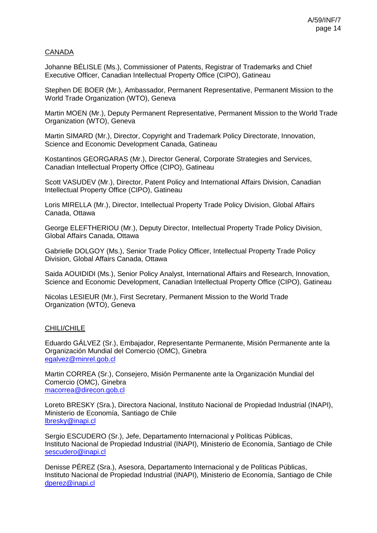### CANADA

Johanne BÉLISLE (Ms.), Commissioner of Patents, Registrar of Trademarks and Chief Executive Officer, Canadian Intellectual Property Office (CIPO), Gatineau

Stephen DE BOER (Mr.), Ambassador, Permanent Representative, Permanent Mission to the World Trade Organization (WTO), Geneva

Martin MOEN (Mr.), Deputy Permanent Representative, Permanent Mission to the World Trade Organization (WTO), Geneva

Martin SIMARD (Mr.), Director, Copyright and Trademark Policy Directorate, Innovation, Science and Economic Development Canada, Gatineau

Kostantinos GEORGARAS (Mr.), Director General, Corporate Strategies and Services, Canadian Intellectual Property Office (CIPO), Gatineau

Scott VASUDEV (Mr.), Director, Patent Policy and International Affairs Division, Canadian Intellectual Property Office (CIPO), Gatineau

Loris MIRELLA (Mr.), Director, Intellectual Property Trade Policy Division, Global Affairs Canada, Ottawa

George ELEFTHERIOU (Mr.), Deputy Director, Intellectual Property Trade Policy Division, Global Affairs Canada, Ottawa

Gabrielle DOLGOY (Ms.), Senior Trade Policy Officer, Intellectual Property Trade Policy Division, Global Affairs Canada, Ottawa

Saida AOUIDIDI (Ms.), Senior Policy Analyst, International Affairs and Research, Innovation, Science and Economic Development, Canadian Intellectual Property Office (CIPO), Gatineau

Nicolas LESIEUR (Mr.), First Secretary, Permanent Mission to the World Trade Organization (WTO), Geneva

### CHILI/CHILE

Eduardo GÁLVEZ (Sr.), Embajador, Representante Permanente, Misión Permanente ante la Organización Mundial del Comercio (OMC), Ginebra [egalvez@minrel.gob.cl](mailto:egalvez@minrel.gob.cl)

Martin CORREA (Sr.), Consejero, Misión Permanente ante la Organización Mundial del Comercio (OMC), Ginebra [macorrea@direcon.gob.cl](mailto:macorrea@direcon.gob.cl)

Loreto BRESKY (Sra.), Directora Nacional, Instituto Nacional de Propiedad Industrial (INAPI), Ministerio de Economía, Santiago de Chile [lbresky@inapi.cl](mailto:lbresky@inapi.cl)

Sergio ESCUDERO (Sr.), Jefe, Departamento Internacional y Políticas Públicas, Instituto Nacional de Propiedad Industrial (INAPI), Ministerio de Economía, Santiago de Chile [sescudero@inapi.cl](mailto:sescudero@inapi.cl)

Denisse PÉREZ (Sra.), Asesora, Departamento Internacional y de Políticas Públicas, Instituto Nacional de Propiedad Industrial (INAPI), Ministerio de Economía, Santiago de Chile [dperez@inapi.cl](mailto:dperez@inapi.cl)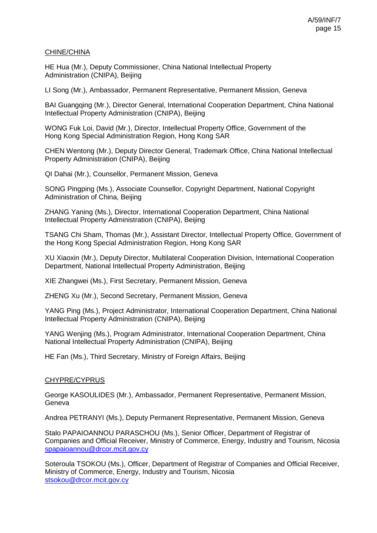### CHINE/CHINA

HE Hua (Mr.), Deputy Commissioner, China National Intellectual Property Administration (CNIPA), Beijing

LI Song (Mr.), Ambassador, Permanent Representative, Permanent Mission, Geneva

BAI Guangqing (Mr.), Director General, International Cooperation Department, China National Intellectual Property Administration (CNIPA), Beijing

WONG Fuk Loi, David (Mr.), Director, Intellectual Property Office, Government of the Hong Kong Special Administration Region, Hong Kong SAR

CHEN Wentong (Mr.), Deputy Director General, Trademark Office, China National Intellectual Property Administration (CNIPA), Beijing

QI Dahai (Mr.), Counsellor, Permanent Mission, Geneva

SONG Pingping (Ms.), Associate Counsellor, Copyright Department, National Copyright Administration of China, Beijing

ZHANG Yaning (Ms.), Director, International Cooperation Department, China National Intellectual Property Administration (CNIPA), Beijing

TSANG Chi Sham, Thomas (Mr.), Assistant Director, Intellectual Property Office, Government of the Hong Kong Special Administration Region, Hong Kong SAR

XU Xiaoxin (Mr.), Deputy Director, Multilateral Cooperation Division, International Cooperation Department, National Intellectual Property Administration, Beijing

XIE Zhangwei (Ms.), First Secretary, Permanent Mission, Geneva

ZHENG Xu (Mr.), Second Secretary, Permanent Mission, Geneva

YANG Ping (Ms.), Project Administrator, International Cooperation Department, China National Intellectual Property Administration (CNIPA), Beijing

YANG Wenjing (Ms.), Program Administrator, International Cooperation Department, China National Intellectual Property Administration (CNIPA), Beijing

HE Fan (Ms.), Third Secretary, Ministry of Foreign Affairs, Beijing

### CHYPRE/CYPRUS

George KASOULIDES (Mr.), Ambassador, Permanent Representative, Permanent Mission, **Geneva** 

Andrea PETRANYI (Ms.), Deputy Permanent Representative, Permanent Mission, Geneva

Stalo PAPAIOANNOU PARASCHOU (Ms.), Senior Officer, Department of Registrar of Companies and Official Receiver, Ministry of Commerce, Energy, Industry and Tourism, Nicosia [spapaioannou@drcor.mcit.gov.cy](mailto:spapaioannou@drcor.mcit.gov.cy)

Soteroula TSOKOU (Ms.), Officer, Department of Registrar of Companies and Official Receiver, Ministry of Commerce, Energy, Industry and Tourism, Nicosia [stsokou@drcor.mcit.gov.cy](mailto:stsokou@drcor.mcit.gov.cy)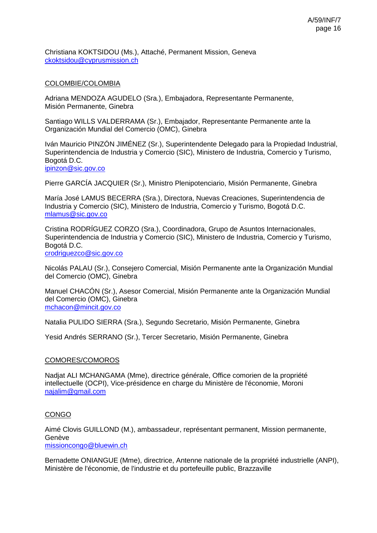Christiana KOKTSIDOU (Ms.), Attaché, Permanent Mission, Geneva [ckoktsidou@cyprusmission.ch](mailto:ckoktsidou@cyprusmission.ch)

### COLOMBIE/COLOMBIA

Adriana MENDOZA AGUDELO (Sra.), Embajadora, Representante Permanente, Misión Permanente, Ginebra

Santiago WILLS VALDERRAMA (Sr.), Embajador, Representante Permanente ante la Organización Mundial del Comercio (OMC), Ginebra

Iván Mauricio PINZÓN JIMÉNEZ (Sr.), Superintendente Delegado para la Propiedad Industrial, Superintendencia de Industria y Comercio (SIC), Ministero de Industria, Comercio y Turismo, Bogotá D.C. [ipinzon@sic.gov.co](mailto:ipinzon@sic.gov.co)

Pierre GARCÍA JACQUIER (Sr.), Ministro Plenipotenciario, Misión Permanente, Ginebra

María José LAMUS BECERRA (Sra.), Directora, Nuevas Creaciones, Superintendencia de Industria y Comercio (SIC), Ministero de Industria, Comercio y Turismo, Bogotá D.C. [mlamus@sic.gov.co](mailto:mlamus@sic.gov.co)

Cristina RODRÍGUEZ CORZO (Sra.), Coordinadora, Grupo de Asuntos Internacionales, Superintendencia de Industria y Comercio (SIC), Ministero de Industria, Comercio y Turismo, Bogotá D.C. [crodriguezco@sic.gov.co](mailto:crodriguezco@sic.gov.co)

Nicolás PALAU (Sr.), Consejero Comercial, Misión Permanente ante la Organización Mundial del Comercio (OMC), Ginebra

Manuel CHACÓN (Sr.), Asesor Comercial, Misión Permanente ante la Organización Mundial del Comercio (OMC), Ginebra [mchacon@mincit.gov.co](mailto:mchacon@mincit.gov.co)

Natalia PULIDO SIERRA (Sra.), Segundo Secretario, Misión Permanente, Ginebra

Yesid Andrés SERRANO (Sr.), Tercer Secretario, Misión Permanente, Ginebra

### COMORES/COMOROS

Nadjat ALI MCHANGAMA (Mme), directrice générale, Office comorien de la propriété intellectuelle (OCPI), Vice-présidence en charge du Ministère de l'économie, Moroni [najalim@gmail.com](mailto:najalim@gmail.com)

### CONGO

Aimé Clovis GUILLOND (M.), ambassadeur, représentant permanent, Mission permanente, Genève

[missioncongo@bluewin.ch](mailto:missioncongo@bluewin.ch)

Bernadette ONIANGUE (Mme), directrice, Antenne nationale de la propriété industrielle (ANPI), Ministère de l'économie, de l'industrie et du portefeuille public, Brazzaville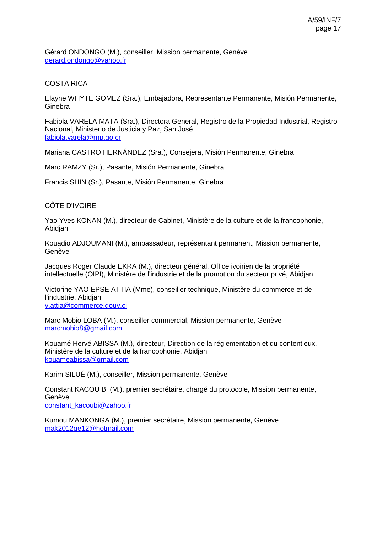Gérard ONDONGO (M.), conseiller, Mission permanente, Genève [gerard.ondongo@yahoo.fr](mailto:gerard.ondongo@yahoo.fr)

### COSTA RICA

Elayne WHYTE GÓMEZ (Sra.), Embajadora, Representante Permanente, Misión Permanente, **Ginebra** 

Fabiola VARELA MATA (Sra.), Directora General, Registro de la Propiedad Industrial, Registro Nacional, Ministerio de Justicia y Paz, San José [fabiola.varela@rnp.go.cr](mailto:fabiola.varela@rnp.go.cr)

Mariana CASTRO HERNÁNDEZ (Sra.), Consejera, Misión Permanente, Ginebra

Marc RAMZY (Sr.), Pasante, Misión Permanente, Ginebra

Francis SHIN (Sr.), Pasante, Misión Permanente, Ginebra

### CÔTE D'IVOIRE

Yao Yves KONAN (M.), directeur de Cabinet, Ministère de la culture et de la francophonie, Abidjan

Kouadio ADJOUMANI (M.), ambassadeur, représentant permanent, Mission permanente, Genève

Jacques Roger Claude EKRA (M.), directeur général, Office ivoirien de la propriété intellectuelle (OIPI), Ministère de l'industrie et de la promotion du secteur privé, Abidjan

Victorine YAO EPSE ATTIA (Mme), conseiller technique, Ministère du commerce et de l'industrie, Abidjan [v.attia@commerce.gouv.ci](mailto:v.attia@commerce.gouv.ci)

Marc Mobio LOBA (M.), conseiller commercial, Mission permanente, Genève [marcmobio8@gmail.com](mailto:marcmobio8@gmail.com)

Kouamé Hervé ABISSA (M.), directeur, Direction de la réglementation et du contentieux, Ministère de la culture et de la francophonie, Abidjan [kouameabissa@gmail.com](mailto:kouameabissa@gmail.com)

Karim SILUÉ (M.), conseiller, Mission permanente, Genève

Constant KACOU BI (M.), premier secrétaire, chargé du protocole, Mission permanente, Genève [constant\\_kacoubi@zahoo.fr](mailto:constant_kacoubi@zahoo.fr)

Kumou MANKONGA (M.), premier secrétaire, Mission permanente, Genève [mak2012ge12@hotmail.com](mailto:mak2012ge12@hotmail.com)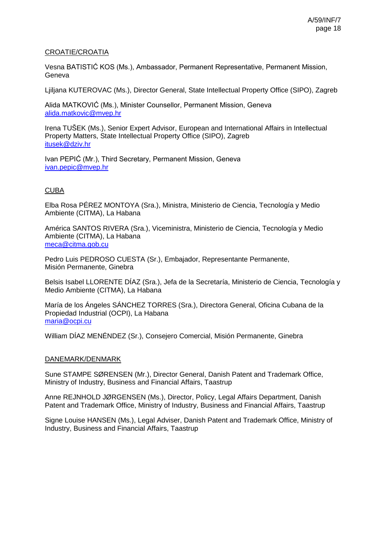### CROATIE/CROATIA

Vesna BATISTIĆ KOS (Ms.), Ambassador, Permanent Representative, Permanent Mission, Geneva

Ljiljana KUTEROVAC (Ms.), Director General, State Intellectual Property Office (SIPO), Zagreb

Alida MATKOVIĆ (Ms.), Minister Counsellor, Permanent Mission, Geneva [alida.matkovic@mvep.hr](mailto:alida.matkovic@mvep.hr)

Irena TUŠEK (Ms.), Senior Expert Advisor, European and International Affairs in Intellectual Property Matters, State Intellectual Property Office (SIPO), Zagreb [itusek@dziv.hr](mailto:itusek@dziv.hr)

Ivan PEPIĆ (Mr.), Third Secretary, Permanent Mission, Geneva [ivan.pepic@mvep.hr](mailto:ivan.pepic@mvep.hr)

# CUBA

Elba Rosa PÉREZ MONTOYA (Sra.), Ministra, Ministerio de Ciencia, Tecnología y Medio Ambiente (CITMA), La Habana

América SANTOS RIVERA (Sra.), Viceministra, Ministerio de Ciencia, Tecnología y Medio Ambiente (CITMA), La Habana [meca@citma.gob.cu](mailto:meca@citma.gob.cu)

Pedro Luis PEDROSO CUESTA (Sr.), Embajador, Representante Permanente, Misión Permanente, Ginebra

Belsis Isabel LLORENTE DÍAZ (Sra.), Jefa de la Secretaría, Ministerio de Ciencia, Tecnología y Medio Ambiente (CITMA), La Habana

María de los Ángeles SÁNCHEZ TORRES (Sra.), Directora General, Oficina Cubana de la Propiedad Industrial (OCPI), La Habana [maria@ocpi.cu](mailto:maria@ocpi.cu)

William DÍAZ MENÉNDEZ (Sr.), Consejero Comercial, Misión Permanente, Ginebra

### DANEMARK/DENMARK

Sune STAMPE SØRENSEN (Mr.), Director General, Danish Patent and Trademark Office, Ministry of Industry, Business and Financial Affairs, Taastrup

Anne REJNHOLD JØRGENSEN (Ms.), Director, Policy, Legal Affairs Department, Danish Patent and Trademark Office, Ministry of Industry, Business and Financial Affairs, Taastrup

Signe Louise HANSEN (Ms.), Legal Adviser, Danish Patent and Trademark Office, Ministry of Industry, Business and Financial Affairs, Taastrup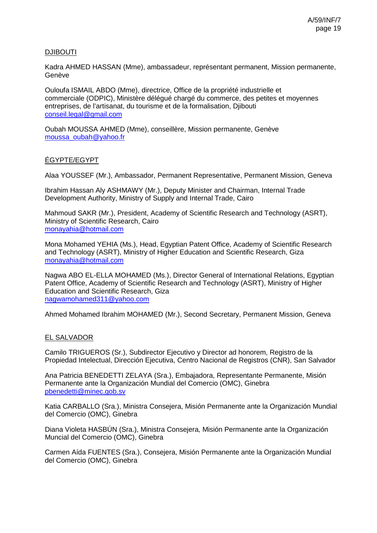### DJIBOUTI

Kadra AHMED HASSAN (Mme), ambassadeur, représentant permanent, Mission permanente, Genève

Ouloufa ISMAIL ABDO (Mme), directrice, Office de la propriété industrielle et commerciale (ODPIC), Ministère délégué chargé du commerce, des petites et moyennes entreprises, de l'artisanat, du tourisme et de la formalisation, Djibouti [conseil.legal@gmail.com](mailto:conseil.legal@gmail.com)

Oubah MOUSSA AHMED (Mme), conseillère, Mission permanente, Genève [moussa\\_oubah@yahoo.fr](mailto:moussa_oubah@yahoo.fr)

### ÉGYPTE/EGYPT

Alaa YOUSSEF (Mr.), Ambassador, Permanent Representative, Permanent Mission, Geneva

Ibrahim Hassan Aly ASHMAWY (Mr.), Deputy Minister and Chairman, Internal Trade Development Authority, Ministry of Supply and Internal Trade, Cairo

Mahmoud SAKR (Mr.), President, Academy of Scientific Research and Technology (ASRT), Ministry of Scientific Research, Cairo [monayahia@hotmail.com](mailto:monayahia@hotmail.com)

Mona Mohamed YEHIA (Ms.), Head, Egyptian Patent Office, Academy of Scientific Research and Technology (ASRT), Ministry of Higher Education and Scientific Research, Giza [monayahia@hotmail.com](mailto:monayahia@hotmail.com)

Nagwa ABO EL-ELLA MOHAMED (Ms.), Director General of International Relations, Egyptian Patent Office, Academy of Scientific Research and Technology (ASRT), Ministry of Higher Education and Scientific Research, Giza [nagwamohamed311@yahoo.com](mailto:nagwamohamed311@yahoo.com)

Ahmed Mohamed Ibrahim MOHAMED (Mr.), Second Secretary, Permanent Mission, Geneva

### EL SALVADOR

Camilo TRIGUEROS (Sr.), Subdirector Ejecutivo y Director ad honorem, Registro de la Propiedad Intelectual, Dirección Ejecutiva, Centro Nacional de Registros (CNR), San Salvador

Ana Patricia BENEDETTI ZELAYA (Sra.), Embajadora, Representante Permanente, Misión Permanente ante la Organización Mundial del Comercio (OMC), Ginebra [pbenedetti@minec.gob.sv](mailto:pbenedetti@minec.gob.sv)

Katia CARBALLO (Sra.), Ministra Consejera, Misión Permanente ante la Organización Mundial del Comercio (OMC), Ginebra

Diana Violeta HASBÚN (Sra.), Ministra Consejera, Misión Permanente ante la Organización Muncial del Comercio (OMC), Ginebra

Carmen Aída FUENTES (Sra.), Consejera, Misión Permanente ante la Organización Mundial del Comercio (OMC), Ginebra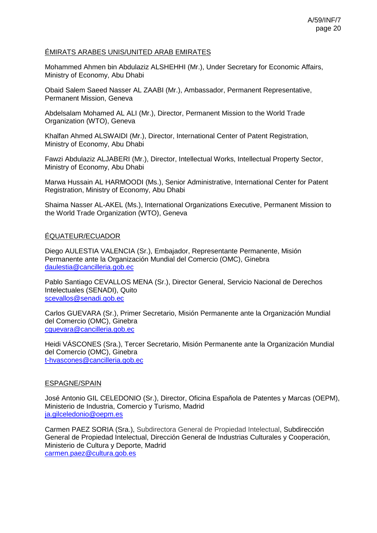### ÉMIRATS ARABES UNIS/UNITED ARAB EMIRATES

Mohammed Ahmen bin Abdulaziz ALSHEHHI (Mr.), Under Secretary for Economic Affairs, Ministry of Economy, Abu Dhabi

Obaid Salem Saeed Nasser AL ZAABI (Mr.), Ambassador, Permanent Representative, Permanent Mission, Geneva

Abdelsalam Mohamed AL ALI (Mr.), Director, Permanent Mission to the World Trade Organization (WTO), Geneva

Khalfan Ahmed ALSWAIDI (Mr.), Director, International Center of Patent Registration, Ministry of Economy, Abu Dhabi

Fawzi Abdulaziz ALJABERI (Mr.), Director, Intellectual Works, Intellectual Property Sector, Ministry of Economy, Abu Dhabi

Marwa Hussain AL HARMOODI (Ms.), Senior Administrative, International Center for Patent Registration, Ministry of Economy, Abu Dhabi

Shaima Nasser AL-AKEL (Ms.), International Organizations Executive, Permanent Mission to the World Trade Organization (WTO), Geneva

### ÉQUATEUR/ECUADOR

Diego AULESTIA VALENCIA (Sr.), Embajador, Representante Permanente, Misión Permanente ante la Organización Mundial del Comercio (OMC), Ginebra [daulestia@cancilleria.gob.ec](mailto:daulestia@cancilleria.gob.ec)

Pablo Santiago CEVALLOS MENA (Sr.), Director General, Servicio Nacional de Derechos Intelectuales (SENADI), Quito [scevallos@senadi.gob.ec](mailto:scevallos@senadi.gob.ec)

Carlos GUEVARA (Sr.), Primer Secretario, Misión Permanente ante la Organización Mundial del Comercio (OMC), Ginebra [cguevara@cancilleria.gob.ec](mailto:cguevara@cancilleria.gob.ec)

Heidi VÁSCONES (Sra.), Tercer Secretario, Misión Permanente ante la Organización Mundial del Comercio (OMC), Ginebra [t-hvascones@cancilleria.gob.ec](mailto:t-hvascones@cancilleria.gob.ec)

### ESPAGNE/SPAIN

José Antonio GIL CELEDONIO (Sr.), Director, Oficina Española de Patentes y Marcas (OEPM), Ministerio de Industria, Comercio y Turismo, Madrid [ja.gilceledonio@oepm.es](mailto:ja.gilceledonio@oepm.es)

Carmen PAEZ SORIA (Sra.), Subdirectora General de Propiedad Intelectual, Subdirección General de Propiedad Intelectual, Dirección General de Industrias Culturales y Cooperación, Ministerio de Cultura y Deporte, Madrid [carmen.paez@cultura.gob.es](mailto:carmen.paez@cultura.gob.es)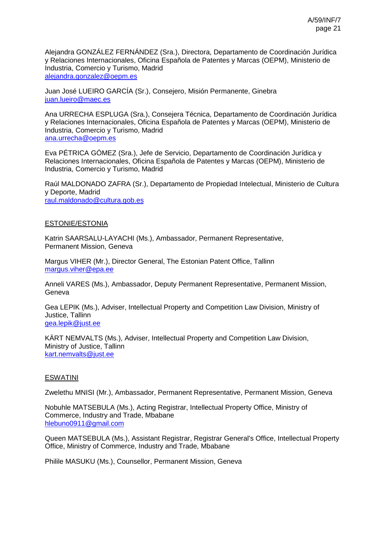Alejandra GONZÁLEZ FERNÁNDEZ (Sra.), Directora, Departamento de Coordinación Jurídica y Relaciones Internacionales, Oficina Española de Patentes y Marcas (OEPM), Ministerio de Industria, Comercio y Turismo, Madrid [alejandra.gonzalez@oepm.es](mailto:alejandra.gonzalez@oepm.es)

Juan José LUEIRO GARCÍA (Sr.), Consejero, Misión Permanente, Ginebra [juan.lueiro@maec.es](mailto:juan.lueiro@maec.es)

Ana URRECHA ESPLUGA (Sra.), Consejera Técnica, Departamento de Coordinación Jurídica y Relaciones Internacionales, Oficina Española de Patentes y Marcas (OEPM), Ministerio de Industria, Comercio y Turismo, Madrid [ana.urrecha@oepm.es](mailto:ana.urrecha@oepm.es)

Eva PÉTRICA GÓMEZ (Sra.), Jefe de Servicio, Departamento de Coordinación Jurídica y Relaciones Internacionales, Oficina Española de Patentes y Marcas (OEPM), Ministerio de Industria, Comercio y Turismo, Madrid

Raúl MALDONADO ZAFRA (Sr.), Departamento de Propiedad Intelectual, Ministerio de Cultura y Deporte, Madrid [raul.maldonado@cultura.gob.es](mailto:raul.maldonado@cultura.gob.es)

#### ESTONIE/ESTONIA

Katrin SAARSALU-LAYACHI (Ms.), Ambassador, Permanent Representative, Permanent Mission, Geneva

Margus VIHER (Mr.), Director General, The Estonian Patent Office, Tallinn [margus.viher@epa.ee](mailto:margus.viher@epa.ee)

Anneli VARES (Ms.), Ambassador, Deputy Permanent Representative, Permanent Mission, Geneva

Gea LEPIK (Ms.), Adviser, Intellectual Property and Competition Law Division, Ministry of Justice, Tallinn [gea.lepik@just.ee](mailto:gea.lepik@just.ee)

KÄRT NEMVALTS (Ms.), Adviser, Intellectual Property and Competition Law Division, Ministry of Justice, Tallinn [kart.nemvalts@just.ee](mailto:kart.nemvalts@just.ee)

### ESWATINI

Zwelethu MNISI (Mr.), Ambassador, Permanent Representative, Permanent Mission, Geneva

Nobuhle MATSEBULA (Ms.), Acting Registrar, Intellectual Property Office, Ministry of Commerce, Industry and Trade, Mbabane [hlebuno0911@gmail.com](mailto:hlebuno0911@gmail.com)

Queen MATSEBULA (Ms.), Assistant Registrar, Registrar General's Office, Intellectual Property Office, Ministry of Commerce, Industry and Trade, Mbabane

Philile MASUKU (Ms.), Counsellor, Permanent Mission, Geneva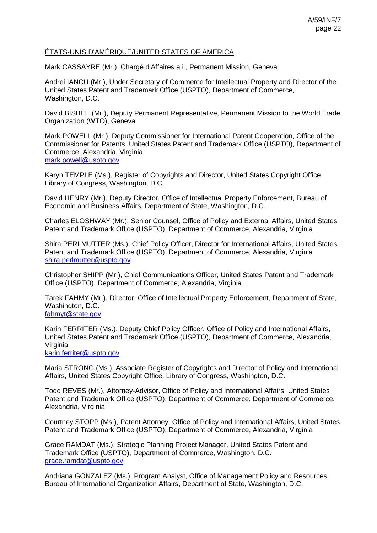### ÉTATS-UNIS D'AMÉRIQUE/UNITED STATES OF AMERICA

Mark CASSAYRE (Mr.), Chargé d'Affaires a.i., Permanent Mission, Geneva

Andrei IANCU (Mr.), Under Secretary of Commerce for Intellectual Property and Director of the United States Patent and Trademark Office (USPTO), Department of Commerce, Washington, D.C.

David BISBEE (Mr.), Deputy Permanent Representative, Permanent Mission to the World Trade Organization (WTO), Geneva

Mark POWELL (Mr.), Deputy Commissioner for International Patent Cooperation, Office of the Commissioner for Patents, United States Patent and Trademark Office (USPTO), Department of Commerce, Alexandria, Virginia [mark.powell@uspto.gov](mailto:mark.powell@uspto.gov)

Karyn TEMPLE (Ms.), Register of Copyrights and Director, United States Copyright Office, Library of Congress, Washington, D.C.

David HENRY (Mr.), Deputy Director, Office of Intellectual Property Enforcement, Bureau of Economic and Business Affairs, Department of State, Washington, D.C.

Charles ELOSHWAY (Mr.), Senior Counsel, Office of Policy and External Affairs, United States Patent and Trademark Office (USPTO), Department of Commerce, Alexandria, Virginia

Shira PERLMUTTER (Ms.), Chief Policy Officer, Director for International Affairs, United States Patent and Trademark Office (USPTO), Department of Commerce, Alexandria, Virginia [shira.perlmutter@uspto.gov](mailto:shira.perlmutter@uspto.gov)

Christopher SHIPP (Mr.), Chief Communications Officer, United States Patent and Trademark Office (USPTO), Department of Commerce, Alexandria, Virginia

Tarek FAHMY (Mr.), Director, Office of Intellectual Property Enforcement, Department of State, Washington, D.C.

[fahmyt@state.gov](mailto:fahmyt@state.gov)

Karin FERRITER (Ms.), Deputy Chief Policy Officer, Office of Policy and International Affairs, United States Patent and Trademark Office (USPTO), Department of Commerce, Alexandria, Virginia

[karin.ferriter@uspto.gov](mailto:karin.ferriter@uspto.gov)

Maria STRONG (Ms.), Associate Register of Copyrights and Director of Policy and International Affairs, United States Copyright Office, Library of Congress, Washington, D.C.

Todd REVES (Mr.), Attorney-Advisor, Office of Policy and International Affairs, United States Patent and Trademark Office (USPTO), Department of Commerce, Department of Commerce, Alexandria, Virginia

Courtney STOPP (Ms.), Patent Attorney, Office of Policy and International Affairs, United States Patent and Trademark Office (USPTO), Department of Commerce, Alexandria, Virginia

Grace RAMDAT (Ms.), Strategic Planning Project Manager, United States Patent and Trademark Office (USPTO), Department of Commerce, Washington, D.C. [grace.ramdat@uspto.gov](mailto:grace.ramdat@uspto.gov)

Andriana GONZALEZ (Ms.), Program Analyst, Office of Management Policy and Resources, Bureau of International Organization Affairs, Department of State, Washington, D.C.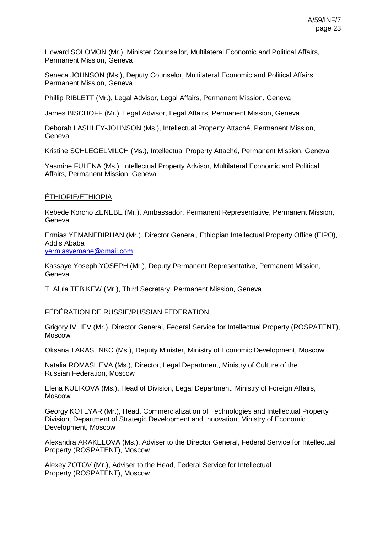Howard SOLOMON (Mr.), Minister Counsellor, Multilateral Economic and Political Affairs, Permanent Mission, Geneva

Seneca JOHNSON (Ms.), Deputy Counselor, Multilateral Economic and Political Affairs, Permanent Mission, Geneva

Phillip RIBLETT (Mr.), Legal Advisor, Legal Affairs, Permanent Mission, Geneva

James BISCHOFF (Mr.), Legal Advisor, Legal Affairs, Permanent Mission, Geneva

Deborah LASHLEY-JOHNSON (Ms.), Intellectual Property Attaché, Permanent Mission, Geneva

Kristine SCHLEGELMILCH (Ms.), Intellectual Property Attaché, Permanent Mission, Geneva

Yasmine FULENA (Ms.), Intellectual Property Advisor, Multilateral Economic and Political Affairs, Permanent Mission, Geneva

# ÉTHIOPIE/ETHIOPIA

Kebede Korcho ZENEBE (Mr.), Ambassador, Permanent Representative, Permanent Mission, Geneva

Ermias YEMANEBIRHAN (Mr.), Director General, Ethiopian Intellectual Property Office (EIPO), Addis Ababa

[yermiasyemane@gmail.com](mailto:yermiasyemane@gmail.com)

Kassaye Yoseph YOSEPH (Mr.), Deputy Permanent Representative, Permanent Mission, Geneva

T. Alula TEBIKEW (Mr.), Third Secretary, Permanent Mission, Geneva

### FÉDÉRATION DE RUSSIE/RUSSIAN FEDERATION

Grigory IVLIEV (Mr.), Director General, Federal Service for Intellectual Property (ROSPATENT), Moscow

Oksana TARASENKO (Ms.), Deputy Minister, Ministry of Economic Development, Moscow

Natalia ROMASHEVA (Ms.), Director, Legal Department, Ministry of Culture of the Russian Federation, Moscow

Elena KULIKOVA (Ms.), Head of Division, Legal Department, Ministry of Foreign Affairs, Moscow

Georgy KOTLYAR (Mr.), Head, Commercialization of Technologies and Intellectual Property Division, Department of Strategic Development and Innovation, Ministry of Economic Development, Moscow

Alexandra ARAKELOVA (Ms.), Adviser to the Director General, Federal Service for Intellectual Property (ROSPATENT), Moscow

Alexey ZOTOV (Mr.), Adviser to the Head, Federal Service for Intellectual Property (ROSPATENT), Moscow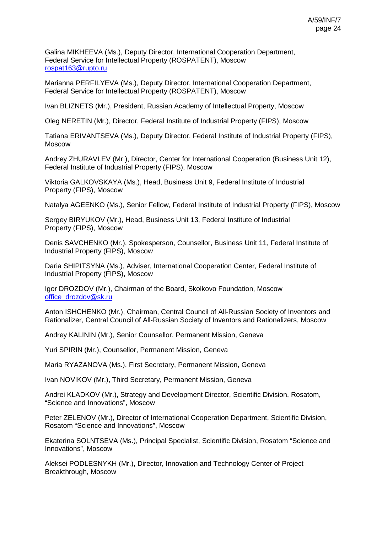Galina MIKHEEVA (Ms.), Deputy Director, International Cooperation Department, Federal Service for Intellectual Property (ROSPATENT), Moscow [rospat163@rupto.ru](mailto:rospat163@rupto.ru)

Marianna PERFILYEVA (Ms.), Deputy Director, International Cooperation Department, Federal Service for Intellectual Property (ROSPATENT), Moscow

Ivan BLIZNETS (Mr.), President, Russian Academy of Intellectual Property, Moscow

Oleg NERETIN (Mr.), Director, Federal Institute of Industrial Property (FIPS), Moscow

Tatiana ERIVANTSEVA (Ms.), Deputy Director, Federal Institute of Industrial Property (FIPS), Moscow

Andrey ZHURAVLEV (Mr.), Director, Center for International Cooperation (Business Unit 12), Federal Institute of Industrial Property (FIPS), Moscow

Viktoria GALKOVSKAYA (Ms.), Head, Business Unit 9, Federal Institute of Industrial Property (FIPS), Moscow

Natalya AGEENKO (Ms.), Senior Fellow, Federal Institute of Industrial Property (FIPS), Moscow

Sergey BIRYUKOV (Mr.), Head, Business Unit 13, Federal Institute of Industrial Property (FIPS), Moscow

Denis SAVCHENKO (Mr.), Spokesperson, Counsellor, Business Unit 11, Federal Institute of Industrial Property (FIPS), Moscow

Daria SHIPITSYNA (Ms.), Adviser, International Cooperation Center, Federal Institute of Industrial Property (FIPS), Moscow

Igor DROZDOV (Mr.), Chairman of the Board, Skolkovo Foundation, Moscow [office\\_drozdov@sk.ru](mailto:office_drozdov@sk.ru)

Anton ISHCHENKO (Mr.), Chairman, Central Council of All-Russian Society of Inventors and Rationalizer, Central Council of All-Russian Society of Inventors and Rationalizers, Moscow

Andrey KALININ (Mr.), Senior Counsellor, Permanent Mission, Geneva

Yuri SPIRIN (Mr.), Counsellor, Permanent Mission, Geneva

Maria RYAZANOVA (Ms.), First Secretary, Permanent Mission, Geneva

Ivan NOVIKOV (Mr.), Third Secretary, Permanent Mission, Geneva

Andrei KLADKOV (Mr.), Strategy and Development Director, Scientific Division, Rosatom, "Science and Innovations", Moscow

Peter ZELENOV (Mr.), Director of International Cooperation Department, Scientific Division, Rosatom "Science and Innovations", Moscow

Ekaterina SOLNTSEVA (Ms.), Principal Specialist, Scientific Division, Rosatom "Science and Innovations", Moscow

Aleksei PODLESNYKH (Mr.), Director, Innovation and Technology Center of Project Breakthrough, Moscow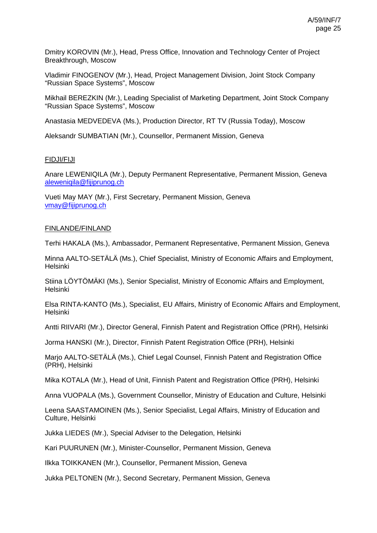Dmitry KOROVIN (Mr.), Head, Press Office, Innovation and Technology Center of Project Breakthrough, Moscow

Vladimir FINOGENOV (Mr.), Head, Project Management Division, Joint Stock Company "Russian Space Systems", Moscow

Mikhail BEREZKIN (Mr.), Leading Specialist of Marketing Department, Joint Stock Company "Russian Space Systems", Moscow

Anastasia MEDVEDEVA (Ms.), Production Director, RT TV (Russia Today), Moscow

Aleksandr SUMBATIAN (Mr.), Counsellor, Permanent Mission, Geneva

### FIDJI/FIJI

Anare LEWENIQILA (Mr.), Deputy Permanent Representative, Permanent Mission, Geneva [aleweniqila@fijiprunog.ch](mailto:aleweniqila@fijiprunog.ch)

Vueti May MAY (Mr.), First Secretary, Permanent Mission, Geneva [vmay@fijiprunog.ch](mailto:vmay@fijiprunog.ch)

#### FINLANDE/FINLAND

Terhi HAKALA (Ms.), Ambassador, Permanent Representative, Permanent Mission, Geneva

Minna AALTO-SETÄLÄ (Ms.), Chief Specialist, Ministry of Economic Affairs and Employment, Helsinki

Stiina LÖYTÖMÄKI (Ms.), Senior Specialist, Ministry of Economic Affairs and Employment, Helsinki

Elsa RINTA-KANTO (Ms.), Specialist, EU Affairs, Ministry of Economic Affairs and Employment, **Helsinki** 

Antti RIIVARI (Mr.), Director General, Finnish Patent and Registration Office (PRH), Helsinki

Jorma HANSKI (Mr.), Director, Finnish Patent Registration Office (PRH), Helsinki

Marjo AALTO-SETÄLÄ (Ms.), Chief Legal Counsel, Finnish Patent and Registration Office (PRH), Helsinki

Mika KOTALA (Mr.), Head of Unit, Finnish Patent and Registration Office (PRH), Helsinki

Anna VUOPALA (Ms.), Government Counsellor, Ministry of Education and Culture, Helsinki

Leena SAASTAMOINEN (Ms.), Senior Specialist, Legal Affairs, Ministry of Education and Culture, Helsinki

Jukka LIEDES (Mr.), Special Adviser to the Delegation, Helsinki

Kari PUURUNEN (Mr.), Minister-Counsellor, Permanent Mission, Geneva

Ilkka TOIKKANEN (Mr.), Counsellor, Permanent Mission, Geneva

Jukka PELTONEN (Mr.), Second Secretary, Permanent Mission, Geneva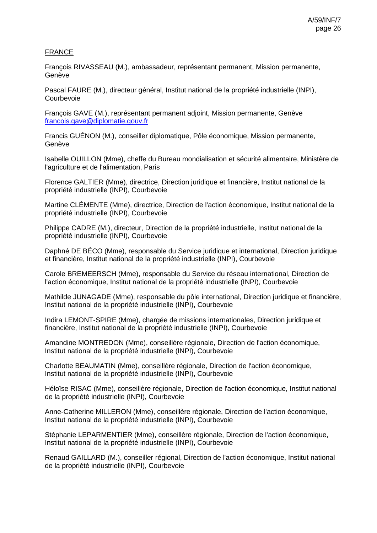# FRANCE

François RIVASSEAU (M.), ambassadeur, représentant permanent, Mission permanente, Genève

Pascal FAURE (M.), directeur général, Institut national de la propriété industrielle (INPI), Courbevoie

François GAVE (M.), représentant permanent adjoint, Mission permanente, Genève [francois.gave@diplomatie.gouv.fr](mailto:francois.gave@diplomatie.gouv.fr)

Francis GUÉNON (M.), conseiller diplomatique, Pôle économique, Mission permanente, Genève

Isabelle OUILLON (Mme), cheffe du Bureau mondialisation et sécurité alimentaire, Ministère de l'agriculture et de l'alimentation, Paris

Florence GALTIER (Mme), directrice, Direction juridique et financière, Institut national de la propriété industrielle (INPI), Courbevoie

Martine CLÉMENTE (Mme), directrice, Direction de l'action économique, Institut national de la propriété industrielle (INPI), Courbevoie

Philippe CADRE (M.), directeur, Direction de la propriété industrielle, Institut national de la propriété industrielle (INPI), Courbevoie

Daphné DE BÉCO (Mme), responsable du Service juridique et international, Direction juridique et financière, Institut national de la propriété industrielle (INPI), Courbevoie

Carole BREMEERSCH (Mme), responsable du Service du réseau international, Direction de l'action économique, Institut national de la propriété industrielle (INPI), Courbevoie

Mathilde JUNAGADE (Mme), responsable du pôle international, Direction juridique et financière, Institut national de la propriété industrielle (INPI), Courbevoie

Indira LEMONT-SPIRE (Mme), chargée de missions internationales, Direction juridique et financière, Institut national de la propriété industrielle (INPI), Courbevoie

Amandine MONTREDON (Mme), conseillère régionale, Direction de l'action économique, Institut national de la propriété industrielle (INPI), Courbevoie

Charlotte BEAUMATIN (Mme), conseillère régionale, Direction de l'action économique, Institut national de la propriété industrielle (INPI), Courbevoie

Héloïse RISAC (Mme), conseillère régionale, Direction de l'action économique, Institut national de la propriété industrielle (INPI), Courbevoie

Anne-Catherine MILLERON (Mme), conseillère régionale, Direction de l'action économique, Institut national de la propriété industrielle (INPI), Courbevoie

Stéphanie LEPARMENTIER (Mme), conseillère régionale, Direction de l'action économique, Institut national de la propriété industrielle (INPI), Courbevoie

Renaud GAILLARD (M.), conseiller régional, Direction de l'action économique, Institut national de la propriété industrielle (INPI), Courbevoie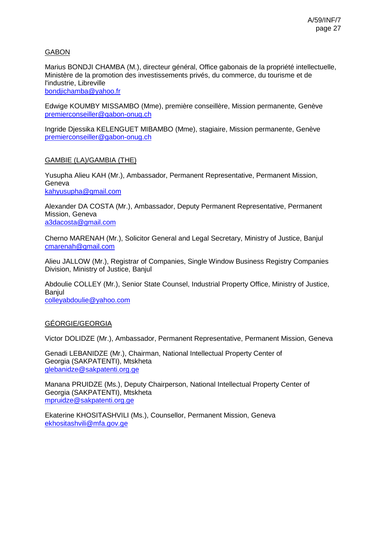# GABON

Marius BONDJI CHAMBA (M.), directeur général, Office gabonais de la propriété intellectuelle, Ministère de la promotion des investissements privés, du commerce, du tourisme et de l'industrie, Libreville [bondjichamba@yahoo.fr](mailto:bondjichamba@yahoo.fr)

Edwige KOUMBY MISSAMBO (Mme), première conseillère, Mission permanente, Genève [premierconseiller@gabon-onug.ch](mailto:premierconseiller@gabon-onug.ch)

Ingride Djessika KELENGUET MIBAMBO (Mme), stagiaire, Mission permanente, Genève [premierconseiller@gabon-onug.ch](mailto:premierconseiller@gabon-onug.ch)

### GAMBIE (LA)/GAMBIA (THE)

Yusupha Alieu KAH (Mr.), Ambassador, Permanent Representative, Permanent Mission, **Geneva** [kahyusupha@gmail.com](mailto:kahyusupha@gmail.com)

Alexander DA COSTA (Mr.), Ambassador, Deputy Permanent Representative, Permanent Mission, Geneva [a3dacosta@gmail.com](mailto:a3dacosta@gmail.com)

Cherno MARENAH (Mr.), Solicitor General and Legal Secretary, Ministry of Justice, Banjul [cmarenah@gmail.com](mailto:cmarenah@gmail.com)

Alieu JALLOW (Mr.), Registrar of Companies, Single Window Business Registry Companies Division, Ministry of Justice, Banjul

Abdoulie COLLEY (Mr.), Senior State Counsel, Industrial Property Office, Ministry of Justice, Banjul

[colleyabdoulie@yahoo.com](mailto:colleyabdoulie@yahoo.com)

# GÉORGIE/GEORGIA

Victor DOLIDZE (Mr.), Ambassador, Permanent Representative, Permanent Mission, Geneva

Genadi LEBANIDZE (Mr.), Chairman, National Intellectual Property Center of Georgia (SAKPATENTI), Mtskheta [glebanidze@sakpatenti.org.ge](mailto:glebanidze@sakpatenti.org.ge)

Manana PRUIDZE (Ms.), Deputy Chairperson, National Intellectual Property Center of Georgia (SAKPATENTI), Mtskheta [mpruidze@sakpatenti.org.ge](mailto:mpruidze@sakpatenti.org.ge)

Ekaterine KHOSITASHVILI (Ms.), Counsellor, Permanent Mission, Geneva [ekhositashvili@mfa.gov.ge](mailto:ekhositashvili@mfa.gov.ge)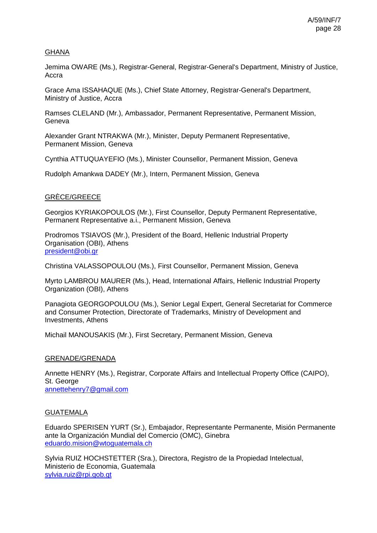### GHANA

Jemima OWARE (Ms.), Registrar-General, Registrar-General's Department, Ministry of Justice, Accra

Grace Ama ISSAHAQUE (Ms.), Chief State Attorney, Registrar-General's Department, Ministry of Justice, Accra

Ramses CLELAND (Mr.), Ambassador, Permanent Representative, Permanent Mission, Geneva

Alexander Grant NTRAKWA (Mr.), Minister, Deputy Permanent Representative, Permanent Mission, Geneva

Cynthia ATTUQUAYEFIO (Ms.), Minister Counsellor, Permanent Mission, Geneva

Rudolph Amankwa DADEY (Mr.), Intern, Permanent Mission, Geneva

### GRÈCE/GREECE

Georgios KYRIAKOPOULOS (Mr.), First Counsellor, Deputy Permanent Representative, Permanent Representative a.i., Permanent Mission, Geneva

Prodromos TSIAVOS (Mr.), President of the Board, Hellenic Industrial Property Organisation (OBI), Athens [president@obi.gr](mailto:president@obi.gr)

Christina VALASSOPOULOU (Ms.), First Counsellor, Permanent Mission, Geneva

Myrto LAMBROU MAURER (Ms.), Head, International Affairs, Hellenic Industrial Property Organization (OBI), Athens

Panagiota GEORGOPOULOU (Ms.), Senior Legal Expert, General Secretariat for Commerce and Consumer Protection, Directorate of Trademarks, Ministry of Development and Investments, Athens

Michail MANOUSAKIS (Mr.), First Secretary, Permanent Mission, Geneva

### GRENADE/GRENADA

Annette HENRY (Ms.), Registrar, Corporate Affairs and Intellectual Property Office (CAIPO), St. George [annettehenry7@gmail.com](mailto:annettehenry7@gmail.com)

### GUATEMALA

Eduardo SPERISEN YURT (Sr.), Embajador, Representante Permanente, Misión Permanente ante la Organización Mundial del Comercio (OMC), Ginebra [eduardo.mision@wtoguatemala.ch](mailto:eduardo.mision@wtoguatemala.ch)

Sylvia RUIZ HOCHSTETTER (Sra.), Directora, Registro de la Propiedad Intelectual, Ministerio de Economia, Guatemala [sylvia.ruiz@rpi.gob.gt](mailto:sylvia.ruiz@rpi.gob.gt)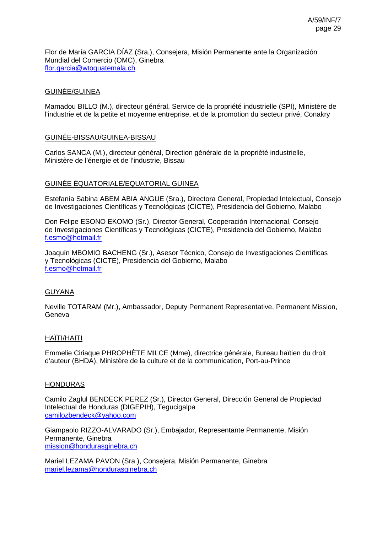Flor de María GARCIA DÍAZ (Sra.), Consejera, Misión Permanente ante la Organización Mundial del Comercio (OMC), Ginebra [flor.garcia@wtoguatemala.ch](mailto:flor.garcia@wtoguatemala.ch)

### GUINÉE/GUINEA

Mamadou BILLO (M.), directeur général, Service de la propriété industrielle (SPI), Ministère de l'industrie et de la petite et moyenne entreprise, et de la promotion du secteur privé, Conakry

### GUINÉE-BISSAU/GUINEA-BISSAU

Carlos SANCA (M.), directeur général, Direction générale de la propriété industrielle, Ministère de l'énergie et de l'industrie, Bissau

### GUINÉE ÉQUATORIALE/EQUATORIAL GUINEA

Estefanía Sabina ABEM ABIA ANGUE (Sra.), Directora General, Propiedad Intelectual, Consejo de Investigaciones Científicas y Tecnológicas (CICTE), Presidencia del Gobierno, Malabo

Don Felipe ESONO EKOMO (Sr.), Director General, Cooperación Internacional, Consejo de Investigaciones Científicas y Tecnológicas (CICTE), Presidencia del Gobierno, Malabo [f.esmo@hotmail.fr](mailto:f.esmo@hotmail.fr)

Joaquín MBOMIO BACHENG (Sr.), Asesor Técnico, Consejo de Investigaciones Científicas y Tecnológicas (CICTE), Presidencia del Gobierno, Malabo [f.esmo@hotmail.fr](mailto:f.esmo@hotmail.fr)

### GUYANA

Neville TOTARAM (Mr.), Ambassador, Deputy Permanent Representative, Permanent Mission, Geneva

### HAÏTI/HAITI

Emmelie Ciriaque PHROPHÈTE MILCE (Mme), directrice générale, Bureau haïtien du droit d'auteur (BHDA), Ministère de la culture et de la communication, Port-au-Prince

### HONDURAS

Camilo Zaglul BENDECK PEREZ (Sr.), Director General, Dirección General de Propiedad Intelectual de Honduras (DIGEPIH), Tegucigalpa [camilozbendeck@yahoo.com](mailto:camilozbendeck@yahoo.com)

Giampaolo RIZZO-ALVARADO (Sr.), Embajador, Representante Permanente, Misión Permanente, Ginebra [mission@hondurasginebra.ch](mailto:mission@hondurasginebra.ch)

Mariel LEZAMA PAVON (Sra.), Consejera, Misión Permanente, Ginebra [mariel.lezama@hondurasginebra.ch](mailto:mariel.lezama@hondurasginebra.ch)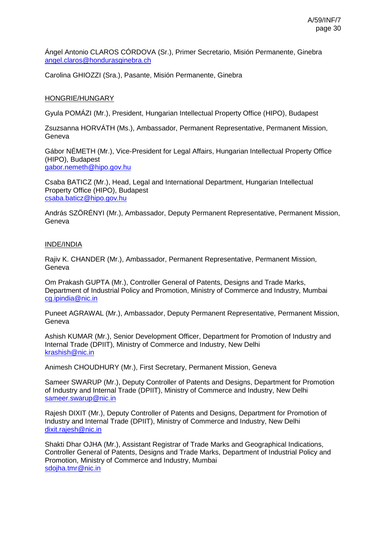Ángel Antonio CLAROS CÓRDOVA (Sr.), Primer Secretario, Misión Permanente, Ginebra [angel.claros@hondurasginebra.ch](mailto:angel.claros@hondurasginebra.ch)

Carolina GHIOZZI (Sra.), Pasante, Misión Permanente, Ginebra

### HONGRIE/HUNGARY

Gyula POMÁZI (Mr.), President, Hungarian Intellectual Property Office (HIPO), Budapest

Zsuzsanna HORVÁTH (Ms.), Ambassador, Permanent Representative, Permanent Mission, Geneva

Gábor NÉMETH (Mr.), Vice-President for Legal Affairs, Hungarian Intellectual Property Office (HIPO), Budapest [gabor.nemeth@hipo.gov.hu](mailto:gabor.nemeth@hipo.gov.hu)

Csaba BATICZ (Mr.), Head, Legal and International Department, Hungarian Intellectual Property Office (HIPO), Budapest [csaba.baticz@hipo.gov.hu](mailto:csaba.baticz@hipo.gov.hu)

András SZÖRÉNYI (Mr.), Ambassador, Deputy Permanent Representative, Permanent Mission, Geneva

### INDE/INDIA

Rajiv K. CHANDER (Mr.), Ambassador, Permanent Representative, Permanent Mission, **Geneva** 

Om Prakash GUPTA (Mr.), Controller General of Patents, Designs and Trade Marks, Department of Industrial Policy and Promotion, Ministry of Commerce and Industry, Mumbai [cg.ipindia@nic.in](mailto:cg.ipindia@nic.in)

Puneet AGRAWAL (Mr.), Ambassador, Deputy Permanent Representative, Permanent Mission, **Geneva** 

Ashish KUMAR (Mr.), Senior Development Officer, Department for Promotion of Industry and Internal Trade (DPIIT), Ministry of Commerce and Industry, New Delhi [krashish@nic.in](mailto:krashish@nic.in)

Animesh CHOUDHURY (Mr.), First Secretary, Permanent Mission, Geneva

Sameer SWARUP (Mr.), Deputy Controller of Patents and Designs, Department for Promotion of Industry and Internal Trade (DPIIT), Ministry of Commerce and Industry, New Delhi [sameer.swarup@nic.in](mailto:sameer.swarup@nic.in)

Rajesh DIXIT (Mr.), Deputy Controller of Patents and Designs, Department for Promotion of Industry and Internal Trade (DPIIT), Ministry of Commerce and Industry, New Delhi [dixit.rajesh@nic.in](mailto:dixit.rajesh@nic.in)

Shakti Dhar OJHA (Mr.), Assistant Registrar of Trade Marks and Geographical Indications, Controller General of Patents, Designs and Trade Marks, Department of Industrial Policy and Promotion, Ministry of Commerce and Industry, Mumbai [sdojha.tmr@nic.in](mailto:sdojha.tmr@nic.in)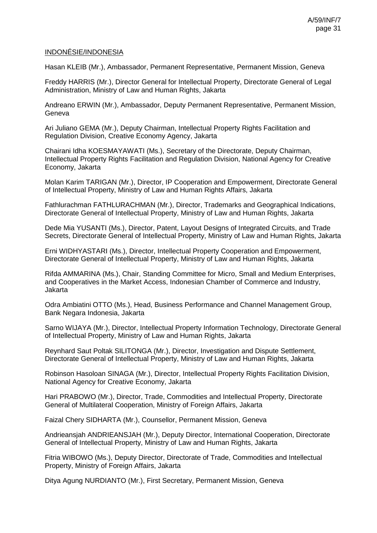### INDONÉSIE/INDONESIA

Hasan KLEIB (Mr.), Ambassador, Permanent Representative, Permanent Mission, Geneva

Freddy HARRIS (Mr.), Director General for Intellectual Property, Directorate General of Legal Administration, Ministry of Law and Human Rights, Jakarta

Andreano ERWIN (Mr.), Ambassador, Deputy Permanent Representative, Permanent Mission, **Geneva** 

Ari Juliano GEMA (Mr.), Deputy Chairman, Intellectual Property Rights Facilitation and Regulation Division, Creative Economy Agency, Jakarta

Chairani Idha KOESMAYAWATI (Ms.), Secretary of the Directorate, Deputy Chairman, Intellectual Property Rights Facilitation and Regulation Division, National Agency for Creative Economy, Jakarta

Molan Karim TARIGAN (Mr.), Director, IP Cooperation and Empowerment, Directorate General of Intellectual Property, Ministry of Law and Human Rights Affairs, Jakarta

Fathlurachman FATHLURACHMAN (Mr.), Director, Trademarks and Geographical Indications, Directorate General of Intellectual Property, Ministry of Law and Human Rights, Jakarta

Dede Mia YUSANTI (Ms.), Director, Patent, Layout Designs of Integrated Circuits, and Trade Secrets, Directorate General of Intellectual Property, Ministry of Law and Human Rights, Jakarta

Erni WIDHYASTARI (Ms.), Director, Intellectual Property Cooperation and Empowerment, Directorate General of Intellectual Property, Ministry of Law and Human Rights, Jakarta

Rifda AMMARINA (Ms.), Chair, Standing Committee for Micro, Small and Medium Enterprises, and Cooperatives in the Market Access, Indonesian Chamber of Commerce and Industry, Jakarta

Odra Ambiatini OTTO (Ms.), Head, Business Performance and Channel Management Group, Bank Negara Indonesia, Jakarta

Sarno WIJAYA (Mr.), Director, Intellectual Property Information Technology, Directorate General of Intellectual Property, Ministry of Law and Human Rights, Jakarta

Reynhard Saut Poltak SILITONGA (Mr.), Director, Investigation and Dispute Settlement, Directorate General of Intellectual Property, Ministry of Law and Human Rights, Jakarta

Robinson Hasoloan SINAGA (Mr.), Director, Intellectual Property Rights Facilitation Division, National Agency for Creative Economy, Jakarta

Hari PRABOWO (Mr.), Director, Trade, Commodities and Intellectual Property, Directorate General of Multilateral Cooperation, Ministry of Foreign Affairs, Jakarta

Faizal Chery SIDHARTA (Mr.), Counsellor, Permanent Mission, Geneva

Andrieansjah ANDRIEANSJAH (Mr.), Deputy Director, International Cooperation, Directorate General of Intellectual Property, Ministry of Law and Human Rights, Jakarta

Fitria WIBOWO (Ms.), Deputy Director, Directorate of Trade, Commodities and Intellectual Property, Ministry of Foreign Affairs, Jakarta

Ditya Agung NURDIANTO (Mr.), First Secretary, Permanent Mission, Geneva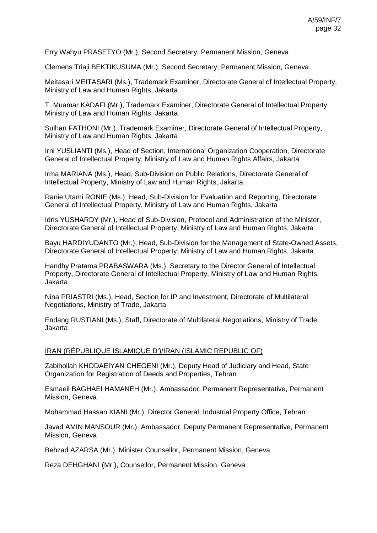Erry Wahyu PRASETYO (Mr.), Second Secretary, Permanent Mission, Geneva

Clemens Triaji BEKTIKUSUMA (Mr.), Second Secretary, Permanent Mission, Geneva

Meitasari MEITASARI (Ms.), Trademark Examiner, Directorate General of Intellectual Property, Ministry of Law and Human Rights, Jakarta

T. Muamar KADAFI (Mr.), Trademark Examiner, Directorate General of Intellectual Property, Ministry of Law and Human Rights, Jakarta

Sulhan FATHONI (Mr.), Trademark Examiner, Directorate General of Intellectual Property, Ministry of Law and Human Rights, Jakarta

Irni YUSLIANTI (Ms.), Head of Section, International Organization Cooperation, Directorate General of Intellectual Property, Ministry of Law and Human Rights Affairs, Jakarta

Irma MARIANA (Ms.), Head, Sub-Division on Public Relations, Directorate General of Intellectual Property, Ministry of Law and Human Rights, Jakarta

Ranie Utami RONIE (Ms.), Head, Sub-Division for Evaluation and Reporting, Directorate General of Intellectual Property, Ministry of Law and Human Rights, Jakarta

Idris YUSHARDY (Mr.), Head of Sub-Division, Protocol and Administration of the Minister, Directorate General of Intellectual Property, Ministry of Law and Human Rights, Jakarta

Bayu HARDIYUDANTO (Mr.), Head, Sub-Division for the Management of State-Owned Assets, Directorate General of Intellectual Property, Ministry of Law and Human Rights, Jakarta

Handhy Pratama PRABASWARA (Ms.), Secretary to the Director General of Intellectual Property, Directorate General of Intellectual Property, Ministry of Law and Human Rights, Jakarta

Nina PRIASTRI (Ms.), Head, Section for IP and Investment, Directorate of Multilateral Negotiations, Ministry of Trade, Jakarta

Endang RUSTIANI (Ms.), Staff, Directorate of Multilateral Negotiations, Ministry of Trade, Jakarta

#### IRAN (RÉPUBLIQUE ISLAMIQUE D')/IRAN (ISLAMIC REPUBLIC OF)

Zabihollah KHODAEIYAN CHEGENI (Mr.), Deputy Head of Judiciary and Head, State Organization for Registration of Deeds and Properties, Tehran

Esmaeil BAGHAEI HAMANEH (Mr.), Ambassador, Permanent Representative, Permanent Mission, Geneva

Mohammad Hassan KIANI (Mr.), Director General, Industrial Property Office, Tehran

Javad AMIN MANSOUR (Mr.), Ambassador, Deputy Permanent Representative, Permanent Mission, Geneva

Behzad AZARSA (Mr.), Minister Counsellor, Permanent Mission, Geneva

Reza DEHGHANI (Mr.), Counsellor, Permanent Mission, Geneva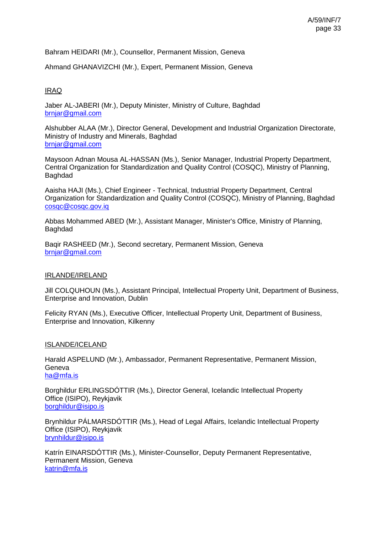Bahram HEIDARI (Mr.), Counsellor, Permanent Mission, Geneva

Ahmand GHANAVIZCHI (Mr.), Expert, Permanent Mission, Geneva

### IRAQ

Jaber AL-JABERI (Mr.), Deputy Minister, Ministry of Culture, Baghdad [brnjar@gmail.com](mailto:brnjar@gmail.com)

Alshubber ALAA (Mr.), Director General, Development and Industrial Organization Directorate, Ministry of Industry and Minerals, Baghdad [brnjar@gmail.com](mailto:brnjar@gmail.com)

Maysoon Adnan Mousa AL-HASSAN (Ms.), Senior Manager, Industrial Property Department, Central Organization for Standardization and Quality Control (COSQC), Ministry of Planning, Baghdad

Aaisha HAJI (Ms.), Chief Engineer - Technical, Industrial Property Department, Central Organization for Standardization and Quality Control (COSQC), Ministry of Planning, Baghdad [cosqc@cosqc.gov.iq](mailto:cosqc@cosqc.gov.iq)

Abbas Mohammed ABED (Mr.), Assistant Manager, Minister's Office, Ministry of Planning, Baghdad

Baqir RASHEED (Mr.), Second secretary, Permanent Mission, Geneva [brnjar@gmail.com](mailto:brnjar@gmail.com)

### IRLANDE/IRELAND

Jill COLQUHOUN (Ms.), Assistant Principal, Intellectual Property Unit, Department of Business, Enterprise and Innovation, Dublin

Felicity RYAN (Ms.), Executive Officer, Intellectual Property Unit, Department of Business, Enterprise and Innovation, Kilkenny

### ISLANDE/ICELAND

Harald ASPELUND (Mr.), Ambassador, Permanent Representative, Permanent Mission, Geneva [ha@mfa.is](mailto:ha@mfa.is)

Borghildur ERLINGSDÓTTIR (Ms.), Director General, Icelandic Intellectual Property Office (ISIPO), Reykjavik [borghildur@isipo.is](mailto:borghildur@isipo.is)

Brynhildur PÁLMARSDÓTTIR (Ms.), Head of Legal Affairs, Icelandic Intellectual Property Office (ISIPO), Reykjavik [brynhildur@isipo.is](mailto:brynhildur@isipo.is)

Katrín EINARSDÓTTIR (Ms.), Minister-Counsellor, Deputy Permanent Representative, Permanent Mission, Geneva [katrin@mfa.is](mailto:katrin@mfa.is)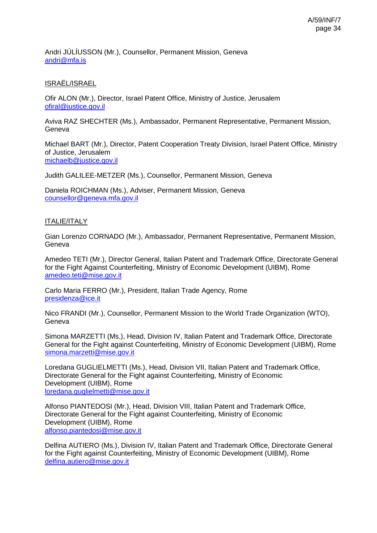Andri JÚLÍUSSON (Mr.), Counsellor, Permanent Mission, Geneva [andri@mfa.is](mailto:andri@mfa.is)

# ISRAËL/ISRAEL

Ofir ALON (Mr.), Director, Israel Patent Office, Ministry of Justice, Jerusalem [ofiral@justice.gov.il](mailto:ofiral@justice.gov.il)

Aviva RAZ SHECHTER (Ms.), Ambassador, Permanent Representative, Permanent Mission, Geneva

Michael BART (Mr.), Director, Patent Cooperation Treaty Division, Israel Patent Office, Ministry of Justice, Jerusalem [michaelb@justice.gov.il](mailto:michaelb@justice.gov.il)

Judith GALILEE-METZER (Ms.), Counsellor, Permanent Mission, Geneva

Daniela ROICHMAN (Ms.), Adviser, Permanent Mission, Geneva [counsellor@geneva.mfa.gov.il](mailto:counsellor@geneva.mfa.gov.il)

### ITALIE/ITALY

Gian Lorenzo CORNADO (Mr.), Ambassador, Permanent Representative, Permanent Mission, Geneva

Amedeo TETI (Mr.), Director General, Italian Patent and Trademark Office, Directorate General for the Fight Against Counterfeiting, Ministry of Economic Development (UIBM), Rome [amedeo.teti@mise.gov.it](mailto:amedeo.teti@mise.gov.it)

Carlo Maria FERRO (Mr.), President, Italian Trade Agency, Rome [presidenza@ice.it](mailto:presidenza@ice.it)

Nico FRANDI (Mr.), Counsellor, Permanent Mission to the World Trade Organization (WTO), **Geneva** 

Simona MARZETTI (Ms.), Head, Division IV, Italian Patent and Trademark Office, Directorate General for the Fight against Counterfeiting, Ministry of Economic Development (UIBM), Rome [simona.marzetti@mise.gov.it](mailto:simona.marzetti@mise.gov.it)

Loredana GUGLIELMETTI (Ms.), Head, Division VII, Italian Patent and Trademark Office, Directorate General for the Fight against Counterfeiting, Ministry of Economic Development (UIBM), Rome [loredana.guglielmetti@mise.gov.it](mailto:loredana.guglielmetti@mise.gov.it)

Alfonso PIANTEDOSI (Mr.), Head, Division VIII, Italian Patent and Trademark Office, Directorate General for the Fight against Counterfeiting, Ministry of Economic Development (UIBM), Rome [alfonso.piantedosi@mise.gov.it](mailto:alfonso.piantedosi@mise.gov.it)

Delfina AUTIERO (Ms.), Division IV, Italian Patent and Trademark Office, Directorate General for the Fight against Counterfeiting, Ministry of Economic Development (UIBM), Rome [delfina.autiero@mise.gov.it](mailto:delfina.autiero@mise.gov.it)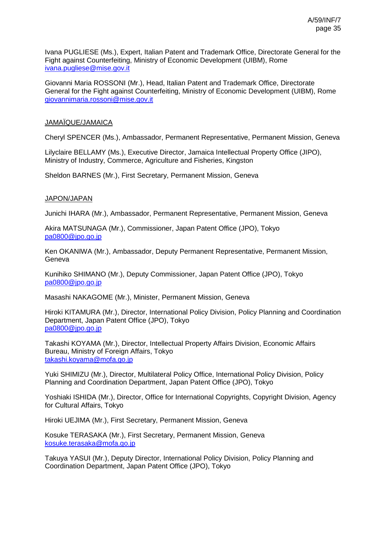Ivana PUGLIESE (Ms.), Expert, Italian Patent and Trademark Office, Directorate General for the Fight against Counterfeiting, Ministry of Economic Development (UIBM), Rome [ivana.pugliese@mise.gov.it](mailto:ivana.pugliese@mise.gov.it)

Giovanni Maria ROSSONI (Mr.), Head, Italian Patent and Trademark Office, Directorate General for the Fight against Counterfeiting, Ministry of Economic Development (UIBM), Rome [giovannimaria.rossoni@mise.gov.it](mailto:giovannimaria.rossoni@mise.gov.it)

### JAMAÏQUE/JAMAICA

Cheryl SPENCER (Ms.), Ambassador, Permanent Representative, Permanent Mission, Geneva

Lilyclaire BELLAMY (Ms.), Executive Director, Jamaica Intellectual Property Office (JIPO), Ministry of Industry, Commerce, Agriculture and Fisheries, Kingston

Sheldon BARNES (Mr.), First Secretary, Permanent Mission, Geneva

### JAPON/JAPAN

Junichi IHARA (Mr.), Ambassador, Permanent Representative, Permanent Mission, Geneva

Akira MATSUNAGA (Mr.), Commissioner, Japan Patent Office (JPO), Tokyo [pa0800@jpo.go.jp](mailto:pa0800@jpo.go.jp)

Ken OKANIWA (Mr.), Ambassador, Deputy Permanent Representative, Permanent Mission, Geneva

Kunihiko SHIMANO (Mr.), Deputy Commissioner, Japan Patent Office (JPO), Tokyo [pa0800@jpo.go.jp](mailto:pa0800@jpo.go.jp)

Masashi NAKAGOME (Mr.), Minister, Permanent Mission, Geneva

Hiroki KITAMURA (Mr.), Director, International Policy Division, Policy Planning and Coordination Department, Japan Patent Office (JPO), Tokyo [pa0800@jpo.go.jp](mailto:pa0800@jpo.go.jp)

Takashi KOYAMA (Mr.), Director, Intellectual Property Affairs Division, Economic Affairs Bureau, Ministry of Foreign Affairs, Tokyo [takashi.koyama@mofa.go.jp](mailto:takashi.koyama@mofa.go.jp)

Yuki SHIMIZU (Mr.), Director, Multilateral Policy Office, International Policy Division, Policy Planning and Coordination Department, Japan Patent Office (JPO), Tokyo

Yoshiaki ISHIDA (Mr.), Director, Office for International Copyrights, Copyright Division, Agency for Cultural Affairs, Tokyo

Hiroki UEJIMA (Mr.), First Secretary, Permanent Mission, Geneva

Kosuke TERASAKA (Mr.), First Secretary, Permanent Mission, Geneva [kosuke.terasaka@mofa.go.jp](mailto:kosuke.terasaka@mofa.go.jp)

Takuya YASUI (Mr.), Deputy Director, International Policy Division, Policy Planning and Coordination Department, Japan Patent Office (JPO), Tokyo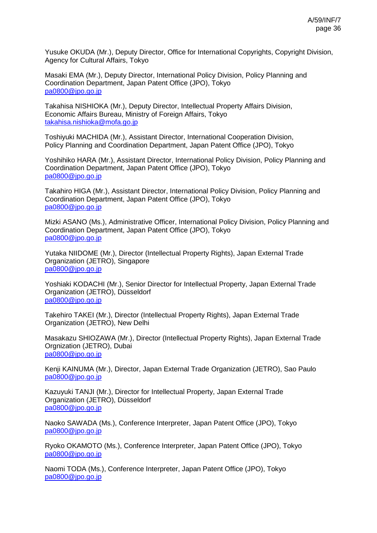Yusuke OKUDA (Mr.), Deputy Director, Office for International Copyrights, Copyright Division, Agency for Cultural Affairs, Tokyo

Masaki EMA (Mr.), Deputy Director, International Policy Division, Policy Planning and Coordination Department, Japan Patent Office (JPO), Tokyo [pa0800@jpo.go.jp](mailto:pa0800@jpo.go.jp)

Takahisa NISHIOKA (Mr.), Deputy Director, Intellectual Property Affairs Division, Economic Affairs Bureau, Ministry of Foreign Affairs, Tokyo [takahisa.nishioka@mofa.go.jp](mailto:takahisa.nishioka@mofa.go.jp)

Toshiyuki MACHIDA (Mr.), Assistant Director, International Cooperation Division, Policy Planning and Coordination Department, Japan Patent Office (JPO), Tokyo

Yoshihiko HARA (Mr.), Assistant Director, International Policy Division, Policy Planning and Coordination Department, Japan Patent Office (JPO), Tokyo [pa0800@jpo.go.jp](mailto:pa0800@jpo.go.jp)

Takahiro HIGA (Mr.), Assistant Director, International Policy Division, Policy Planning and Coordination Department, Japan Patent Office (JPO), Tokyo [pa0800@jpo.go.jp](mailto:pa0800@jpo.go.jp)

Mizki ASANO (Ms.), Administrative Officer, International Policy Division, Policy Planning and Coordination Department, Japan Patent Office (JPO), Tokyo [pa0800@jpo.go.jp](mailto:pa0800@jpo.go.jp)

Yutaka NIIDOME (Mr.), Director (Intellectual Property Rights), Japan External Trade Organization (JETRO), Singapore [pa0800@jpo.go.jp](mailto:pa0800@jpo.go.jp)

Yoshiaki KODACHI (Mr.), Senior Director for Intellectual Property, Japan External Trade Organization (JETRO), Düsseldorf [pa0800@jpo.go.jp](mailto:pa0800@jpo.go.jp)

Takehiro TAKEI (Mr.), Director (Intellectual Property Rights), Japan External Trade Organization (JETRO), New Delhi

Masakazu SHIOZAWA (Mr.), Director (Intellectual Property Rights), Japan External Trade Orgnization (JETRO), Dubai [pa0800@jpo.go.jp](mailto:pa0800@jpo.go.jp)

Kenji KAINUMA (Mr.), Director, Japan External Trade Organization (JETRO), Sao Paulo [pa0800@jpo.go.jp](mailto:pa0800@jpo.go.jp)

Kazuyuki TANJI (Mr.), Director for Intellectual Property, Japan External Trade Organization (JETRO), Düsseldorf [pa0800@jpo.go.jp](mailto:pa0800@jpo.go.jp)

Naoko SAWADA (Ms.), Conference Interpreter, Japan Patent Office (JPO), Tokyo [pa0800@jpo.go.jp](mailto:pa0800@jpo.go.jp)

Ryoko OKAMOTO (Ms.), Conference Interpreter, Japan Patent Office (JPO), Tokyo [pa0800@jpo.go.jp](mailto:pa0800@jpo.go.jp)

Naomi TODA (Ms.), Conference Interpreter, Japan Patent Office (JPO), Tokyo [pa0800@jpo.go.jp](mailto:pa0800@jpo.go.jp)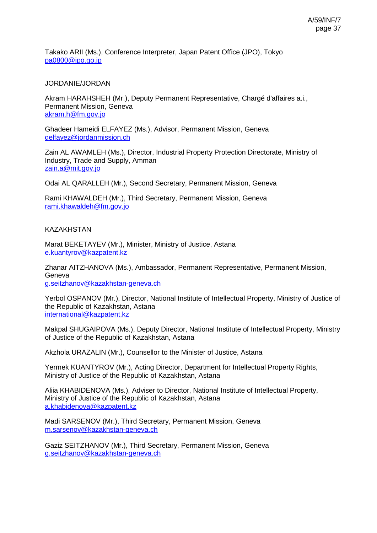Takako ARII (Ms.), Conference Interpreter, Japan Patent Office (JPO), Tokyo [pa0800@jpo.go.jp](mailto:pa0800@jpo.go.jp)

# JORDANIE/JORDAN

Akram HARAHSHEH (Mr.), Deputy Permanent Representative, Chargé d'affaires a.i., Permanent Mission, Geneva [akram.h@fm.gov.jo](mailto:akram.h@fm.gov.jo)

Ghadeer Hameidi ELFAYEZ (Ms.), Advisor, Permanent Mission, Geneva [gelfayez@jordanmission.ch](mailto:gelfayez@jordanmission.ch)

Zain AL AWAMLEH (Ms.), Director, Industrial Property Protection Directorate, Ministry of Industry, Trade and Supply, Amman [zain.a@mit.gov.jo](mailto:zain.a@mit.gov.jo)

Odai AL QARALLEH (Mr.), Second Secretary, Permanent Mission, Geneva

Rami KHAWALDEH (Mr.), Third Secretary, Permanent Mission, Geneva [rami.khawaldeh@fm.gov.jo](mailto:rami.khawaldeh@fm.gov.jo)

### **KAZAKHSTAN**

Marat BEKETAYEV (Mr.), Minister, Ministry of Justice, Astana [e.kuantyrov@kazpatent.kz](mailto:e.kuantyrov@kazpatent.kz)

Zhanar AITZHANOVA (Ms.), Ambassador, Permanent Representative, Permanent Mission, Geneva [g.seitzhanov@kazakhstan-geneva.ch](mailto:g.seitzhanov@kazakhstan-geneva.ch)

Yerbol OSPANOV (Mr.), Director, National Institute of Intellectual Property, Ministry of Justice of the Republic of Kazakhstan, Astana [international@kazpatent.kz](mailto:international@kazpatent.kz)

Makpal SHUGAIPOVA (Ms.), Deputy Director, National Institute of Intellectual Property, Ministry of Justice of the Republic of Kazakhstan, Astana

Akzhola URAZALIN (Mr.), Counsellor to the Minister of Justice, Astana

Yermek KUANTYROV (Mr.), Acting Director, Department for Intellectual Property Rights, Ministry of Justice of the Republic of Kazakhstan, Astana

Aliia KHABIDENOVA (Ms.), Adviser to Director, National Institute of Intellectual Property, Ministry of Justice of the Republic of Kazakhstan, Astana [a.khabidenova@kazpatent.kz](mailto:a.khabidenova@kazpatent.kz)

Madi SARSENOV (Mr.), Third Secretary, Permanent Mission, Geneva [m.sarsenov@kazakhstan-geneva.ch](mailto:m.sarsenov@kazakhstan-geneva.ch)

Gaziz SEITZHANOV (Mr.), Third Secretary, Permanent Mission, Geneva [g.seitzhanov@kazakhstan-geneva.ch](mailto:g.seitzhanov@kazakhstan-geneva.ch)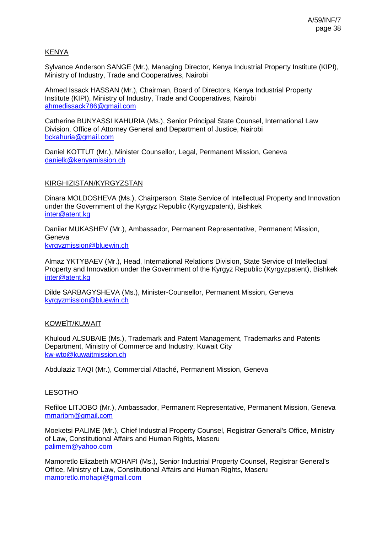# KENYA

Sylvance Anderson SANGE (Mr.), Managing Director, Kenya Industrial Property Institute (KIPI), Ministry of Industry, Trade and Cooperatives, Nairobi

Ahmed Issack HASSAN (Mr.), Chairman, Board of Directors, Kenya Industrial Property Institute (KIPI), Ministry of Industry, Trade and Cooperatives, Nairobi [ahmedissack786@gmail.com](mailto:ahmedissack786@gmail.com)

Catherine BUNYASSI KAHURIA (Ms.), Senior Principal State Counsel, International Law Division, Office of Attorney General and Department of Justice, Nairobi [bckahuria@gmail.com](mailto:bckahuria@gmail.com)

Daniel KOTTUT (Mr.), Minister Counsellor, Legal, Permanent Mission, Geneva [danielk@kenyamission.ch](mailto:danielk@kenyamission.ch)

### KIRGHIZISTAN/KYRGYZSTAN

Dinara MOLDOSHEVA (Ms.), Chairperson, State Service of Intellectual Property and Innovation under the Government of the Kyrgyz Republic (Kyrgyzpatent), Bishkek [inter@atent.kg](mailto:inter@atent.kg)

Daniiar MUKASHEV (Mr.), Ambassador, Permanent Representative, Permanent Mission, Geneva [kyrgyzmission@bluewin.ch](mailto:kyrgyzmission@bluewin.ch)

Almaz YKTYBAEV (Mr.), Head, International Relations Division, State Service of Intellectual Property and Innovation under the Government of the Kyrgyz Republic (Kyrgyzpatent), Bishkek [inter@atent.kg](mailto:inter@atent.kg)

Dilde SARBAGYSHEVA (Ms.), Minister-Counsellor, Permanent Mission, Geneva [kyrgyzmission@bluewin.ch](mailto:kyrgyzmission@bluewin.ch)

### KOWEÏT/KUWAIT

Khuloud ALSUBAIE (Ms.), Trademark and Patent Management, Trademarks and Patents Department, Ministry of Commerce and Industry, Kuwait City [kw-wto@kuwaitmission.ch](mailto:kw-wto@kuwaitmission.ch)

Abdulaziz TAQI (Mr.), Commercial Attaché, Permanent Mission, Geneva

### LESOTHO

Refiloe LITJOBO (Mr.), Ambassador, Permanent Representative, Permanent Mission, Geneva [mmaribm@gmail.com](mailto:mmaribm@gmail.com)

Moeketsi PALIME (Mr.), Chief Industrial Property Counsel, Registrar General's Office, Ministry of Law, Constitutional Affairs and Human Rights, Maseru [palimem@yahoo.com](mailto:palimem@yahoo.com)

Mamoretlo Elizabeth MOHAPI (Ms.), Senior Industrial Property Counsel, Registrar General's Office, Ministry of Law, Constitutional Affairs and Human Rights, Maseru [mamoretlo.mohapi@gmail.com](mailto:mamoretlo.mohapi@gmail.com)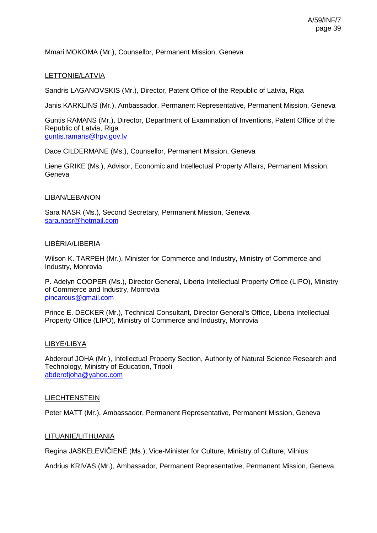Mmari MOKOMA (Mr.), Counsellor, Permanent Mission, Geneva

## LETTONIE/LATVIA

Sandris LAGANOVSKIS (Mr.), Director, Patent Office of the Republic of Latvia, Riga

Janis KARKLINS (Mr.), Ambassador, Permanent Representative, Permanent Mission, Geneva

Guntis RAMANS (Mr.), Director, Department of Examination of Inventions, Patent Office of the Republic of Latvia, Riga [guntis.ramans@lrpv.gov.lv](mailto:guntis.ramans@lrpv.gov.lv)

Dace CILDERMANE (Ms.), Counsellor, Permanent Mission, Geneva

Liene GRIKE (Ms.), Advisor, Economic and Intellectual Property Affairs, Permanent Mission, Geneva

### LIBAN/LEBANON

Sara NASR (Ms.), Second Secretary, Permanent Mission, Geneva [sara.nasr@hotmail.com](mailto:sara.nasr@hotmail.com)

#### LIBÉRIA/LIBERIA

Wilson K. TARPEH (Mr.), Minister for Commerce and Industry, Ministry of Commerce and Industry, Monrovia

P. Adelyn COOPER (Ms.), Director General, Liberia Intellectual Property Office (LIPO), Ministry of Commerce and Industry, Monrovia [pincarous@gmail.com](mailto:pincarous@gmail.com)

Prince E. DECKER (Mr.), Technical Consultant, Director General's Office, Liberia Intellectual Property Office (LIPO), Ministry of Commerce and Industry, Monrovia

#### LIBYE/LIBYA

Abderouf JOHA (Mr.), Intellectual Property Section, Authority of Natural Science Research and Technology, Ministry of Education, Tripoli [abderofjoha@yahoo.com](mailto:abderofjoha@yahoo.com)

#### **LIECHTENSTEIN**

Peter MATT (Mr.), Ambassador, Permanent Representative, Permanent Mission, Geneva

### LITUANIE/LITHUANIA

Regina JASKELEVIČIENĖ (Ms.), Vice-Minister for Culture, Ministry of Culture, Vilnius

Andrius KRIVAS (Mr.), Ambassador, Permanent Representative, Permanent Mission, Geneva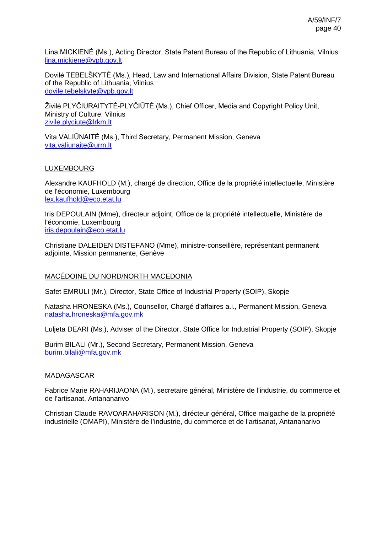Lina MICKIENĖ (Ms.), Acting Director, State Patent Bureau of the Republic of Lithuania, Vilnius [lina.mickiene@vpb.gov.lt](mailto:lina.mickiene@vpb.gov.lt)

Dovilė TEBELŠKYTĖ (Ms.), Head, Law and International Affairs Division, State Patent Bureau of the Republic of Lithuania, Vilnius [dovile.tebelskyte@vpb.gov.lt](mailto:dovile.tebelskyte@vpb.gov.lt)

Živilė PLYČIURAITYTĖ-PLYČIŪTĖ (Ms.), Chief Officer, Media and Copyright Policy Unit, Ministry of Culture, Vilnius [zivile.plyciute@lrkm.lt](mailto:zivile.plyciute@lrkm.lt)

Vita VALIŪNAITĖ (Ms.), Third Secretary, Permanent Mission, Geneva [vita.valiunaite@urm.lt](mailto:vita.valiunaite@urm.lt)

### LUXEMBOURG

Alexandre KAUFHOLD (M.), chargé de direction, Office de la propriété intellectuelle, Ministère de l'économie, Luxembourg [lex.kaufhold@eco.etat.lu](mailto:lex.kaufhold@eco.etat.lu)

Iris DEPOULAIN (Mme), directeur adjoint, Office de la propriété intellectuelle, Ministère de l'économie, Luxembourg [iris.depoulain@eco.etat.lu](mailto:iris.depoulain@eco.etat.lu)

Christiane DALEIDEN DISTEFANO (Mme), ministre-conseillère, représentant permanent adjointe, Mission permanente, Genève

### MACÉDOINE DU NORD/NORTH MACEDONIA

Safet EMRULI (Mr.), Director, State Office of Industrial Property (SOIP), Skopje

Natasha HRONESKA (Ms.), Counsellor, Chargé d'affaires a.i., Permanent Mission, Geneva [natasha.hroneska@mfa.gov.mk](mailto:natasha.hroneska@mfa.gov.mk)

Luljeta DEARI (Ms.), Adviser of the Director, State Office for Industrial Property (SOIP), Skopje

Burim BILALI (Mr.), Second Secretary, Permanent Mission, Geneva [burim.bilali@mfa.gov.mk](mailto:burim.bilali@mfa.gov.mk)

#### MADAGASCAR

Fabrice Marie RAHARIJAONA (M.), secretaire général, Ministère de l'industrie, du commerce et de l'artisanat, Antananarivo

Christian Claude RAVOARAHARISON (M.), dirécteur général, Office malgache de la propriété industrielle (OMAPI), Ministère de l'industrie, du commerce et de l'artisanat, Antananarivo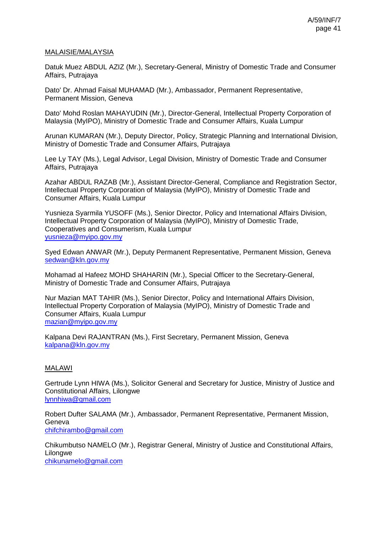### MALAISIE/MALAYSIA

Datuk Muez ABDUL AZIZ (Mr.), Secretary-General, Ministry of Domestic Trade and Consumer Affairs, Putrajaya

Dato' Dr. Ahmad Faisal MUHAMAD (Mr.), Ambassador, Permanent Representative, Permanent Mission, Geneva

Dato' Mohd Roslan MAHAYUDIN (Mr.), Director-General, Intellectual Property Corporation of Malaysia (MyIPO), Ministry of Domestic Trade and Consumer Affairs, Kuala Lumpur

Arunan KUMARAN (Mr.), Deputy Director, Policy, Strategic Planning and International Division, Ministry of Domestic Trade and Consumer Affairs, Putrajaya

Lee Ly TAY (Ms.), Legal Advisor, Legal Division, Ministry of Domestic Trade and Consumer Affairs, Putrajaya

Azahar ABDUL RAZAB (Mr.), Assistant Director-General, Compliance and Registration Sector, Intellectual Property Corporation of Malaysia (MyIPO), Ministry of Domestic Trade and Consumer Affairs, Kuala Lumpur

Yusnieza Syarmila YUSOFF (Ms.), Senior Director, Policy and International Affairs Division, Intellectual Property Corporation of Malaysia (MyIPO), Ministry of Domestic Trade, Cooperatives and Consumerism, Kuala Lumpur [yusnieza@myipo.gov.my](mailto:yusnieza@myipo.gov.my)

Syed Edwan ANWAR (Mr.), Deputy Permanent Representative, Permanent Mission, Geneva [sedwan@kln.gov.my](mailto:sedwan@kln.gov.my)

Mohamad al Hafeez MOHD SHAHARIN (Mr.), Special Officer to the Secretary-General, Ministry of Domestic Trade and Consumer Affairs, Putrajaya

Nur Mazian MAT TAHIR (Ms.), Senior Director, Policy and International Affairs Division, Intellectual Property Corporation of Malaysia (MyIPO), Ministry of Domestic Trade and Consumer Affairs, Kuala Lumpur [mazian@myipo.gov.my](mailto:mazian@myipo.gov.my)

Kalpana Devi RAJANTRAN (Ms.), First Secretary, Permanent Mission, Geneva [kalpana@kln.gov.my](mailto:kalpana@kln.gov.my)

### MALAWI

Gertrude Lynn HIWA (Ms.), Solicitor General and Secretary for Justice, Ministry of Justice and Constitutional Affairs, Lilongwe [lynnhiwa@gmail.com](mailto:lynnhiwa@gmail.com)

Robert Dufter SALAMA (Mr.), Ambassador, Permanent Representative, Permanent Mission, Geneva [chifchirambo@gmail.com](mailto:chifchirambo@gmail.com)

Chikumbutso NAMELO (Mr.), Registrar General, Ministry of Justice and Constitutional Affairs, Lilongwe [chikunamelo@gmail.com](mailto:chikunamelo@gmail.com)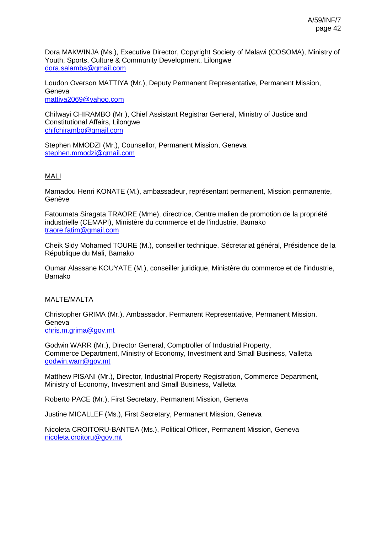Dora MAKWINJA (Ms.), Executive Director, Copyright Society of Malawi (COSOMA), Ministry of Youth, Sports, Culture & Community Development, Lilongwe [dora.salamba@gmail.com](mailto:dora.salamba@gmail.com)

Loudon Overson MATTIYA (Mr.), Deputy Permanent Representative, Permanent Mission, Geneva [mattiya2069@yahoo.com](mailto:mattiya2069@yahoo.com)

Chifwayi CHIRAMBO (Mr.), Chief Assistant Registrar General, Ministry of Justice and Constitutional Affairs, Lilongwe [chifchirambo@gmail.com](mailto:chifchirambo@gmail.com)

Stephen MMODZI (Mr.), Counsellor, Permanent Mission, Geneva [stephen.mmodzi@gmail.com](mailto:stephen.mmodzi@gmail.com)

# **MALI**

Mamadou Henri KONATE (M.), ambassadeur, représentant permanent, Mission permanente, Genève

Fatoumata Siragata TRAORE (Mme), directrice, Centre malien de promotion de la propriété industrielle (CEMAPI), Ministère du commerce et de l'industrie, Bamako [traore.fatim@gmail.com](mailto:traore.fatim@gmail.com)

Cheik Sidy Mohamed TOURE (M.), conseiller technique, Sécretariat général, Présidence de la République du Mali, Bamako

Oumar Alassane KOUYATE (M.), conseiller juridique, Ministère du commerce et de l'industrie, Bamako

### MALTE/MALTA

Christopher GRIMA (Mr.), Ambassador, Permanent Representative, Permanent Mission, Geneva [chris.m.grima@gov.mt](mailto:chris.m.grima@gov.mt)

Godwin WARR (Mr.), Director General, Comptroller of Industrial Property, Commerce Department, Ministry of Economy, Investment and Small Business, Valletta [godwin.warr@gov.mt](mailto:godwin.warr@gov.mt)

Matthew PISANI (Mr.), Director, Industrial Property Registration, Commerce Department, Ministry of Economy, Investment and Small Business, Valletta

Roberto PACE (Mr.), First Secretary, Permanent Mission, Geneva

Justine MICALLEF (Ms.), First Secretary, Permanent Mission, Geneva

Nicoleta CROITORU-BANTEA (Ms.), Political Officer, Permanent Mission, Geneva [nicoleta.croitoru@gov.mt](mailto:nicoleta.croitoru@gov.mt)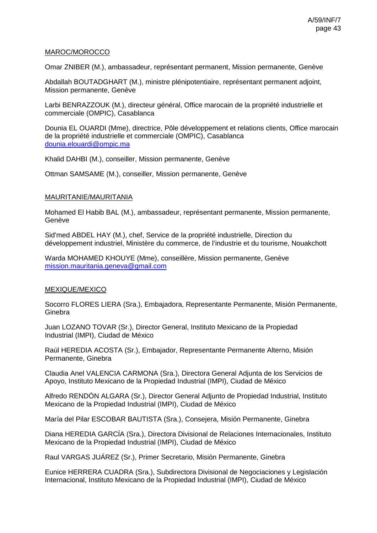## MAROC/MOROCCO

Omar ZNIBER (M.), ambassadeur, représentant permanent, Mission permanente, Genève

Abdallah BOUTADGHART (M.), ministre plénipotentiaire, représentant permanent adjoint, Mission permanente, Genève

Larbi BENRAZZOUK (M.), directeur général, Office marocain de la propriété industrielle et commerciale (OMPIC), Casablanca

Dounia EL OUARDI (Mme), directrice, Pôle développement et relations clients, Office marocain de la propriété industrielle et commerciale (OMPIC), Casablanca [dounia.elouardi@ompic.ma](mailto:dounia.elouardi@ompic.ma)

Khalid DAHBI (M.), conseiller, Mission permanente, Genève

Ottman SAMSAME (M.), conseiller, Mission permanente, Genève

## MAURITANIE/MAURITANIA

Mohamed El Habib BAL (M.), ambassadeur, représentant permanente, Mission permanente, Genève

Sid'med ABDEL HAY (M.), chef, Service de la propriété industrielle, Direction du développement industriel, Ministère du commerce, de l'industrie et du tourisme, Nouakchott

Warda MOHAMED KHOUYE (Mme), conseillère, Mission permanente, Genève [mission.mauritania.geneva@gmail.com](mailto:mission.mauritania.geneva@gmail.com)

# MEXIQUE/MEXICO

Socorro FLORES LIERA (Sra.), Embajadora, Representante Permanente, Misión Permanente, **Ginebra** 

Juan LOZANO TOVAR (Sr.), Director General, Instituto Mexicano de la Propiedad Industrial (IMPI), Ciudad de México

Raúl HEREDIA ACOSTA (Sr.), Embajador, Representante Permanente Alterno, Misión Permanente, Ginebra

Claudia Anel VALENCIA CARMONA (Sra.), Directora General Adjunta de los Servicios de Apoyo, Instituto Mexicano de la Propiedad Industrial (IMPI), Ciudad de México

Alfredo RENDÓN ALGARA (Sr.), Director General Adjunto de Propiedad Industrial, Instituto Mexicano de la Propiedad Industrial (IMPI), Ciudad de México

María del Pilar ESCOBAR BAUTISTA (Sra.), Consejera, Misión Permanente, Ginebra

Diana HEREDIA GARCÍA (Sra.), Directora Divisional de Relaciones Internacionales, Instituto Mexicano de la Propiedad Industrial (IMPI), Ciudad de México

Raul VARGAS JUÁREZ (Sr.), Primer Secretario, Misión Permanente, Ginebra

Eunice HERRERA CUADRA (Sra.), Subdirectora Divisional de Negociaciones y Legislación Internacional, Instituto Mexicano de la Propiedad Industrial (IMPI), Ciudad de México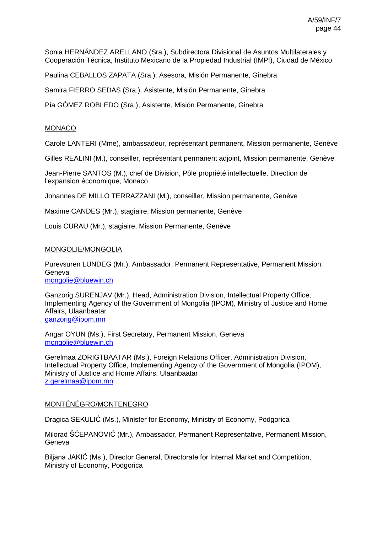Sonia HERNÁNDEZ ARELLANO (Sra.), Subdirectora Divisional de Asuntos Multilaterales y Cooperación Técnica, Instituto Mexicano de la Propiedad Industrial (IMPI), Ciudad de México

Paulina CEBALLOS ZAPATA (Sra.), Asesora, Misión Permanente, Ginebra

Samira FIERRO SEDAS (Sra.), Asistente, Misión Permanente, Ginebra

Pía GÓMEZ ROBLEDO (Sra.), Asistente, Misión Permanente, Ginebra

### MONACO

Carole LANTERI (Mme), ambassadeur, représentant permanent, Mission permanente, Genève

Gilles REALINI (M.), conseiller, représentant permanent adjoint, Mission permanente, Genève

Jean-Pierre SANTOS (M.), chef de Division, Pôle propriété intellectuelle, Direction de l'expansion économique, Monaco

Johannes DE MILLO TERRAZZANI (M.), conseiller, Mission permanente, Genève

Maxime CANDES (Mr.), stagiaire, Mission permanente, Genève

Louis CURAU (Mr.), stagiaire, Mission Permanente, Genève

#### MONGOLIE/MONGOLIA

Purevsuren LUNDEG (Mr.), Ambassador, Permanent Representative, Permanent Mission, Geneva [mongolie@bluewin.ch](mailto:mongolie@bluewin.ch)

Ganzorig SURENJAV (Mr.), Head, Administration Division, Intellectual Property Office, Implementing Agency of the Government of Mongolia (IPOM), Ministry of Justice and Home Affairs, Ulaanbaatar [ganzorig@ipom.mn](mailto:ganzorig@ipom.mn)

Angar OYUN (Ms.), First Secretary, Permanent Mission, Geneva [mongolie@bluewin.ch](mailto:mongolie@bluewin.ch)

Gerelmaa ZORIGTBAATAR (Ms.), Foreign Relations Officer, Administration Division, Intellectual Property Office, Implementing Agency of the Government of Mongolia (IPOM), Ministry of Justice and Home Affairs, Ulaanbaatar [z.gerelmaa@ipom.mn](mailto:z.gerelmaa@ipom.mn)

#### MONTÉNÉGRO/MONTENEGRO

Dragica SEKULIĆ (Ms.), Minister for Economy, Ministry of Economy, Podgorica

Milorad ŠĆEPANOVIĆ (Mr.), Ambassador, Permanent Representative, Permanent Mission, Geneva

Biljana JAKIĆ (Ms.), Director General, Directorate for Internal Market and Competition, Ministry of Economy, Podgorica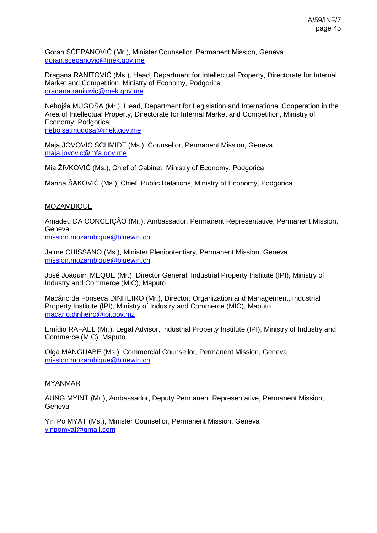Goran ŠĆEPANOVIĆ (Mr.), Minister Counsellor, Permanent Mission, Geneva [goran.scepanovic@mek.gov.me](mailto:goran.scepanovic@mek.gov.me)

Dragana RANITOVIĆ (Ms.), Head, Department for Intellectual Property, Directorate for Internal Market and Competition, Ministry of Economy, Podgorica [dragana.ranitovic@mek.gov.me](mailto:dragana.ranitovic@mek.gov.me)

Nebojša MUGOŠA (Mr.), Head, Department for Legislation and International Cooperation in the Area of Intellectual Property, Directorate for Internal Market and Competition, Ministry of Economy, Podgorica

[nebojsa.mugosa@mek.gov.me](mailto:nebojsa.mugosa@mek.gov.me)

Maja JOVOVIC SCHMIDT (Ms.), Counsellor, Permanent Mission, Geneva [maja.jovovic@mfa.gov.me](mailto:maja.jovovic@mfa.gov.me)

Mia ŽIVKOVIĆ (Ms.), Chief of Cabinet, Ministry of Economy, Podgorica

Marina ŠAKOVIĆ (Ms.), Chief, Public Relations, Ministry of Economy, Podgorica

# MOZAMBIQUE

Amadeu DA CONCEIÇÂO (Mr.), Ambassador, Permanent Representative, Permanent Mission, Geneva [mission.mozambique@bluewin.ch](mailto:mission.mozambique@bluewin.ch)

Jaime CHISSANO (Ms.), Minister Plenipotentiary, Permanent Mission, Geneva [mission.mozambique@bluewin.ch](mailto:mission.mozambique@bluewin.ch)

José Joaquim MEQUE (Mr.), Director General, Industrial Property Institute (IPI), Ministry of Industry and Commerce (MIC), Maputo

Macário da Fonseca DINHEIRO (Mr.), Director, Organization and Management, Industrial Property Institute (IPI), Ministry of Industry and Commerce (MIC), Maputo [macario.dinheiro@ipi.gov.mz](mailto:macario.dinheiro@ipi.gov.mz)

Emídio RAFAEL (Mr.), Legal Advisor, Industrial Property Institute (IPI), Ministry of Industry and Commerce (MIC), Maputo

Olga MANGUABE (Ms.), Commercial Counsellor, Permanent Mission, Geneva [mission.mozambique@bluewin.ch](mailto:mission.mozambique@bluewin.ch)

# MYANMAR

AUNG MYINT (Mr.), Ambassador, Deputy Permanent Representative, Permanent Mission, Geneva

Yin Po MYAT (Ms.), Minister Counsellor, Permanent Mission, Geneva [yinpomyat@gmail.com](mailto:yinpomyat@gmail.com)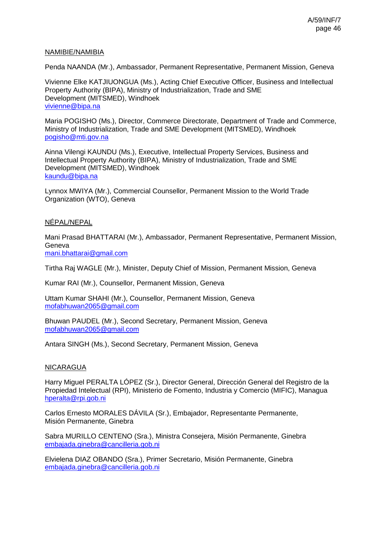## NAMIBIE/NAMIBIA

Penda NAANDA (Mr.), Ambassador, Permanent Representative, Permanent Mission, Geneva

Vivienne Elke KATJIUONGUA (Ms.), Acting Chief Executive Officer, Business and Intellectual Property Authority (BIPA), Ministry of Industrialization, Trade and SME Development (MITSMED), Windhoek [vivienne@bipa.na](mailto:vivienne@bipa.na)

Maria POGISHO (Ms.), Director, Commerce Directorate, Department of Trade and Commerce, Ministry of Industrialization, Trade and SME Development (MITSMED), Windhoek [pogisho@mti.gov.na](mailto:pogisho@mti.gov.na)

Ainna Vilengi KAUNDU (Ms.), Executive, Intellectual Property Services, Business and Intellectual Property Authority (BIPA), Ministry of Industrialization, Trade and SME Development (MITSMED), Windhoek [kaundu@bipa.na](mailto:kaundu@bipa.na)

Lynnox MWIYA (Mr.), Commercial Counsellor, Permanent Mission to the World Trade Organization (WTO), Geneva

# NÉPAL/NEPAL

Mani Prasad BHATTARAI (Mr.), Ambassador, Permanent Representative, Permanent Mission, Geneva [mani.bhattarai@gmail.com](mailto:mani.bhattarai@gmail.com)

Tirtha Raj WAGLE (Mr.), Minister, Deputy Chief of Mission, Permanent Mission, Geneva

Kumar RAI (Mr.), Counsellor, Permanent Mission, Geneva

Uttam Kumar SHAHI (Mr.), Counsellor, Permanent Mission, Geneva [mofabhuwan2065@gmail.com](mailto:mofabhuwan2065@gmail.com)

Bhuwan PAUDEL (Mr.), Second Secretary, Permanent Mission, Geneva [mofabhuwan2065@gmail.com](mailto:mofabhuwan2065@gmail.com)

Antara SINGH (Ms.), Second Secretary, Permanent Mission, Geneva

### NICARAGUA

Harry Miguel PERALTA LÓPEZ (Sr.), Director General, Dirección General del Registro de la Propiedad Intelectual (RPI), Ministerio de Fomento, Industria y Comercio (MIFIC), Managua [hperalta@rpi.gob.ni](mailto:hperalta@rpi.gob.ni)

Carlos Ernesto MORALES DÁVILA (Sr.), Embajador, Representante Permanente, Misión Permanente, Ginebra

Sabra MURILLO CENTENO (Sra.), Ministra Consejera, Misión Permanente, Ginebra [embajada.ginebra@cancilleria.gob.ni](mailto:embajada.ginebra@cancilleria.gob.ni)

Elvielena DIAZ OBANDO (Sra.), Primer Secretario, Misión Permanente, Ginebra [embajada.ginebra@cancilleria.gob.ni](mailto:embajada.ginebra@cancilleria.gob.ni)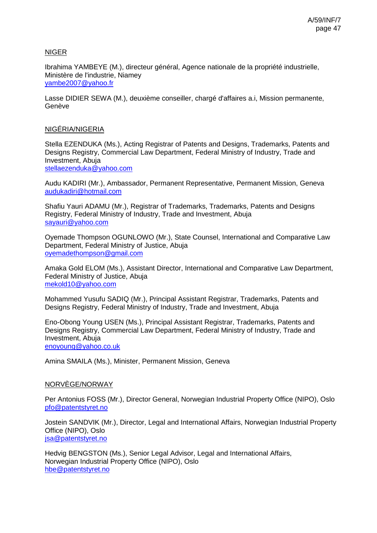# NIGER

Ibrahima YAMBEYE (M.), directeur général, Agence nationale de la propriété industrielle, Ministère de l'industrie, Niamey [yambe2007@yahoo.fr](mailto:yambe2007@yahoo.fr)

Lasse DIDIER SEWA (M.), deuxième conseiller, chargé d'affaires a.i, Mission permanente, Genève

### NIGÉRIA/NIGERIA

Stella EZENDUKA (Ms.), Acting Registrar of Patents and Designs, Trademarks, Patents and Designs Registry, Commercial Law Department, Federal Ministry of Industry, Trade and Investment, Abuja [stellaezenduka@yahoo.com](mailto:stellaezenduka@yahoo.com)

Audu KADIRI (Mr.), Ambassador, Permanent Representative, Permanent Mission, Geneva [audukadiri@hotmail.com](mailto:audukadiri@hotmail.com)

Shafiu Yauri ADAMU (Mr.), Registrar of Trademarks, Trademarks, Patents and Designs Registry, Federal Ministry of Industry, Trade and Investment, Abuja [sayauri@yahoo.com](mailto:sayauri@yahoo.com)

Oyemade Thompson OGUNLOWO (Mr.), State Counsel, International and Comparative Law Department, Federal Ministry of Justice, Abuja [oyemadethompson@gmail.com](mailto:oyemadethompson@gmail.com)

Amaka Gold ELOM (Ms.), Assistant Director, International and Comparative Law Department, Federal Ministry of Justice, Abuja [mekold10@yahoo.com](mailto:mekold10@yahoo.com)

Mohammed Yusufu SADIQ (Mr.), Principal Assistant Registrar, Trademarks, Patents and Designs Registry, Federal Ministry of Industry, Trade and Investment, Abuja

Eno-Obong Young USEN (Ms.), Principal Assistant Registrar, Trademarks, Patents and Designs Registry, Commercial Law Department, Federal Ministry of Industry, Trade and Investment, Abuja [enoyoung@yahoo.co.uk](mailto:enoyoung@yahoo.co.uk)

Amina SMAILA (Ms.), Minister, Permanent Mission, Geneva

### NORVÈGE/NORWAY

Per Antonius FOSS (Mr.), Director General, Norwegian Industrial Property Office (NIPO), Oslo [pfo@patentstyret.no](mailto:pfo@patentstyret.no)

Jostein SANDVIK (Mr.), Director, Legal and International Affairs, Norwegian Industrial Property Office (NIPO), Oslo [jsa@patentstyret.no](mailto:jsa@patentstyret.no)

Hedvig BENGSTON (Ms.), Senior Legal Advisor, Legal and International Affairs, Norwegian Industrial Property Office (NIPO), Oslo [hbe@patentstyret.no](mailto:hbe@patentstyret.no)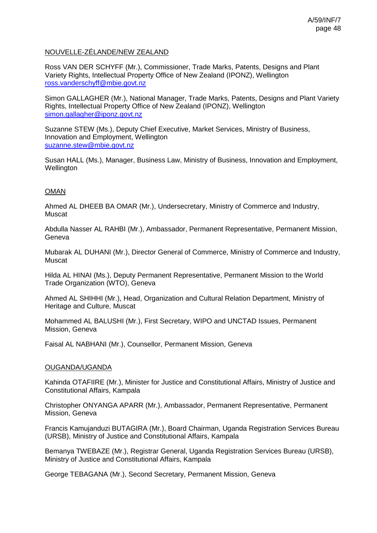# NOUVELLE-ZÉLANDE/NEW ZEALAND

Ross VAN DER SCHYFF (Mr.), Commissioner, Trade Marks, Patents, Designs and Plant Variety Rights, Intellectual Property Office of New Zealand (IPONZ), Wellington [ross.vanderschyff@mbie.govt.nz](mailto:ross.vanderschyff@mbie.govt.nz)

Simon GALLAGHER (Mr.), National Manager, Trade Marks, Patents, Designs and Plant Variety Rights, Intellectual Property Office of New Zealand (IPONZ), Wellington [simon.gallagher@iponz.govt.nz](mailto:simon.gallagher@iponz.govt.nz)

Suzanne STEW (Ms.), Deputy Chief Executive, Market Services, Ministry of Business, Innovation and Employment, Wellington [suzanne.stew@mbie.govt.nz](mailto:suzanne.stew@mbie.govt.nz)

Susan HALL (Ms.), Manager, Business Law, Ministry of Business, Innovation and Employment, Wellington

## OMAN

Ahmed AL DHEEB BA OMAR (Mr.), Undersecretary, Ministry of Commerce and Industry, Muscat

Abdulla Nasser AL RAHBI (Mr.), Ambassador, Permanent Representative, Permanent Mission, Geneva

Mubarak AL DUHANI (Mr.), Director General of Commerce, Ministry of Commerce and Industry, Muscat

Hilda AL HINAI (Ms.), Deputy Permanent Representative, Permanent Mission to the World Trade Organization (WTO), Geneva

Ahmed AL SHIHHI (Mr.), Head, Organization and Cultural Relation Department, Ministry of Heritage and Culture, Muscat

Mohammed AL BALUSHI (Mr.), First Secretary, WIPO and UNCTAD Issues, Permanent Mission, Geneva

Faisal AL NABHANI (Mr.), Counsellor, Permanent Mission, Geneva

### OUGANDA/UGANDA

Kahinda OTAFIIRE (Mr.), Minister for Justice and Constitutional Affairs, Ministry of Justice and Constitutional Affairs, Kampala

Christopher ONYANGA APARR (Mr.), Ambassador, Permanent Representative, Permanent Mission, Geneva

Francis Kamujanduzi BUTAGIRA (Mr.), Board Chairman, Uganda Registration Services Bureau (URSB), Ministry of Justice and Constitutional Affairs, Kampala

Bemanya TWEBAZE (Mr.), Registrar General, Uganda Registration Services Bureau (URSB), Ministry of Justice and Constitutional Affairs, Kampala

George TEBAGANA (Mr.), Second Secretary, Permanent Mission, Geneva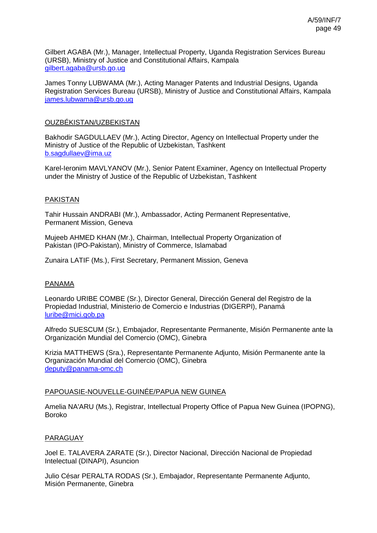Gilbert AGABA (Mr.), Manager, Intellectual Property, Uganda Registration Services Bureau (URSB), Ministry of Justice and Constitutional Affairs, Kampala [gilbert.agaba@ursb.go.ug](mailto:gilbert.agaba@ursb.go.ug)

James Tonny LUBWAMA (Mr.), Acting Manager Patents and Industrial Designs, Uganda Registration Services Bureau (URSB), Ministry of Justice and Constitutional Affairs, Kampala [james.lubwama@ursb.go.ug](mailto:james.lubwama@ursb.go.ug)

#### OUZBÉKISTAN/UZBEKISTAN

Bakhodir SAGDULLAEV (Mr.), Acting Director, Agency on Intellectual Property under the Ministry of Justice of the Republic of Uzbekistan, Tashkent [b.sagdullaev@ima.uz](mailto:b.sagdullaev@ima.uz)

Karel-Ieronim MAVLYANOV (Mr.), Senior Patent Examiner, Agency on Intellectual Property under the Ministry of Justice of the Republic of Uzbekistan, Tashkent

#### PAKISTAN

Tahir Hussain ANDRABI (Mr.), Ambassador, Acting Permanent Representative, Permanent Mission, Geneva

Mujeeb AHMED KHAN (Mr.), Chairman, Intellectual Property Organization of Pakistan (IPO-Pakistan), Ministry of Commerce, Islamabad

Zunaira LATIF (Ms.), First Secretary, Permanent Mission, Geneva

#### PANAMA

Leonardo URIBE COMBE (Sr.), Director General, Dirección General del Registro de la Propiedad Industrial, Ministerio de Comercio e Industrias (DIGERPI), Panamá [luribe@mici.gob.pa](mailto:luribe@mici.gob.pa)

Alfredo SUESCUM (Sr.), Embajador, Representante Permanente, Misión Permanente ante la Organización Mundial del Comercio (OMC), Ginebra

Krizia MATTHEWS (Sra.), Representante Permanente Adjunto, Misión Permanente ante la Organización Mundial del Comercio (OMC), Ginebra [deputy@panama-omc.ch](mailto:deputy@panama-omc.ch)

### PAPOUASIE-NOUVELLE-GUINÉE/PAPUA NEW GUINEA

Amelia NA'ARU (Ms.), Registrar, Intellectual Property Office of Papua New Guinea (IPOPNG), Boroko

#### PARAGUAY

Joel E. TALAVERA ZARATE (Sr.), Director Nacional, Dirección Nacional de Propiedad Intelectual (DINAPI), Asuncion

Julio César PERALTA RODAS (Sr.), Embajador, Representante Permanente Adjunto, Misión Permanente, Ginebra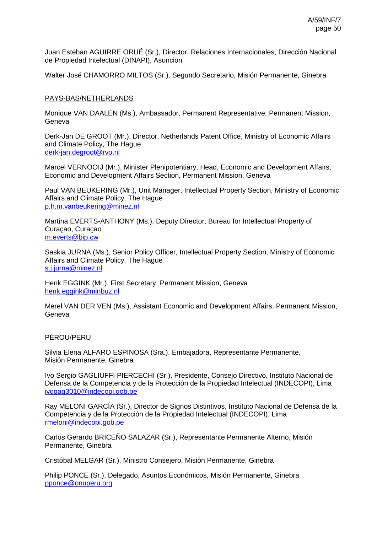Juan Esteban AGUIRRE ORUÉ (Sr.), Director, Relaciones Internacionales, Dirección Nacional de Propiedad Intelectual (DINAPI), Asuncion

Walter José CHAMORRO MILTOS (Sr.), Segundo Secretario, Misión Permanente, Ginebra

#### PAYS-BAS/NETHERLANDS

Monique VAN DAALEN (Ms.), Ambassador, Permanent Representative, Permanent Mission, Geneva

Derk-Jan DE GROOT (Mr.), Director, Netherlands Patent Office, Ministry of Economic Affairs and Climate Policy, The Hague [derk-jan.degroot@rvo.nl](mailto:derk-jan.degroot@rvo.nl)

Marcel VERNOOIJ (Mr.), Minister Plenipotentiary, Head, Economic and Development Affairs, Economic and Development Affairs Section, Permanent Mission, Geneva

Paul VAN BEUKERING (Mr.), Unit Manager, Intellectual Property Section, Ministry of Economic Affairs and Climate Policy, The Hague [p.h.m.vanbeukering@minez.nl](mailto:p.h.m.vanbeukering@minez.nl)

Martina EVERTS-ANTHONY (Ms.), Deputy Director, Bureau for Intellectual Property of Curaçao, Curaçao [m.everts@bip.cw](mailto:m.everts@bip.cw)

Saskia JURNA (Ms.), Senior Policy Officer, Intellectual Property Section, Ministry of Economic Affairs and Climate Policy, The Hague [s.j.jurna@minez.nl](mailto:s.j.jurna@minez.nl)

Henk EGGINK (Mr.), First Secretary, Permanent Mission, Geneva [henk.eggink@minbuz.nl](mailto:henk.eggink@minbuz.nl)

Merel VAN DER VEN (Ms.), Assistant Economic and Development Affairs, Permanent Mission, **Geneva** 

#### PÉROU/PERU

Silvia Elena ALFARO ESPINOSA (Sra.), Embajadora, Representante Permanente, Misión Permanente, Ginebra

Ivo Sergio GAGLIUFFI PIERCECHI (Sr.), Presidente, Consejo Directivo, Instituto Nacional de Defensa de la Competencia y de la Protección de la Propiedad Intelectual (INDECOPI), Lima [ivogag3010@indecopi.gob.pe](mailto:ivogag3010@indecopi.gob.pe)

Ray MELONI GARCÍA (Sr.), Director de Signos Distintivos, Instituto Nacional de Defensa de la Competencia y de la Protección de la Propiedad Intelectual (INDECOPI), Lima [rmeloni@indecopi.gob.pe](mailto:rmeloni@indecopi.gob.pe)

Carlos Gerardo BRICEÑO SALAZAR (Sr.), Representante Permanente Alterno, Misión Permanente, Ginebra

Cristóbal MELGAR (Sr.), Ministro Consejero, Misión Permanente, Ginebra

Philip PONCE (Sr.), Delegado, Asuntos Económicos, Misión Permanente, Ginebra [pponce@onuperu.org](mailto:pponce@onuperu.org)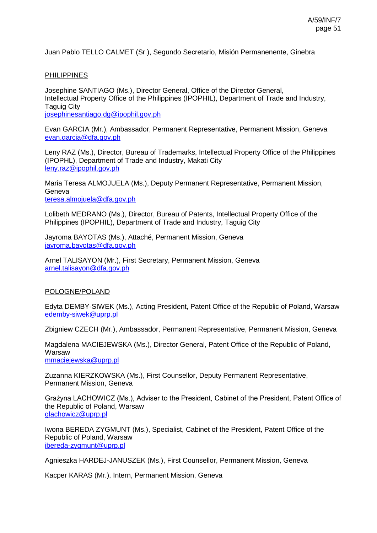Juan Pablo TELLO CALMET (Sr.), Segundo Secretario, Misión Permanenente, Ginebra

## **PHILIPPINES**

Josephine SANTIAGO (Ms.), Director General, Office of the Director General, Intellectual Property Office of the Philippines (IPOPHIL), Department of Trade and Industry, Taguig City [josephinesantiago.dg@ipophil.gov.ph](mailto:josephinesantiago.dg@ipophil.gov.ph)

Evan GARCIA (Mr.), Ambassador, Permanent Representative, Permanent Mission, Geneva [evan.garcia@dfa.gov.ph](mailto:evan.garcia@dfa.gov.ph)

Leny RAZ (Ms.), Director, Bureau of Trademarks, Intellectual Property Office of the Philippines (IPOPHL), Department of Trade and Industry, Makati City [leny.raz@ipophil.gov.ph](mailto:leny.raz@ipophil.gov.ph)

Maria Teresa ALMOJUELA (Ms.), Deputy Permanent Representative, Permanent Mission, Geneva [teresa.almojuela@dfa.gov.ph](mailto:teresa.almojuela@dfa.gov.ph)

Lolibeth MEDRANO (Ms.), Director, Bureau of Patents, Intellectual Property Office of the Philippines (IPOPHIL), Department of Trade and Industry, Taguig City

Jayroma BAYOTAS (Ms.), Attaché, Permanent Mission, Geneva [jayroma.bayotas@dfa.gov.ph](mailto:jayroma.bayotas@dfa.gov.ph)

Arnel TALISAYON (Mr.), First Secretary, Permanent Mission, Geneva [arnel.talisayon@dfa.gov.ph](mailto:arnel.talisayon@dfa.gov.ph)

### POLOGNE/POLAND

Edyta DEMBY-SIWEK (Ms.), Acting President, Patent Office of the Republic of Poland, Warsaw [edemby-siwek@uprp.pl](mailto:edemby-siwek@uprp.pl)

Zbigniew CZECH (Mr.), Ambassador, Permanent Representative, Permanent Mission, Geneva

Magdalena MACIEJEWSKA (Ms.), Director General, Patent Office of the Republic of Poland, Warsaw [mmaciejewska@uprp.pl](mailto:mmaciejewska@uprp.pl)

Zuzanna KIERZKOWSKA (Ms.), First Counsellor, Deputy Permanent Representative, Permanent Mission, Geneva

Grażyna LACHOWICZ (Ms.), Adviser to the President, Cabinet of the President, Patent Office of the Republic of Poland, Warsaw [glachowicz@uprp.pl](mailto:glachowicz@uprp.pl)

Iwona BEREDA ZYGMUNT (Ms.), Specialist, Cabinet of the President, Patent Office of the Republic of Poland, Warsaw [ibereda-zygmunt@uprp.pl](mailto:ibereda-zygmunt@uprp.pl)

Agnieszka HARDEJ-JANUSZEK (Ms.), First Counsellor, Permanent Mission, Geneva

Kacper KARAS (Mr.), Intern, Permanent Mission, Geneva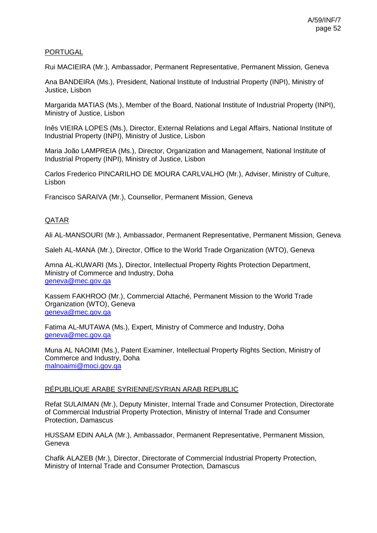## PORTUGAL

Rui MACIEIRA (Mr.), Ambassador, Permanent Representative, Permanent Mission, Geneva

Ana BANDEIRA (Ms.), President, National Institute of Industrial Property (INPI), Ministry of Justice, Lisbon

Margarida MATIAS (Ms.), Member of the Board, National Institute of Industrial Property (INPI), Ministry of Justice, Lisbon

Inês VIEIRA LOPES (Ms.), Director, External Relations and Legal Affairs, National Institute of Industrial Property (INPI), Ministry of Justice, Lisbon

Maria João LAMPREIA (Ms.), Director, Organization and Management, National Institute of Industrial Property (INPI), Ministry of Justice, Lisbon

Carlos Frederico PINCARILHO DE MOURA CARLVALHO (Mr.), Adviser, Ministry of Culture, Lisbon

Francisco SARAIVA (Mr.), Counsellor, Permanent Mission, Geneva

# QATAR

Ali AL-MANSOURI (Mr.), Ambassador, Permanent Representative, Permanent Mission, Geneva

Saleh AL-MANA (Mr.), Director, Office to the World Trade Organization (WTO), Geneva

Amna AL-KUWARI (Ms.), Director, Intellectual Property Rights Protection Department, Ministry of Commerce and Industry, Doha [geneva@mec.gov.qa](mailto:geneva@mec.gov.qa)

Kassem FAKHROO (Mr.), Commercial Attaché, Permanent Mission to the World Trade Organization (WTO), Geneva [geneva@mec.gov.qa](mailto:geneva@mec.gov.qa)

Fatima AL-MUTAWA (Ms.), Expert, Ministry of Commerce and Industry, Doha [geneva@mec.gov.qa](mailto:geneva@mec.gov.qa)

Muna AL NAOIMI (Ms.), Patent Examiner, Intellectual Property Rights Section, Ministry of Commerce and Industry, Doha [malnoaimi@moci.gov.qa](mailto:malnoaimi@moci.gov.qa)

### RÉPUBLIQUE ARABE SYRIENNE/SYRIAN ARAB REPUBLIC

Refat SULAIMAN (Mr.), Deputy Minister, Internal Trade and Consumer Protection, Directorate of Commercial Industrial Property Protection, Ministry of Internal Trade and Consumer Protection, Damascus

HUSSAM EDIN AALA (Mr.), Ambassador, Permanent Representative, Permanent Mission, **Geneva** 

Chafik ALAZEB (Mr.), Director, Directorate of Commercial Industrial Property Protection, Ministry of Internal Trade and Consumer Protection, Damascus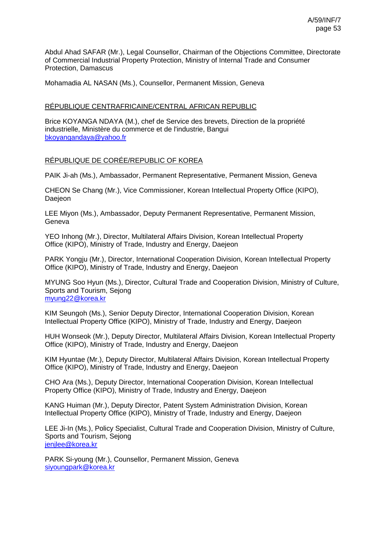Abdul Ahad SAFAR (Mr.), Legal Counsellor, Chairman of the Objections Committee, Directorate of Commercial Industrial Property Protection, Ministry of Internal Trade and Consumer Protection, Damascus

Mohamadia AL NASAN (Ms.), Counsellor, Permanent Mission, Geneva

### RÉPUBLIQUE CENTRAFRICAINE/CENTRAL AFRICAN REPUBLIC

Brice KOYANGA NDAYA (M.), chef de Service des brevets, Direction de la propriété industrielle, Ministère du commerce et de l'industrie, Bangui [bkoyangandaya@yahoo.fr](mailto:bkoyangandaya@yahoo.fr)

#### RÉPUBLIQUE DE CORÉE/REPUBLIC OF KOREA

PAIK Ji-ah (Ms.), Ambassador, Permanent Representative, Permanent Mission, Geneva

CHEON Se Chang (Mr.), Vice Commissioner, Korean Intellectual Property Office (KIPO), Daejeon

LEE Miyon (Ms.), Ambassador, Deputy Permanent Representative, Permanent Mission, **Geneva** 

YEO Inhong (Mr.), Director, Multilateral Affairs Division, Korean Intellectual Property Office (KIPO), Ministry of Trade, Industry and Energy, Daejeon

PARK Yongju (Mr.), Director, International Cooperation Division, Korean Intellectual Property Office (KIPO), Ministry of Trade, Industry and Energy, Daejeon

MYUNG Soo Hyun (Ms.), Director, Cultural Trade and Cooperation Division, Ministry of Culture, Sports and Tourism, Sejong [myung22@korea.kr](mailto:myung22@korea.kr)

KIM Seungoh (Ms.), Senior Deputy Director, International Cooperation Division, Korean Intellectual Property Office (KIPO), Ministry of Trade, Industry and Energy, Daejeon

HUH Wonseok (Mr.), Deputy Director, Multilateral Affairs Division, Korean Intellectual Property Office (KIPO), Ministry of Trade, Industry and Energy, Daejeon

KIM Hyuntae (Mr.), Deputy Director, Multilateral Affairs Division, Korean Intellectual Property Office (KIPO), Ministry of Trade, Industry and Energy, Daejeon

CHO Ara (Ms.), Deputy Director, International Cooperation Division, Korean Intellectual Property Office (KIPO), Ministry of Trade, Industry and Energy, Daejeon

KANG Huiman (Mr.), Deputy Director, Patent System Administration Division, Korean Intellectual Property Office (KIPO), Ministry of Trade, Industry and Energy, Daejeon

LEE Ji-In (Ms.), Policy Specialist, Cultural Trade and Cooperation Division, Ministry of Culture, Sports and Tourism, Sejong [jenjlee@korea.kr](mailto:jenjlee@korea.kr)

PARK Si-young (Mr.), Counsellor, Permanent Mission, Geneva [siyoungpark@korea.kr](mailto:siyoungpark@korea.kr)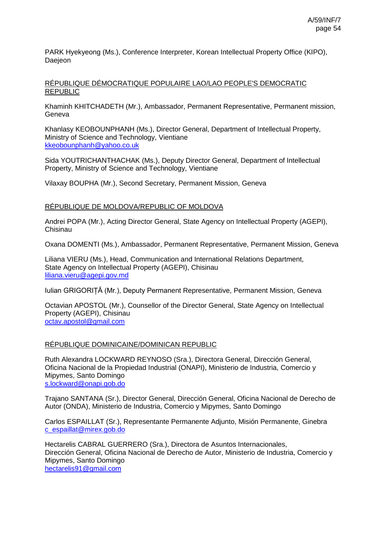PARK Hyekyeong (Ms.), Conference Interpreter, Korean Intellectual Property Office (KIPO), **Daejeon** 

## RÉPUBLIQUE DÉMOCRATIQUE POPULAIRE LAO/LAO PEOPLE'S DEMOCRATIC REPUBLIC

Khaminh KHITCHADETH (Mr.), Ambassador, Permanent Representative, Permanent mission, **Geneva** 

Khanlasy KEOBOUNPHANH (Ms.), Director General, Department of Intellectual Property, Ministry of Science and Technology, Vientiane [kkeobounphanh@yahoo.co.uk](mailto:kkeobounphanh@yahoo.co.uk)

Sida YOUTRICHANTHACHAK (Ms.), Deputy Director General, Department of Intellectual Property, Ministry of Science and Technology, Vientiane

Vilaxay BOUPHA (Mr.), Second Secretary, Permanent Mission, Geneva

### RÉPUBLIQUE DE MOLDOVA/REPUBLIC OF MOLDOVA

Andrei POPA (Mr.), Acting Director General, State Agency on Intellectual Property (AGEPI), Chisinau

Oxana DOMENTI (Ms.), Ambassador, Permanent Representative, Permanent Mission, Geneva

Liliana VIERU (Ms.), Head, Communication and International Relations Department, State Agency on Intellectual Property (AGEPI), Chisinau [liliana.vieru@agepi.gov.md](mailto:liliana.vieru@agepi.gov.md)

Iulian GRIGORIȚĂ (Mr.), Deputy Permanent Representative, Permanent Mission, Geneva

Octavian APOSTOL (Mr.), Counsellor of the Director General, State Agency on Intellectual Property (AGEPI), Chisinau [octav.apostol@gmail.com](mailto:octav.apostol@gmail.com)

### RÉPUBLIQUE DOMINICAINE/DOMINICAN REPUBLIC

Ruth Alexandra LOCKWARD REYNOSO (Sra.), Directora General, Dirección General, Oficina Nacional de la Propiedad Industrial (ONAPI), Ministerio de Industria, Comercio y Mipymes, Santo Domingo [s.lockward@onapi.gob.do](mailto:s.lockward@onapi.gob.do)

Trajano SANTANA (Sr.), Director General, Dirección General, Oficina Nacional de Derecho de Autor (ONDA), Ministerio de Industria, Comercio y Mipymes, Santo Domingo

Carlos ESPAILLAT (Sr.), Representante Permanente Adjunto, Misión Permanente, Ginebra [c\\_espaillat@mirex.gob.do](mailto:c_espaillat@mirex.gob.do)

Hectarelis CABRAL GUERRERO (Sra.), Directora de Asuntos Internacionales, Dirección General, Oficina Nacional de Derecho de Autor, Ministerio de Industria, Comercio y Mipymes, Santo Domingo [hectarelis91@gmail.com](mailto:hectarelis91@gmail.com)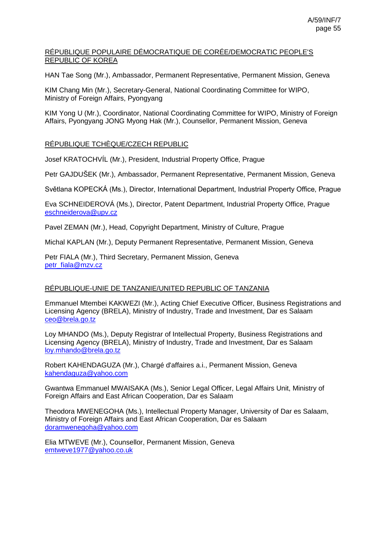## RÉPUBLIQUE POPULAIRE DÉMOCRATIQUE DE CORÉE/DEMOCRATIC PEOPLE'S REPUBLIC OF KOREA

HAN Tae Song (Mr.), Ambassador, Permanent Representative, Permanent Mission, Geneva

KIM Chang Min (Mr.), Secretary-General, National Coordinating Committee for WIPO, Ministry of Foreign Affairs, Pyongyang

KIM Yong U (Mr.), Coordinator, National Coordinating Committee for WIPO, Ministry of Foreign Affairs, Pyongyang JONG Myong Hak (Mr.), Counsellor, Permanent Mission, Geneva

# RÉPUBLIQUE TCHÈQUE/CZECH REPUBLIC

Josef KRATOCHVÍL (Mr.), President, Industrial Property Office, Prague

Petr GAJDUŠEK (Mr.), Ambassador, Permanent Representative, Permanent Mission, Geneva

Světlana KOPECKÁ (Ms.), Director, International Department, Industrial Property Office, Prague

Eva SCHNEIDEROVÁ (Ms.), Director, Patent Department, Industrial Property Office, Prague [eschneiderova@upv.cz](mailto:eschneiderova@upv.cz)

Pavel ZEMAN (Mr.), Head, Copyright Department, Ministry of Culture, Prague

Michal KAPLAN (Mr.), Deputy Permanent Representative, Permanent Mission, Geneva

Petr FIALA (Mr.), Third Secretary, Permanent Mission, Geneva [petr\\_fiala@mzv.cz](mailto:petr_fiala@mzv.cz)

### RÉPUBLIQUE-UNIE DE TANZANIE/UNITED REPUBLIC OF TANZANIA

Emmanuel Mtembei KAKWEZI (Mr.), Acting Chief Executive Officer, Business Registrations and Licensing Agency (BRELA), Ministry of Industry, Trade and Investment, Dar es Salaam [ceo@brela.go.tz](mailto:ceo@brela.go.tz)

Loy MHANDO (Ms.), Deputy Registrar of Intellectual Property, Business Registrations and Licensing Agency (BRELA), Ministry of Industry, Trade and Investment, Dar es Salaam [loy.mhando@brela.go.tz](mailto:loy.mhando@brela.go.tz)

Robert KAHENDAGUZA (Mr.), Chargé d'affaires a.i., Permanent Mission, Geneva [kahendaguza@yahoo.com](mailto:kahendaguza@yahoo.com)

Gwantwa Emmanuel MWAISAKA (Ms.), Senior Legal Officer, Legal Affairs Unit, Ministry of Foreign Affairs and East African Cooperation, Dar es Salaam

Theodora MWENEGOHA (Ms.), Intellectual Property Manager, University of Dar es Salaam, Ministry of Foreign Affairs and East African Cooperation, Dar es Salaam [doramwenegoha@yahoo.com](mailto:doramwenegoha@yahoo.com)

Elia MTWEVE (Mr.), Counsellor, Permanent Mission, Geneva [emtweve1977@yahoo.co.uk](mailto:emtweve1977@yahoo.co.uk)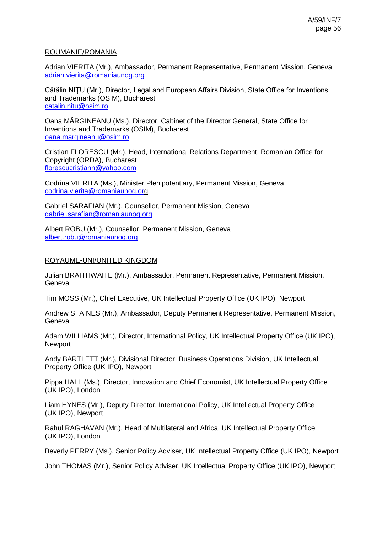### ROUMANIE/ROMANIA

Adrian VIERITA (Mr.), Ambassador, Permanent Representative, Permanent Mission, Geneva [adrian.vierita@romaniaunog.org](mailto:adrian.vierita@romaniaunog.org)

Cătălin NIŢU (Mr.), Director, Legal and European Affairs Division, State Office for Inventions and Trademarks (OSIM), Bucharest [catalin.nitu@osim.ro](mailto:catalin.nitu@osim.ro)

Oana MĂRGINEANU (Ms.), Director, Cabinet of the Director General, State Office for Inventions and Trademarks (OSIM), Bucharest [oana.margineanu@osim.ro](mailto:oana.margineanu@osim.ro)

Cristian FLORESCU (Mr.), Head, International Relations Department, Romanian Office for Copyright (ORDA), Bucharest [florescucristiann@yahoo.com](mailto:florescucristiann@yahoo.com)

Codrina VIERITA (Ms.), Minister Plenipotentiary, Permanent Mission, Geneva [codrina.vierita@romaniaunog.org](mailto:codrina.vierita@romaniaunog.or)

Gabriel SARAFIAN (Mr.), Counsellor, Permanent Mission, Geneva [gabriel.sarafian@romaniaunog.org](mailto:gabriel.sarafian@romaniaunog.org)

Albert ROBU (Mr.), Counsellor, Permanent Mission, Geneva [albert.robu@romaniaunog.org](mailto:albert.robu@romaniaunog.org)

## ROYAUME-UNI/UNITED KINGDOM

Julian BRAITHWAITE (Mr.), Ambassador, Permanent Representative, Permanent Mission, Geneva

Tim MOSS (Mr.), Chief Executive, UK Intellectual Property Office (UK IPO), Newport

Andrew STAINES (Mr.), Ambassador, Deputy Permanent Representative, Permanent Mission, **Geneva** 

Adam WILLIAMS (Mr.), Director, International Policy, UK Intellectual Property Office (UK IPO), Newport

Andy BARTLETT (Mr.), Divisional Director, Business Operations Division, UK Intellectual Property Office (UK IPO), Newport

Pippa HALL (Ms.), Director, Innovation and Chief Economist, UK Intellectual Property Office (UK IPO), London

Liam HYNES (Mr.), Deputy Director, International Policy, UK Intellectual Property Office (UK IPO), Newport

Rahul RAGHAVAN (Mr.), Head of Multilateral and Africa, UK Intellectual Property Office (UK IPO), London

Beverly PERRY (Ms.), Senior Policy Adviser, UK Intellectual Property Office (UK IPO), Newport

John THOMAS (Mr.), Senior Policy Adviser, UK Intellectual Property Office (UK IPO), Newport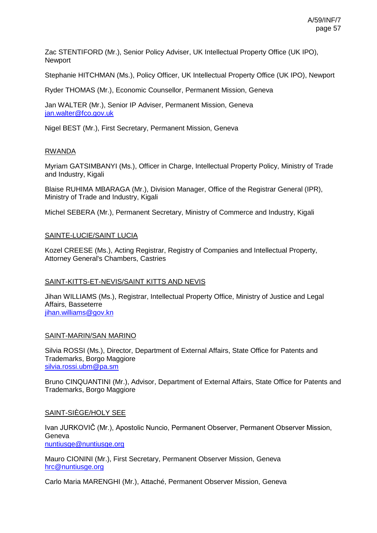Zac STENTIFORD (Mr.), Senior Policy Adviser, UK Intellectual Property Office (UK IPO), **Newport** 

Stephanie HITCHMAN (Ms.), Policy Officer, UK Intellectual Property Office (UK IPO), Newport

Ryder THOMAS (Mr.), Economic Counsellor, Permanent Mission, Geneva

Jan WALTER (Mr.), Senior IP Adviser, Permanent Mission, Geneva [jan.walter@fco.gov.uk](mailto:jan.walter@fco.gov.uk)

Nigel BEST (Mr.), First Secretary, Permanent Mission, Geneva

## RWANDA

Myriam GATSIMBANYI (Ms.), Officer in Charge, Intellectual Property Policy, Ministry of Trade and Industry, Kigali

Blaise RUHIMA MBARAGA (Mr.), Division Manager, Office of the Registrar General (IPR), Ministry of Trade and Industry, Kigali

Michel SEBERA (Mr.), Permanent Secretary, Ministry of Commerce and Industry, Kigali

### SAINTE-LUCIE/SAINT LUCIA

Kozel CREESE (Ms.), Acting Registrar, Registry of Companies and Intellectual Property, Attorney General's Chambers, Castries

### SAINT-KITTS-ET-NEVIS/SAINT KITTS AND NEVIS

Jihan WILLIAMS (Ms.), Registrar, Intellectual Property Office, Ministry of Justice and Legal Affairs, Basseterre [jihan.williams@gov.kn](mailto:jihan.williams@gov.kn)

### SAINT-MARIN/SAN MARINO

Silvia ROSSI (Ms.), Director, Department of External Affairs, State Office for Patents and Trademarks, Borgo Maggiore [silvia.rossi.ubm@pa.sm](mailto:silvia.rossi.ubm@pa.sm)

Bruno CINQUANTINI (Mr.), Advisor, Department of External Affairs, State Office for Patents and Trademarks, Borgo Maggiore

### SAINT-SIÈGE/HOLY SEE

Ivan JURKOVIČ (Mr.), Apostolic Nuncio, Permanent Observer, Permanent Observer Mission, Geneva [nuntiusge@nuntiusge.org](mailto:nuntiusge@nuntiusge.org)

Mauro CIONINI (Mr.), First Secretary, Permanent Observer Mission, Geneva [hrc@nuntiusge.org](mailto:hrc@nuntiusge.org)

Carlo Maria MARENGHI (Mr.), Attaché, Permanent Observer Mission, Geneva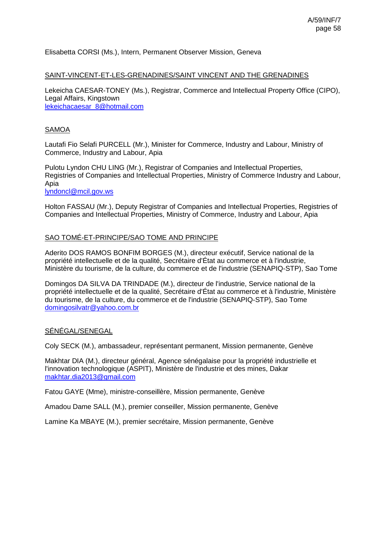## Elisabetta CORSI (Ms.), Intern, Permanent Observer Mission, Geneva

#### SAINT-VINCENT-ET-LES-GRENADINES/SAINT VINCENT AND THE GRENADINES

Lekeicha CAESAR-TONEY (Ms.), Registrar, Commerce and Intellectual Property Office (CIPO), Legal Affairs, Kingstown [lekeichacaesar\\_8@hotmail.com](mailto:lekeichacaesar_8@hotmail.com)

## SAMOA

Lautafi Fio Selafi PURCELL (Mr.), Minister for Commerce, Industry and Labour, Ministry of Commerce, Industry and Labour, Apia

Pulotu Lyndon CHU LING (Mr.), Registrar of Companies and Intellectual Properties, Registries of Companies and Intellectual Properties, Ministry of Commerce Industry and Labour, Apia

[lyndoncl@mcil.gov.ws](mailto:lyndoncl@mcil.gov.ws)

Holton FASSAU (Mr.), Deputy Registrar of Companies and Intellectual Properties, Registries of Companies and Intellectual Properties, Ministry of Commerce, Industry and Labour, Apia

#### SAO TOMÉ-ET-PRINCIPE/SAO TOME AND PRINCIPE

Aderito DOS RAMOS BONFIM BORGES (M.), directeur exécutif, Service national de la propriété intellectuelle et de la qualité, Secrétaire d'État au commerce et à l'industrie, Ministère du tourisme, de la culture, du commerce et de l'industrie (SENAPIQ-STP), Sao Tome

Domingos DA SILVA DA TRINDADE (M.), directeur de l'industrie, Service national de la propriété intellectuelle et de la qualité, Secrétaire d'État au commerce et à l'industrie, Ministère du tourisme, de la culture, du commerce et de l'industrie (SENAPIQ-STP), Sao Tome [domingosilvatr@yahoo.com.br](mailto:domingosilvatr@yahoo.com.br)

### SÉNÉGAL/SENEGAL

Coly SECK (M.), ambassadeur, représentant permanent, Mission permanente, Genève

Makhtar DIA (M.), directeur général, Agence sénégalaise pour la propriété industrielle et l'innovation technologique (ASPIT), Ministère de l'industrie et des mines, Dakar [makhtar.dia2013@gmail.com](mailto:makhtar.dia2013@gmail.com)

Fatou GAYE (Mme), ministre-conseillère, Mission permanente, Genève

Amadou Dame SALL (M.), premier conseiller, Mission permanente, Genève

Lamine Ka MBAYE (M.), premier secrétaire, Mission permanente, Genève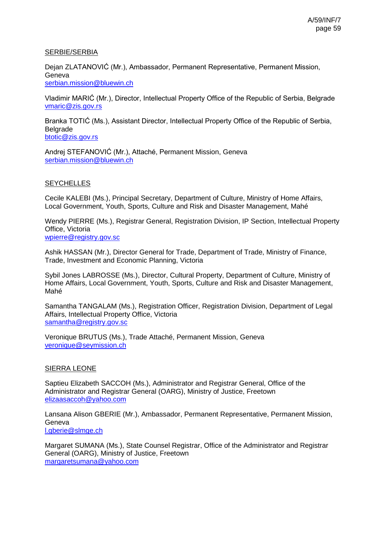## SERBIE/SERBIA

Dejan ZLATANOVIĆ (Mr.), Ambassador, Permanent Representative, Permanent Mission, Geneva [serbian.mission@bluewin.ch](mailto:serbian.mission@bluewin.ch)

Vladimir MARIĆ (Mr.), Director, Intellectual Property Office of the Republic of Serbia, Belgrade [vmaric@zis.gov.rs](mailto:vmaric@zis.gov.rs)

Branka TOTIĆ (Ms.), Assistant Director, Intellectual Property Office of the Republic of Serbia, Belgrade

[btotic@zis.gov.rs](mailto:btotic@zis.gov.rs)

Andrej STEFANOVIĆ (Mr.), Attaché, Permanent Mission, Geneva [serbian.mission@bluewin.ch](mailto:serbian.mission@bluewin.ch)

# **SEYCHELLES**

Cecile KALEBI (Ms.), Principal Secretary, Department of Culture, Ministry of Home Affairs, Local Government, Youth, Sports, Culture and Risk and Disaster Management, Mahé

Wendy PIERRE (Ms.), Registrar General, Registration Division, IP Section, Intellectual Property Office, Victoria [wpierre@registry.gov.sc](mailto:wpierre@registry.gov.sc)

Ashik HASSAN (Mr.), Director General for Trade, Department of Trade, Ministry of Finance, Trade, Investment and Economic Planning, Victoria

Sybil Jones LABROSSE (Ms.), Director, Cultural Property, Department of Culture, Ministry of Home Affairs, Local Government, Youth, Sports, Culture and Risk and Disaster Management, Mahé

Samantha TANGALAM (Ms.), Registration Officer, Registration Division, Department of Legal Affairs, Intellectual Property Office, Victoria [samantha@registry.gov.sc](mailto:samantha@registry.gov.sc)

Veronique BRUTUS (Ms.), Trade Attaché, Permanent Mission, Geneva [veronique@seymission.ch](mailto:veronique@seymission.ch)

# SIERRA LEONE

Saptieu Elizabeth SACCOH (Ms.), Administrator and Registrar General, Office of the Administrator and Registrar General (OARG), Ministry of Justice, Freetown [elizaasaccoh@yahoo.com](mailto:elizaasaccoh@yahoo.com)

Lansana Alison GBERIE (Mr.), Ambassador, Permanent Representative, Permanent Mission, Geneva [l.gberie@slmge.ch](mailto:l.gberie@slmge.ch)

Margaret SUMANA (Ms.), State Counsel Registrar, Office of the Administrator and Registrar General (OARG), Ministry of Justice, Freetown [margaretsumana@yahoo.com](mailto:margaretsumana@yahoo.com)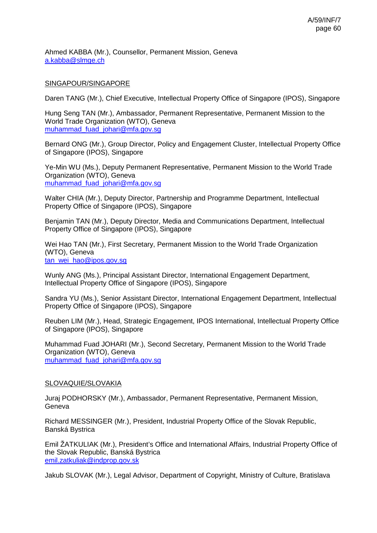Ahmed KABBA (Mr.), Counsellor, Permanent Mission, Geneva [a.kabba@slmge.ch](mailto:a.kabba@slmge.ch)

## SINGAPOUR/SINGAPORE

Daren TANG (Mr.), Chief Executive, Intellectual Property Office of Singapore (IPOS), Singapore

Hung Seng TAN (Mr.), Ambassador, Permanent Representative, Permanent Mission to the World Trade Organization (WTO), Geneva [muhammad\\_fuad\\_johari@mfa.gov.sg](mailto:muhammad_fuad_johari@mfa.gov.sg)

Bernard ONG (Mr.), Group Director, Policy and Engagement Cluster, Intellectual Property Office of Singapore (IPOS), Singapore

Ye-Min WU (Ms.), Deputy Permanent Representative, Permanent Mission to the World Trade Organization (WTO), Geneva [muhammad\\_fuad\\_johari@mfa.gov.sg](mailto:muhammad_fuad_johari@mfa.gov.sg)

Walter CHIA (Mr.), Deputy Director, Partnership and Programme Department, Intellectual Property Office of Singapore (IPOS), Singapore

Benjamin TAN (Mr.), Deputy Director, Media and Communications Department, Intellectual Property Office of Singapore (IPOS), Singapore

Wei Hao TAN (Mr.), First Secretary, Permanent Mission to the World Trade Organization (WTO), Geneva tan\_wei\_hao@ipos.gov.sq

Wunly ANG (Ms.), Principal Assistant Director, International Engagement Department, Intellectual Property Office of Singapore (IPOS), Singapore

Sandra YU (Ms.), Senior Assistant Director, International Engagement Department, Intellectual Property Office of Singapore (IPOS), Singapore

Reuben LIM (Mr.), Head, Strategic Engagement, IPOS International, Intellectual Property Office of Singapore (IPOS), Singapore

Muhammad Fuad JOHARI (Mr.), Second Secretary, Permanent Mission to the World Trade Organization (WTO), Geneva [muhammad\\_fuad\\_johari@mfa.gov.sg](mailto:muhammad_fuad_johari@mfa.gov.sg)

### SLOVAQUIE/SLOVAKIA

Juraj PODHORSKY (Mr.), Ambassador, Permanent Representative, Permanent Mission, Geneva

Richard MESSINGER (Mr.), President, Industrial Property Office of the Slovak Republic, Banská Bystrica

Emil ŽATKULIAK (Mr.), President's Office and International Affairs, Industrial Property Office of the Slovak Republic, Banská Bystrica [emil.zatkuliak@indprop.gov.sk](mailto:emil.zatkuliak@indprop.gov.sk)

Jakub SLOVAK (Mr.), Legal Advisor, Department of Copyright, Ministry of Culture, Bratislava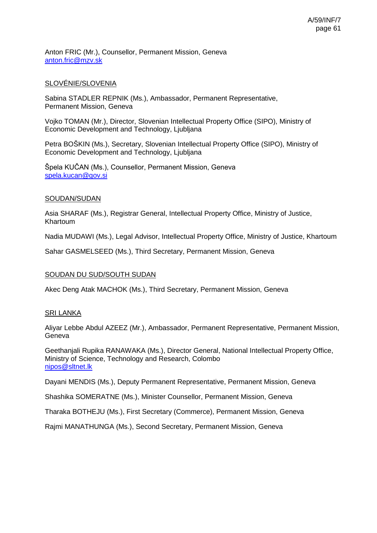Anton FRIC (Mr.), Counsellor, Permanent Mission, Geneva [anton.fric@mzv.sk](mailto:anton.fric@mzv.sk)

# SLOVÉNIE/SLOVENIA

Sabina STADLER REPNIK (Ms.), Ambassador, Permanent Representative, Permanent Mission, Geneva

Vojko TOMAN (Mr.), Director, Slovenian Intellectual Property Office (SIPO), Ministry of Economic Development and Technology, Ljubljana

Petra BOŠKIN (Ms.), Secretary, Slovenian Intellectual Property Office (SIPO), Ministry of Economic Development and Technology, Ljubljana

Špela KUČAN (Ms.), Counsellor, Permanent Mission, Geneva [spela.kucan@gov.si](mailto:spela.kucan@gov.si)

#### SOUDAN/SUDAN

Asia SHARAF (Ms.), Registrar General, Intellectual Property Office, Ministry of Justice, Khartoum

Nadia MUDAWI (Ms.), Legal Advisor, Intellectual Property Office, Ministry of Justice, Khartoum

Sahar GASMELSEED (Ms.), Third Secretary, Permanent Mission, Geneva

### SOUDAN DU SUD/SOUTH SUDAN

Akec Deng Atak MACHOK (Ms.), Third Secretary, Permanent Mission, Geneva

### SRI LANKA

Aliyar Lebbe Abdul AZEEZ (Mr.), Ambassador, Permanent Representative, Permanent Mission, Geneva

Geethanjali Rupika RANAWAKA (Ms.), Director General, National Intellectual Property Office, Ministry of Science, Technology and Research, Colombo [nipos@sltnet.lk](mailto:nipos@sltnet.lk)

Dayani MENDIS (Ms.), Deputy Permanent Representative, Permanent Mission, Geneva

Shashika SOMERATNE (Ms.), Minister Counsellor, Permanent Mission, Geneva

Tharaka BOTHEJU (Ms.), First Secretary (Commerce), Permanent Mission, Geneva

Rajmi MANATHUNGA (Ms.), Second Secretary, Permanent Mission, Geneva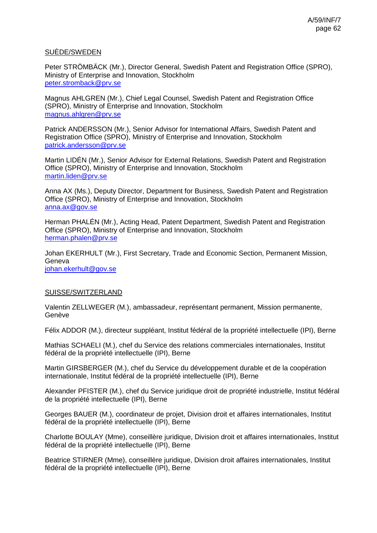## SUÈDE/SWEDEN

Peter STRÖMBÄCK (Mr.), Director General, Swedish Patent and Registration Office (SPRO), Ministry of Enterprise and Innovation, Stockholm [peter.stromback@prv.se](mailto:peter.stromback@prv.se)

Magnus AHLGREN (Mr.), Chief Legal Counsel, Swedish Patent and Registration Office (SPRO), Ministry of Enterprise and Innovation, Stockholm [magnus.ahlgren@prv.se](mailto:magnus.ahlgren@prv.se)

Patrick ANDERSSON (Mr.), Senior Advisor for International Affairs, Swedish Patent and Registration Office (SPRO), Ministry of Enterprise and Innovation, Stockholm [patrick.andersson@prv.se](mailto:patrick.andersson@prv.se)

Martin LIDÉN (Mr.), Senior Advisor for External Relations, Swedish Patent and Registration Office (SPRO), Ministry of Enterprise and Innovation, Stockholm [martin.liden@prv.se](mailto:martin.liden@prv.se)

Anna AX (Ms.), Deputy Director, Department for Business, Swedish Patent and Registration Office (SPRO), Ministry of Enterprise and Innovation, Stockholm [anna.ax@gov.se](mailto:anna.ax@gov.se)

Herman PHALÉN (Mr.), Acting Head, Patent Department, Swedish Patent and Registration Office (SPRO), Ministry of Enterprise and Innovation, Stockholm [herman.phalen@prv.se](mailto:herman.phalen@prv.se)

Johan EKERHULT (Mr.), First Secretary, Trade and Economic Section, Permanent Mission, Geneva

[johan.ekerhult@gov.se](mailto:johan.ekerhult@gov.se)

### SUISSE/SWITZERLAND

Valentin ZELLWEGER (M.), ambassadeur, représentant permanent, Mission permanente, Genève

Félix ADDOR (M.), directeur suppléant, Institut fédéral de la propriété intellectuelle (IPI), Berne

Mathias SCHAELI (M.), chef du Service des relations commerciales internationales, Institut fédéral de la propriété intellectuelle (IPI), Berne

Martin GIRSBERGER (M.), chef du Service du développement durable et de la coopération internationale, Institut fédéral de la propriété intellectuelle (IPI), Berne

Alexander PFISTER (M.), chef du Service juridique droit de propriété industrielle, Institut fédéral de la propriété intellectuelle (IPI), Berne

Georges BAUER (M.), coordinateur de projet, Division droit et affaires internationales, Institut fédéral de la propriété intellectuelle (IPI), Berne

Charlotte BOULAY (Mme), conseillère juridique, Division droit et affaires internationales, Institut fédéral de la propriété intellectuelle (IPI), Berne

Beatrice STIRNER (Mme), conseillère juridique, Division droit affaires internationales, Institut fédéral de la propriété intellectuelle (IPI), Berne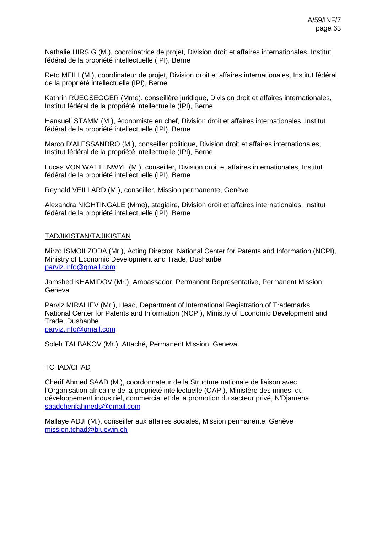Nathalie HIRSIG (M.), coordinatrice de projet, Division droit et affaires internationales, Institut fédéral de la propriété intellectuelle (IPI), Berne

Reto MEILI (M.), coordinateur de projet, Division droit et affaires internationales, Institut fédéral de la propriété intellectuelle (IPI), Berne

Kathrin RÜEGSEGGER (Mme), conseillère juridique, Division droit et affaires internationales, Institut fédéral de la propriété intellectuelle (IPI), Berne

Hansueli STAMM (M.), économiste en chef, Division droit et affaires internationales, Institut fédéral de la propriété intellectuelle (IPI), Berne

Marco D'ALESSANDRO (M.), conseiller politique, Division droit et affaires internationales, Institut fédéral de la propriété intellectuelle (IPI), Berne

Lucas VON WATTENWYL (M.), conseiller, Division droit et affaires internationales, Institut fédéral de la propriété intellectuelle (IPI), Berne

Reynald VEILLARD (M.), conseiller, Mission permanente, Genève

Alexandra NIGHTINGALE (Mme), stagiaire, Division droit et affaires internationales, Institut fédéral de la propriété intellectuelle (IPI), Berne

#### TADJIKISTAN/TAJIKISTAN

Mirzo ISMOILZODA (Mr.), Acting Director, National Center for Patents and Information (NCPI), Ministry of Economic Development and Trade, Dushanbe [parviz.info@gmail.com](mailto:parviz.info@gmail.com)

Jamshed KHAMIDOV (Mr.), Ambassador, Permanent Representative, Permanent Mission, **Geneva** 

Parviz MIRALIEV (Mr.), Head, Department of International Registration of Trademarks, National Center for Patents and Information (NCPI), Ministry of Economic Development and Trade, Dushanbe [parviz.info@gmail.com](mailto:parviz.info@gmail.com)

Soleh TALBAKOV (Mr.), Attaché, Permanent Mission, Geneva

#### TCHAD/CHAD

Cherif Ahmed SAAD (M.), coordonnateur de la Structure nationale de liaison avec l'Organisation africaine de la propriété intellectuelle (OAPI), Ministère des mines, du développement industriel, commercial et de la promotion du secteur privé, N'Djamena [saadcherifahmeds@gmail.com](mailto:saadcherifahmeds@gmail.com)

Mallaye ADJI (M.), conseiller aux affaires sociales, Mission permanente, Genève [mission.tchad@bluewin.ch](mailto:mission.tchad@bluewin.ch)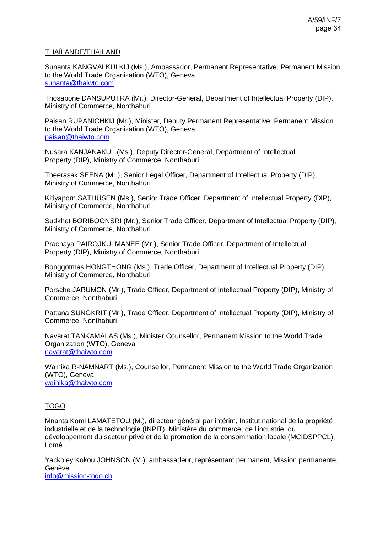## THAÏLANDE/THAILAND

Sunanta KANGVALKULKIJ (Ms.), Ambassador, Permanent Representative, Permanent Mission to the World Trade Organization (WTO), Geneva [sunanta@thaiwto.com](mailto:sunanta@thaiwto.com)

Thosapone DANSUPUTRA (Mr.), Director-General, Department of Intellectual Property (DIP), Ministry of Commerce, Nonthaburi

Paisan RUPANICHKIJ (Mr.), Minister, Deputy Permanent Representative, Permanent Mission to the World Trade Organization (WTO), Geneva [paisan@thaiwto.com](mailto:paisan@thaiwto.com)

Nusara KANJANAKUL (Ms.), Deputy Director-General, Department of Intellectual Property (DIP), Ministry of Commerce, Nonthaburi

Theerasak SEENA (Mr.), Senior Legal Officer, Department of Intellectual Property (DIP), Ministry of Commerce, Nonthaburi

Kitiyaporn SATHUSEN (Ms.), Senior Trade Officer, Department of Intellectual Property (DIP), Ministry of Commerce, Nonthaburi

Sudkhet BORIBOONSRI (Mr.), Senior Trade Officer, Department of Intellectual Property (DIP), Ministry of Commerce, Nonthaburi

Prachaya PAIROJKULMANEE (Mr.), Senior Trade Officer, Department of Intellectual Property (DIP), Ministry of Commerce, Nonthaburi

Bonggotmas HONGTHONG (Ms.), Trade Officer, Department of Intellectual Property (DIP), Ministry of Commerce, Nonthaburi

Porsche JARUMON (Mr.), Trade Officer, Department of Intellectual Property (DIP), Ministry of Commerce, Nonthaburi

Pattana SUNGKRIT (Mr.), Trade Officer, Department of Intellectual Property (DIP), Ministry of Commerce, Nonthaburi

Navarat TANKAMALAS (Ms.), Minister Counsellor, Permanent Mission to the World Trade Organization (WTO), Geneva [navarat@thaiwto.com](mailto:navarat@thaiwto.com)

Wainika R-NAMNART (Ms.), Counsellor, Permanent Mission to the World Trade Organization (WTO), Geneva [wainika@thaiwto.com](mailto:wainika@thaiwto.com)

# TOGO

Mnanta Komi LAMATETOU (M.), directeur général par intérim, Institut national de la propriété industrielle et de la technologie (INPIT), Ministère du commerce, de l'industrie, du développement du secteur privé et de la promotion de la consommation locale (MCIDSPPCL), Lomé

Yackoley Kokou JOHNSON (M.), ambassadeur, représentant permanent, Mission permanente, Genève [info@mission-togo.ch](mailto:info@mission-togo.ch)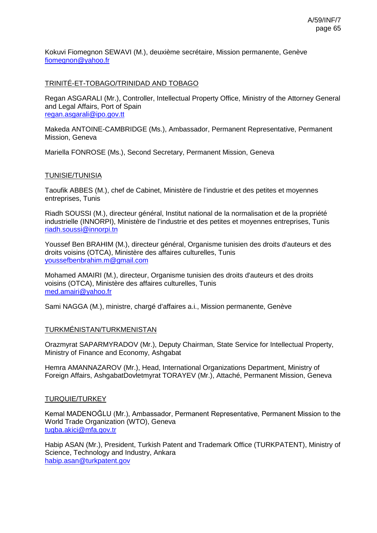Kokuvi Fiomegnon SEWAVI (M.), deuxième secrétaire, Mission permanente, Genève [fiomegnon@yahoo.fr](mailto:fiomegnon@yahoo.fr)

## TRINITÉ-ET-TOBAGO/TRINIDAD AND TOBAGO

Regan ASGARALI (Mr.), Controller, Intellectual Property Office, Ministry of the Attorney General and Legal Affairs, Port of Spain [regan.asgarali@ipo.gov.tt](mailto:regan.asgarali@ipo.gov.tt)

Makeda ANTOINE-CAMBRIDGE (Ms.), Ambassador, Permanent Representative, Permanent Mission, Geneva

Mariella FONROSE (Ms.), Second Secretary, Permanent Mission, Geneva

#### TUNISIE/TUNISIA

Taoufik ABBES (M.), chef de Cabinet, Ministère de l'industrie et des petites et moyennes entreprises, Tunis

Riadh SOUSSI (M.), directeur général, Institut national de la normalisation et de la propriété industrielle (INNORPI), Ministère de l'industrie et des petites et moyennes entreprises, Tunis [riadh.soussi@innorpi.tn](mailto:riadh.soussi@innorpi.tn)

Youssef Ben BRAHIM (M.), directeur général, Organisme tunisien des droits d'auteurs et des droits voisins (OTCA), Ministère des affaires culturelles, Tunis [youssefbenbrahim.m@gmail.com](mailto:youssefbenbrahim.m@gmail.com)

Mohamed AMAIRI (M.), directeur, Organisme tunisien des droits d'auteurs et des droits voisins (OTCA), Ministère des affaires culturelles, Tunis [med.amairi@yahoo.fr](mailto:med.amairi@yahoo.fr)

Sami NAGGA (M.), ministre, chargé d'affaires a.i., Mission permanente, Genève

### TURKMÉNISTAN/TURKMENISTAN

Orazmyrat SAPARMYRADOV (Mr.), Deputy Chairman, State Service for Intellectual Property, Ministry of Finance and Economy, Ashgabat

Hemra AMANNAZAROV (Mr.), Head, International Organizations Department, Ministry of Foreign Affairs, AshgabatDovletmyrat TORAYEV (Mr.), Attaché, Permanent Mission, Geneva

### TURQUIE/TURKEY

Kemal MADENOĞLU (Mr.), Ambassador, Permanent Representative, Permanent Mission to the World Trade Organization (WTO), Geneva [tugba.akici@mfa.gov.tr](mailto:tugba.akici@mfa.gov.tr)

Habip ASAN (Mr.), President, Turkish Patent and Trademark Office (TURKPATENT), Ministry of Science, Technology and Industry, Ankara [habip.asan@turkpatent.gov](mailto:habip.asan@turkpatent.gov)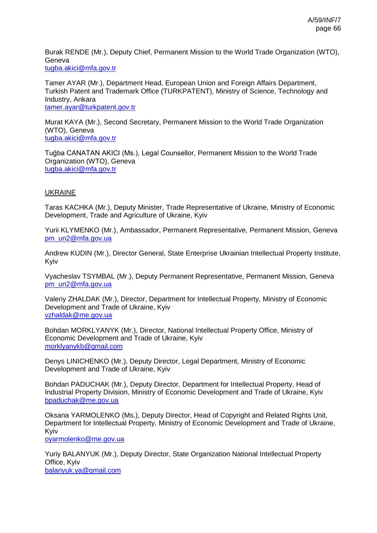Burak RENDE (Mr.), Deputy Chief, Permanent Mission to the World Trade Organization (WTO), Geneva [tugba.akici@mfa.gov.tr](mailto:tugba.akici@mfa.gov.tr)

Tamer AYAR (Mr.), Department Head, European Union and Foreign Affairs Department, Turkish Patent and Trademark Office (TURKPATENT), Ministry of Science, Technology and Industry, Ankara [tamer.ayar@turkpatent.gov.tr](mailto:tamer.ayar@turkpatent.gov.tr)

Murat KAYA (Mr.), Second Secretary, Permanent Mission to the World Trade Organization (WTO), Geneva [tugba.akici@mfa.gov.tr](mailto:tugba.akici@mfa.gov.tr)

Tuğba CANATAN AKICI (Ms.), Legal Counsellor, Permanent Mission to the World Trade Organization (WTO), Geneva [tugba.akici@mfa.gov.tr](mailto:tugba.akici@mfa.gov.tr)

## UKRAINE

Taras KACHKA (Mr.), Deputy Minister, Trade Representative of Ukraine, Ministry of Economic Development, Trade and Agriculture of Ukraine, Kyiv

Yurii KLYMENKO (Mr.), Ambassador, Permanent Representative, Permanent Mission, Geneva [pm\\_un2@mfa.gov.ua](mailto:pm_un2@mfa.gov.ua)

Andrew KUDIN (Mr.), Director General, State Enterprise Ukrainian Intellectual Property Institute, Kyiv

Vyacheslav TSYMBAL (Mr.), Deputy Permanent Representative, Permanent Mission, Geneva [pm\\_un2@mfa.gov.ua](mailto:pm_un2@mfa.gov.ua)

Valeriy ZHALDAK (Mr.), Director, Department for Intellectual Property, Ministry of Economic Development and Trade of Ukraine, Kyiv [vzhaldak@me.gov.ua](mailto:vzhaldak@me.gov.ua)

Bohdan MORKLYANYK (Mr.), Director, National Intellectual Property Office, Ministry of Economic Development and Trade of Ukraine, Kyiv [morklyanykb@gmail.com](mailto:morklyanykb@gmail.com)

Denys LINICHENKO (Mr.), Deputy Director, Legal Department, Ministry of Economic Development and Trade of Ukraine, Kyiv

Bohdan PADUCHAK (Mr.), Deputy Director, Department for Intellectual Property, Head of Industrial Property Division, Ministry of Economic Development and Trade of Ukraine, Kyiv [bpaduchak@me.gov.ua](mailto:bpaduchak@me.gov.ua)

Oksana YARMOLENKO (Ms.), Deputy Director, Head of Copyright and Related Rights Unit, Department for Intellectual Property, Ministry of Economic Development and Trade of Ukraine, Kyiv

[oyarmolenko@me.gov.ua](mailto:oyarmolenko@me.gov.ua)

Yuriy BALANYUK (Mr.), Deputy Director, State Organization National Intellectual Property Office, Kyiv [balanyuk.ya@gmail.com](mailto:balanyuk.ya@gmail.com)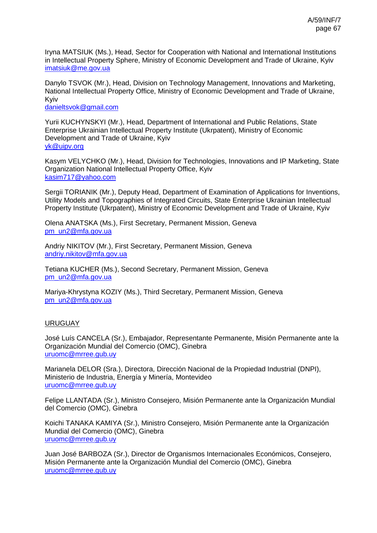Iryna MATSIUK (Ms.), Head, Sector for Cooperation with National and International Institutions in Intellectual Property Sphere, Ministry of Economic Development and Trade of Ukraine, Kyiv [imatsiuk@me.gov.ua](mailto:imatsiuk@me.gov.ua)

Danylo TSVOK (Mr.), Head, Division on Technology Management, Innovations and Marketing, National Intellectual Property Office, Ministry of Economic Development and Trade of Ukraine, Kyiv

[danieltsvok@gmail.com](mailto:danieltsvok@gmail.com)

Yurii KUCHYNSKYI (Mr.), Head, Department of International and Public Relations, State Enterprise Ukrainian Intellectual Property Institute (Ukrpatent), Ministry of Economic Development and Trade of Ukraine, Kyiv [yk@uipv.org](mailto:yk@uipv.org)

Kasym VELYCHKO (Mr.), Head, Division for Technologies, Innovations and IP Marketing, State Organization National Intellectual Property Office, Kyiv [kasim717@yahoo.com](mailto:kasim717@yahoo.com)

Sergii TORIANIK (Mr.), Deputy Head, Department of Examination of Applications for Inventions, Utility Models and Topographies of Integrated Circuits, State Enterprise Ukrainian Intellectual Property Institute (Ukrpatent), Ministry of Economic Development and Trade of Ukraine, Kyiv

Olena ANATSKA (Ms.), First Secretary, Permanent Mission, Geneva [pm\\_un2@mfa.gov.ua](mailto:pm_un2@mfa.gov.ua)

Andriy NIKITOV (Mr.), First Secretary, Permanent Mission, Geneva [andriy.nikitov@mfa.gov.ua](mailto:andriy.nikitov@mfa.gov.ua)

Tetiana KUCHER (Ms.), Second Secretary, Permanent Mission, Geneva [pm\\_un2@mfa.gov.ua](mailto:pm_un2@mfa.gov.ua)

Mariya-Khrystyna KOZIY (Ms.), Third Secretary, Permanent Mission, Geneva [pm\\_un2@mfa.gov.ua](mailto:pm_un2@mfa.gov.ua)

# URUGUAY

José Luís CANCELA (Sr.), Embajador, Representante Permanente, Misión Permanente ante la Organización Mundial del Comercio (OMC), Ginebra [uruomc@mrree.gub.uy](mailto:uruomc@mrree.gub.uy)

Marianela DELOR (Sra.), Directora, Dirección Nacional de la Propiedad Industrial (DNPI), Ministerio de Industria, Energía y Minería, Montevideo [uruomc@mrree.gub.uy](mailto:uruomc@mrree.gub.uy)

Felipe LLANTADA (Sr.), Ministro Consejero, Misión Permanente ante la Organización Mundial del Comercio (OMC), Ginebra

Koichi TANAKA KAMIYA (Sr.), Ministro Consejero, Misión Permanente ante la Organización Mundial del Comercio (OMC), Ginebra [uruomc@mrree.gub.uy](mailto:uruomc@mrree.gub.uy)

Juan José BARBOZA (Sr.), Director de Organismos Internacionales Económicos, Consejero, Misión Permanente ante la Organización Mundial del Comercio (OMC), Ginebra [uruomc@mrree.gub.uy](mailto:uruomc@mrree.gub.uy)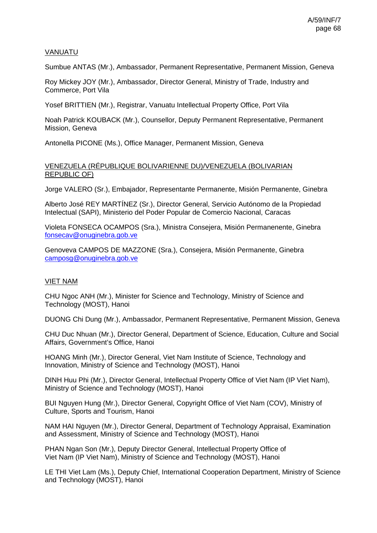## VANUATU

Sumbue ANTAS (Mr.), Ambassador, Permanent Representative, Permanent Mission, Geneva

Roy Mickey JOY (Mr.), Ambassador, Director General, Ministry of Trade, Industry and Commerce, Port Vila

Yosef BRITTIEN (Mr.), Registrar, Vanuatu Intellectual Property Office, Port Vila

Noah Patrick KOUBACK (Mr.), Counsellor, Deputy Permanent Representative, Permanent Mission, Geneva

Antonella PICONE (Ms.), Office Manager, Permanent Mission, Geneva

## VENEZUELA (RÉPUBLIQUE BOLIVARIENNE DU)/VENEZUELA (BOLIVARIAN REPUBLIC OF)

Jorge VALERO (Sr.), Embajador, Representante Permanente, Misión Permanente, Ginebra

Alberto José REY MARTÍNEZ (Sr.), Director General, Servicio Autónomo de la Propiedad Intelectual (SAPI), Ministerio del Poder Popular de Comercio Nacional, Caracas

Violeta FONSECA OCAMPOS (Sra.), Ministra Consejera, Misión Permanenente, Ginebra [fonsecav@onuginebra.gob.ve](mailto:fonsecav@onuginebra.gob.ve)

Genoveva CAMPOS DE MAZZONE (Sra.), Consejera, Misión Permanente, Ginebra [camposg@onuginebra.gob.ve](mailto:camposg@onuginebra.gob.ve)

# VIET NAM

CHU Ngoc ANH (Mr.), Minister for Science and Technology, Ministry of Science and Technology (MOST), Hanoi

DUONG Chi Dung (Mr.), Ambassador, Permanent Representative, Permanent Mission, Geneva

CHU Duc Nhuan (Mr.), Director General, Department of Science, Education, Culture and Social Affairs, Government's Office, Hanoi

HOANG Minh (Mr.), Director General, Viet Nam Institute of Science, Technology and Innovation, Ministry of Science and Technology (MOST), Hanoi

DINH Huu Phi (Mr.), Director General, Intellectual Property Office of Viet Nam (IP Viet Nam), Ministry of Science and Technology (MOST), Hanoi

BUI Nguyen Hung (Mr.), Director General, Copyright Office of Viet Nam (COV), Ministry of Culture, Sports and Tourism, Hanoi

NAM HAI Nguyen (Mr.), Director General, Department of Technology Appraisal, Examination and Assessment, Ministry of Science and Technology (MOST), Hanoi

PHAN Ngan Son (Mr.), Deputy Director General, Intellectual Property Office of Viet Nam (IP Viet Nam), Ministry of Science and Technology (MOST), Hanoi

LE THI Viet Lam (Ms.), Deputy Chief, International Cooperation Department, Ministry of Science and Technology (MOST), Hanoi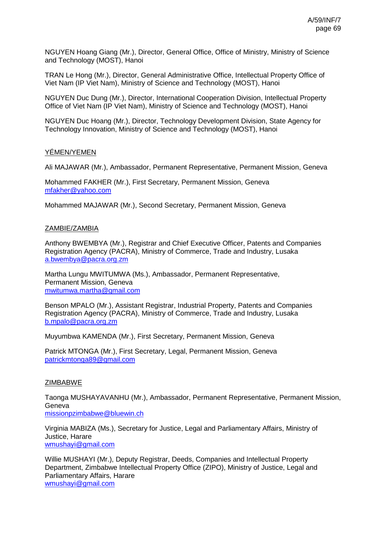NGUYEN Hoang Giang (Mr.), Director, General Office, Office of Ministry, Ministry of Science and Technology (MOST), Hanoi

TRAN Le Hong (Mr.), Director, General Administrative Office, Intellectual Property Office of Viet Nam (IP Viet Nam), Ministry of Science and Technology (MOST), Hanoi

NGUYEN Duc Dung (Mr.), Director, International Cooperation Division, Intellectual Property Office of Viet Nam (IP Viet Nam), Ministry of Science and Technology (MOST), Hanoi

NGUYEN Duc Hoang (Mr.), Director, Technology Development Division, State Agency for Technology Innovation, Ministry of Science and Technology (MOST), Hanoi

## YÉMEN/YEMEN

Ali MAJAWAR (Mr.), Ambassador, Permanent Representative, Permanent Mission, Geneva

Mohammed FAKHER (Mr.), First Secretary, Permanent Mission, Geneva [mfakher@yahoo.com](mailto:mfakher@yahoo.com)

Mohammed MAJAWAR (Mr.), Second Secretary, Permanent Mission, Geneva

### ZAMBIE/ZAMBIA

Anthony BWEMBYA (Mr.), Registrar and Chief Executive Officer, Patents and Companies Registration Agency (PACRA), Ministry of Commerce, Trade and Industry, Lusaka [a.bwembya@pacra.org.zm](mailto:a.bwembya@pacra.org.zm)

Martha Lungu MWITUMWA (Ms.), Ambassador, Permanent Representative, Permanent Mission, Geneva [mwitumwa.martha@gmail.com](mailto:mwitumwa.martha@gmail.com)

Benson MPALO (Mr.), Assistant Registrar, Industrial Property, Patents and Companies Registration Agency (PACRA), Ministry of Commerce, Trade and Industry, Lusaka [b.mpalo@pacra.org.zm](mailto:b.mpalo@pacra.org.zm)

Muyumbwa KAMENDA (Mr.), First Secretary, Permanent Mission, Geneva

Patrick MTONGA (Mr.), First Secretary, Legal, Permanent Mission, Geneva [patrickmtonga89@gmail.com](mailto:patrickmtonga89@gmail.com)

### **ZIMBABWE**

Taonga MUSHAYAVANHU (Mr.), Ambassador, Permanent Representative, Permanent Mission, **Geneva** [missionpzimbabwe@bluewin.ch](mailto:missionpzimbabwe@bluewin.ch)

Virginia MABIZA (Ms.), Secretary for Justice, Legal and Parliamentary Affairs, Ministry of Justice, Harare [wmushayi@gmail.com](mailto:wmushayi@gmail.com)

Willie MUSHAYI (Mr.), Deputy Registrar, Deeds, Companies and Intellectual Property Department, Zimbabwe Intellectual Property Office (ZIPO), Ministry of Justice, Legal and Parliamentary Affairs, Harare [wmushayi@gmail.com](mailto:wmushayi@gmail.com)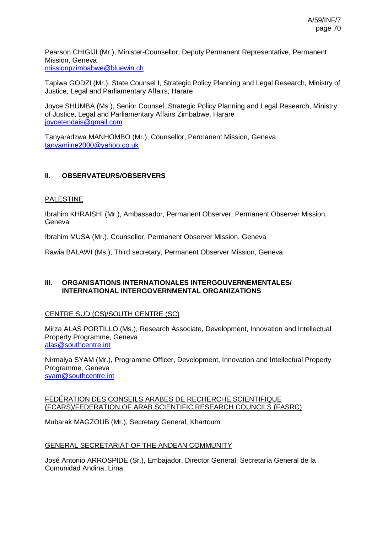Pearson CHIGIJI (Mr.), Minister-Counsellor, Deputy Permanent Representative, Permanent Mission, Geneva [missionpzimbabwe@bluewin.ch](mailto:missionpzimbabwe@bluewin.ch)

Tapiwa GODZI (Mr.), State Counsel I, Strategic Policy Planning and Legal Research, Ministry of Justice, Legal and Parliamentary Affairs, Harare

Joyce SHUMBA (Ms.), Senior Counsel, Strategic Policy Planning and Legal Research, Ministry of Justice, Legal and Parliamentary Affairs Zimbabwe, Harare [joycetendais@gmail.com](mailto:joycetendais@gmail.com)

Tanyaradzwa MANHOMBO (Mr.), Counsellor, Permanent Mission, Geneva [tanyamilne2000@yahoo.co.uk](mailto:tanyamilne2000@yahoo.co.uk)

# **II. OBSERVATEURS/OBSERVERS**

#### PALESTINE

Ibrahim KHRAISHI (Mr.), Ambassador, Permanent Observer, Permanent Observer Mission, Geneva

Ibrahim MUSA (Mr.), Counsellor, Permanent Observer Mission, Geneva

Rawia BALAWI (Ms.), Third secretary, Permanent Observer Mission, Geneva

### **III. ORGANISATIONS INTERNATIONALES INTERGOUVERNEMENTALES/ INTERNATIONAL INTERGOVERNMENTAL ORGANIZATIONS**

### CENTRE SUD (CS)/SOUTH CENTRE (SC)

Mirza ALAS PORTILLO (Ms.), Research Associate, Development, Innovation and Intellectual Property Programme, Geneva [alas@southcentre.int](mailto:alas@southcentre.int)

Nirmalya SYAM (Mr.), Programme Officer, Development, Innovation and Intellectual Property Programme, Geneva [syam@southcentre.int](mailto:syam@southcentre.int)

#### FÉDÉRATION DES CONSEILS ARABES DE RECHERCHE SCIENTIFIQUE (FCARS)/FEDERATION OF ARAB SCIENTIFIC RESEARCH COUNCILS (FASRC)

Mubarak MAGZOUB (Mr.), Secretary General, Khartoum

#### GENERAL SECRETARIAT OF THE ANDEAN COMMUNITY

José Antonio ARROSPIDE (Sr.), Embajador, Director General, Secretaría General de la Comunidad Andina, Lima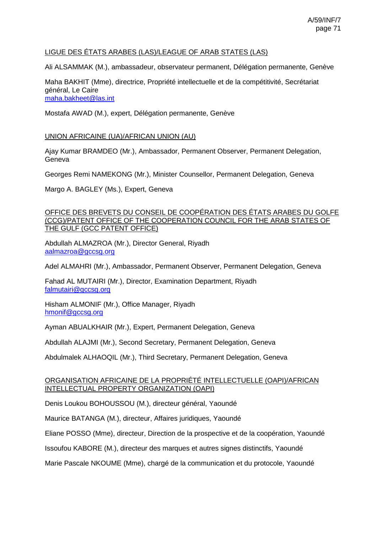# LIGUE DES ÉTATS ARABES (LAS)/LEAGUE OF ARAB STATES (LAS)

Ali ALSAMMAK (M.), ambassadeur, observateur permanent, Délégation permanente, Genève

Maha BAKHIT (Mme), directrice, Propriété intellectuelle et de la compétitivité, Secrétariat général, Le Caire [maha.bakheet@las.int](mailto:maha.bakheet@las.int)

Mostafa AWAD (M.), expert, Délégation permanente, Genève

## UNION AFRICAINE (UA)/AFRICAN UNION (AU)

Ajay Kumar BRAMDEO (Mr.), Ambassador, Permanent Observer, Permanent Delegation, Geneva

Georges Remi NAMEKONG (Mr.), Minister Counsellor, Permanent Delegation, Geneva

Margo A. BAGLEY (Ms.), Expert, Geneva

#### OFFICE DES BREVETS DU CONSEIL DE COOPÉRATION DES ÉTATS ARABES DU GOLFE (CCG)/PATENT OFFICE OF THE COOPERATION COUNCIL FOR THE ARAB STATES OF THE GULF (GCC PATENT OFFICE)

Abdullah ALMAZROA (Mr.), Director General, Riyadh [aalmazroa@gccsg.org](mailto:aalmazroa@gccsg.org)

Adel ALMAHRI (Mr.), Ambassador, Permanent Observer, Permanent Delegation, Geneva

Fahad AL MUTAIRI (Mr.), Director, Examination Department, Riyadh [falmutairi@gccsg.org](mailto:falmutairi@gccsg.org)

Hisham ALMONIF (Mr.), Office Manager, Riyadh [hmonif@gccsg.org](mailto:hmonif@gccsg.org)

Ayman ABUALKHAIR (Mr.), Expert, Permanent Delegation, Geneva

Abdullah ALAJMI (Mr.), Second Secretary, Permanent Delegation, Geneva

Abdulmalek ALHAOQIL (Mr.), Third Secretary, Permanent Delegation, Geneva

### ORGANISATION AFRICAINE DE LA PROPRIÉTÉ INTELLECTUELLE (OAPI)/AFRICAN INTELLECTUAL PROPERTY ORGANIZATION (OAPI)

Denis Loukou BOHOUSSOU (M.), directeur général, Yaoundé

Maurice BATANGA (M.), directeur, Affaires juridiques, Yaoundé

Eliane POSSO (Mme), directeur, Direction de la prospective et de la coopération, Yaoundé

Issoufou KABORE (M.), directeur des marques et autres signes distinctifs, Yaoundé

Marie Pascale NKOUME (Mme), chargé de la communication et du protocole, Yaoundé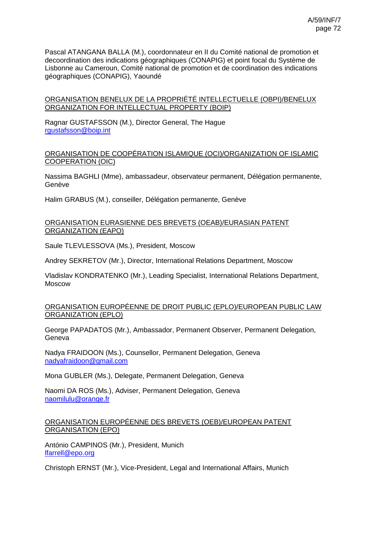Pascal ATANGANA BALLA (M.), coordonnateur en II du Comité national de promotion et decoordination des indications géographiques (CONAPIG) et point focal du Système de Lisbonne au Cameroun, Comité national de promotion et de coordination des indications géographiques (CONAPIG), Yaoundé

## ORGANISATION BENELUX DE LA PROPRIÉTÉ INTELLECTUELLE (OBPI)/BENELUX ORGANIZATION FOR INTELLECTUAL PROPERTY (BOIP)

Ragnar GUSTAFSSON (M.), Director General, The Hague [rgustafsson@boip.int](mailto:rgustafsson@boip.int)

### ORGANISATION DE COOPÉRATION ISLAMIQUE (OCI)/ORGANIZATION OF ISLAMIC COOPERATION (OIC)

Nassima BAGHLI (Mme), ambassadeur, observateur permanent, Délégation permanente, Genève

Halim GRABUS (M.), conseiller, Délégation permanente, Genève

#### ORGANISATION EURASIENNE DES BREVETS (OEAB)/EURASIAN PATENT ORGANIZATION (EAPO)

Saule TLEVLESSOVA (Ms.), President, Moscow

Andrey SEKRETOV (Mr.), Director, International Relations Department, Moscow

Vladislav KONDRATENKO (Mr.), Leading Specialist, International Relations Department, Moscow

### ORGANISATION EUROPÉENNE DE DROIT PUBLIC (EPLO)/EUROPEAN PUBLIC LAW ORGANIZATION (EPLO)

George PAPADATOS (Mr.), Ambassador, Permanent Observer, Permanent Delegation, Geneva

Nadya FRAIDOON (Ms.), Counsellor, Permanent Delegation, Geneva [nadyafraidoon@gmail.com](mailto:nadyafraidoon@gmail.com)

Mona GUBLER (Ms.), Delegate, Permanent Delegation, Geneva

Naomi DA ROS (Ms.), Adviser, Permanent Delegation, Geneva [naomilulu@orange.fr](mailto:naomilulu@orange.fr)

### ORGANISATION EUROPÉENNE DES BREVETS (OEB)/EUROPEAN PATENT ORGANISATION (EPO)

António CAMPINOS (Mr.), President, Munich [lfarrell@epo.org](mailto:lfarrell@epo.org)

Christoph ERNST (Mr.), Vice-President, Legal and International Affairs, Munich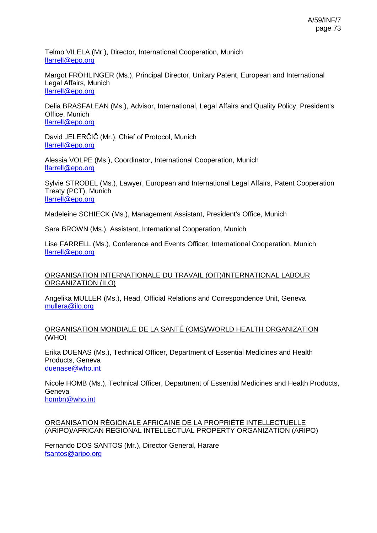Telmo VILELA (Mr.), Director, International Cooperation, Munich [lfarrell@epo.org](mailto:lfarrell@epo.org)

Margot FRÖHLINGER (Ms.), Principal Director, Unitary Patent, European and International Legal Affairs, Munich [lfarrell@epo.org](mailto:lfarrell@epo.org)

Delia BRASFALEAN (Ms.), Advisor, International, Legal Affairs and Quality Policy, President's Office, Munich [lfarrell@epo.org](mailto:lfarrell@epo.org)

David JELERČIČ (Mr.), Chief of Protocol, Munich [lfarrell@epo.org](mailto:lfarrell@epo.org)

Alessia VOLPE (Ms.), Coordinator, International Cooperation, Munich [lfarrell@epo.org](mailto:lfarrell@epo.org)

Sylvie STROBEL (Ms.), Lawyer, European and International Legal Affairs, Patent Cooperation Treaty (PCT), Munich [lfarrell@epo.org](mailto:lfarrell@epo.org)

Madeleine SCHIECK (Ms.), Management Assistant, President's Office, Munich

Sara BROWN (Ms.), Assistant, International Cooperation, Munich

Lise FARRELL (Ms.), Conference and Events Officer, International Cooperation, Munich [lfarrell@epo.org](mailto:lfarrell@epo.org)

# ORGANISATION INTERNATIONALE DU TRAVAIL (OIT)/INTERNATIONAL LABOUR ORGANIZATION (ILO)

Angelika MULLER (Ms.), Head, Official Relations and Correspondence Unit, Geneva [mullera@ilo.org](mailto:mullera@ilo.org)

# ORGANISATION MONDIALE DE LA SANTÉ (OMS)/WORLD HEALTH ORGANIZATION (WHO)

Erika DUENAS (Ms.), Technical Officer, Department of Essential Medicines and Health Products, Geneva [duenase@who.int](mailto:duenase@who.int)

Nicole HOMB (Ms.), Technical Officer, Department of Essential Medicines and Health Products, Geneva [hombn@who.int](mailto:hombn@who.int)

ORGANISATION RÉGIONALE AFRICAINE DE LA PROPRIÉTÉ INTELLECTUELLE (ARIPO)/AFRICAN REGIONAL INTELLECTUAL PROPERTY ORGANIZATION (ARIPO)

Fernando DOS SANTOS (Mr.), Director General, Harare [fsantos@aripo.org](mailto:fsantos@aripo.org)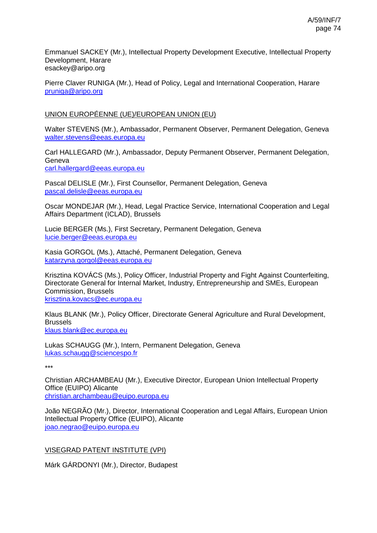Emmanuel SACKEY (Mr.), Intellectual Property Development Executive, Intellectual Property Development, Harare esackey@aripo.org

Pierre Claver RUNIGA (Mr.), Head of Policy, Legal and International Cooperation, Harare [pruniga@aripo.org](mailto:pruniga@aripo.org)

# UNION EUROPÉENNE (UE)/EUROPEAN UNION (EU)

Walter STEVENS (Mr.), Ambassador, Permanent Observer, Permanent Delegation, Geneva [walter.stevens@eeas.europa.eu](mailto:walter.stevens@eeas.europa.eu)

Carl HALLEGARD (Mr.), Ambassador, Deputy Permanent Observer, Permanent Delegation, Geneva [carl.hallergard@eeas.europa.eu](mailto:carl.hallergard@eeas.europa.eu)

Pascal DELISLE (Mr.), First Counsellor, Permanent Delegation, Geneva [pascal.delisle@eeas.europa.eu](mailto:pascal.delisle@eeas.europa.eu)

Oscar MONDEJAR (Mr.), Head, Legal Practice Service, International Cooperation and Legal Affairs Department (ICLAD), Brussels

Lucie BERGER (Ms.), First Secretary, Permanent Delegation, Geneva [lucie.berger@eeas.europa.eu](mailto:lucie.berger@eeas.europa.eu)

Kasia GORGOL (Ms.), Attaché, Permanent Delegation, Geneva [katarzyna.gorgol@eeas.europa.eu](mailto:katarzyna.gorgol@eeas.europa.eu)

Krisztina KOVÁCS (Ms.), Policy Officer, Industrial Property and Fight Against Counterfeiting, Directorate General for Internal Market, Industry, Entrepreneurship and SMEs, European Commission, Brussels [krisztina.kovacs@ec.europa.eu](mailto:krisztina.kovacs@ec.europa.eu)

Klaus BLANK (Mr.), Policy Officer, Directorate General Agriculture and Rural Development, Brussels [klaus.blank@ec.europa.eu](mailto:klaus.blank@ec.europa.eu)

Lukas SCHAUGG (Mr.), Intern, Permanent Delegation, Geneva [lukas.schaugg@sciencespo.fr](mailto:lukas.schaugg@sciencespo.fr)

\*\*\*

Christian ARCHAMBEAU (Mr.), Executive Director, European Union Intellectual Property Office (EUIPO) Alicante [christian.archambeau@euipo.europa.eu](mailto:christian.archambeau@euipo.europa.eu)

João NEGRÃO (Mr.), Director, International Cooperation and Legal Affairs, European Union Intellectual Property Office (EUIPO), Alicante [joao.negrao@euipo.europa.eu](mailto:joao.negrao@euipo.europa.eu)

VISEGRAD PATENT INSTITUTE (VPI)

Márk GÁRDONYI (Mr.), Director, Budapest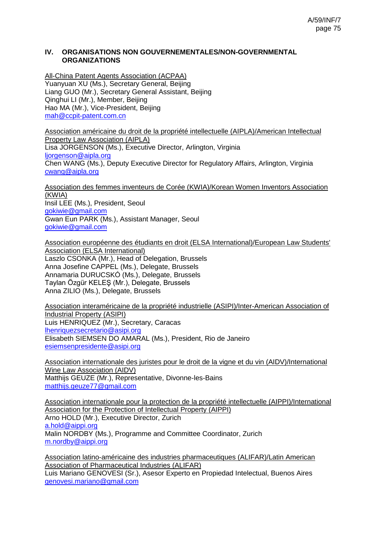#### **IV. ORGANISATIONS NON GOUVERNEMENTALES/NON-GOVERNMENTAL ORGANIZATIONS**

All-China Patent Agents Association (ACPAA) Yuanyuan XU (Ms.), Secretary General, Beijing Liang GUO (Mr.), Secretary General Assistant, Beijing Qinghui LI (Mr.), Member, Beijing Hao MA (Mr.), Vice-President, Beijing [mah@ccpit-patent.com.cn](mailto:mah@ccpit-patent.com.cn)

Association américaine du droit de la propriété intellectuelle (AIPLA)/American Intellectual Property Law Association (AIPLA) Lisa JORGENSON (Ms.), Executive Director, Arlington, Virginia [ljorgenson@aipla.org](mailto:ljorgenson@aipla.org) Chen WANG (Ms.), Deputy Executive Director for Regulatory Affairs, Arlington, Virginia [cwang@aipla.org](mailto:cwang@aipla.org)

Association des femmes inventeurs de Corée (KWIA)/Korean Women Inventors Association (KWIA) Insil LEE (Ms.), President, Seoul [gokiwie@gmail.com](mailto:gokiwie@gmail.com) Gwan Eun PARK (Ms.), Assistant Manager, Seoul [gokiwie@gmail.com](mailto:gokiwie@gmail.com)

Association européenne des étudiants en droit (ELSA International)/European Law Students' Association (ELSA International) Laszlo CSONKA (Mr.), Head of Delegation, Brussels Anna Josefine CAPPEL (Ms.), Delegate, Brussels Annamaria DURUCSKÓ (Ms.), Delegate, Brussels Taylan Özgür KELEŞ (Mr.), Delegate, Brussels Anna ZILIO (Ms.), Delegate, Brussels

Association interaméricaine de la propriété industrielle (ASIPI)/Inter-American Association of Industrial Property (ASIPI) Luis HENRIQUEZ (Mr.), Secretary, Caracas [lhenriquezsecretario@asipi.org](mailto:lhenriquezsecretario@asipi.org) Elisabeth SIEMSEN DO AMARAL (Ms.), President, Rio de Janeiro [esiemsenpresidente@asipi.org](mailto:esiemsenpresidente@asipi.org)

Association internationale des juristes pour le droit de la vigne et du vin (AIDV)/International Wine Law Association (AIDV) Matthijs GEUZE (Mr.), Representative, Divonne-les-Bains [matthijs.geuze77@gmail.com](mailto:matthijs.geuze77@gmail.com)

Association internationale pour la protection de la propriété intellectuelle (AIPPI)/International Association for the Protection of Intellectual Property (AIPPI) Arno HOLD (Mr.), Executive Director, Zurich [a.hold@aippi.org](mailto:a.hold@aippi.org) Malin NORDBY (Ms.), Programme and Committee Coordinator, Zurich [m.nordby@aippi.org](mailto:m.nordby@aippi.org)

Association latino-américaine des industries pharmaceutiques (ALIFAR)/Latin American Association of Pharmaceutical Industries (ALIFAR)

Luis Mariano GENOVESI (Sr.), Asesor Experto en Propiedad Intelectual, Buenos Aires [genovesi.mariano@gmail.com](mailto:genovesi.mariano@gmail.com)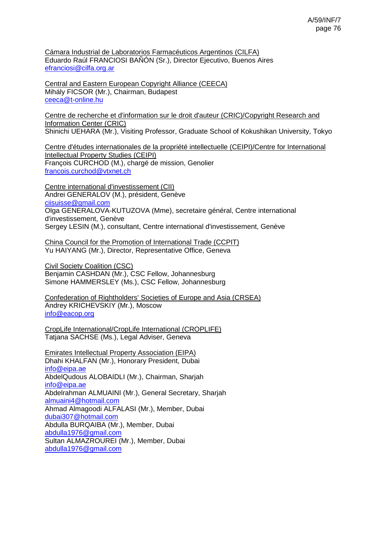Cámara Industrial de Laboratorios Farmacéuticos Argentinos (CILFA) Eduardo Raúl FRANCIOSI BAÑÓN (Sr.), Director Ejecutivo, Buenos Aires [efranciosi@cilfa.org.ar](mailto:efranciosi@cilfa.org.ar)

Central and Eastern European Copyright Alliance (CEECA) Mihály FICSOR (Mr.), Chairman, Budapest [ceeca@t-online.hu](mailto:ceeca@t-online.hu)

Centre de recherche et d'information sur le droit d'auteur (CRIC)/Copyright Research and Information Center (CRIC) Shinichi UEHARA (Mr.), Visiting Professor, Graduate School of Kokushikan University, Tokyo

Centre d'études internationales de la propriété intellectuelle (CEIPI)/Centre for International Intellectual Property Studies (CEIPI) François CURCHOD (M.), chargé de mission, Genolier [francois.curchod@vtxnet.ch](mailto:francois.curchod@vtxnet.ch)

Centre international d'investissement (CII) Andrei GENERALOV (M.), président, Genève [ciisuisse@gmail.com](mailto:ciisuisse@gmail.com) Olga GENERALOVA-KUTUZOVA (Mme), secretaire général, Centre international d'investissement, Genève Sergey LESIN (M.), consultant, Centre international d'investissement, Genève

China Council for the Promotion of International Trade (CCPIT) Yu HAIYANG (Mr.), Director, Representative Office, Geneva

Civil Society Coalition (CSC) Benjamin CASHDAN (Mr.), CSC Fellow, Johannesburg Simone HAMMERSLEY (Ms.), CSC Fellow, Johannesburg

Confederation of Rightholders' Societies of Europe and Asia (CRSEA) Andrey KRICHEVSKIY (Mr.), Moscow [info@eacop.org](mailto:info@eacop.org)

CropLife International/CropLife International (CROPLIFE) Tatjana SACHSE (Ms.), Legal Adviser, Geneva

Emirates Intellectual Property Association (EIPA) Dhahi KHALFAN (Mr.), Honorary President, Dubai [info@eipa.ae](mailto:info@eipa.ae) AbdelQudous ALOBAIDLI (Mr.), Chairman, Sharjah [info@eipa.ae](mailto:info@eipa.ae) Abdelrahman ALMUAINI (Mr.), General Secretary, Sharjah [almuaini4@hotmail.com](mailto:almuaini4@hotmail.com) Ahmad Almagoodi ALFALASI (Mr.), Member, Dubai [dubai307@hotmail.com](mailto:dubai307@hotmail.com) Abdulla BURQAIBA (Mr.), Member, Dubai [abdulla1976@gmail.com](mailto:abdulla1976@gmail.com) Sultan ALMAZROUREI (Mr.), Member, Dubai [abdulla1976@gmail.com](mailto:abdulla1976@gmail.com)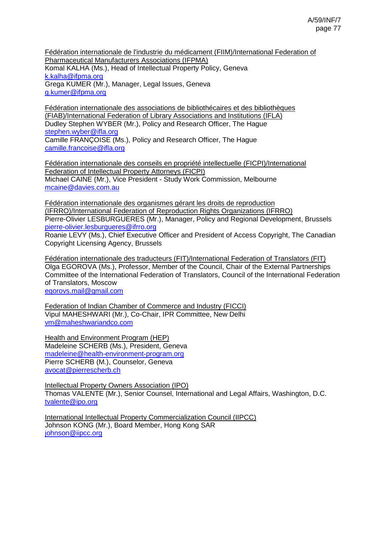Fédération internationale de l'industrie du médicament (FIIM)/International Federation of Pharmaceutical Manufacturers Associations (IFPMA) Komal KALHA (Ms.), Head of Intellectual Property Policy, Geneva [k.kalha@ifpma.org](mailto:k.kalha@ifpma.org) Grega KUMER (Mr.), Manager, Legal Issues, Geneva [g.kumer@ifpma.org](mailto:g.kumer@ifpma.org)

Fédération internationale des associations de bibliothécaires et des bibliothèques (FIAB)/International Federation of Library Associations and Institutions (IFLA) Dudley Stephen WYBER (Mr.), Policy and Research Officer, The Hague [stephen.wyber@ifla.org](mailto:stephen.wyber@ifla.org) Camille FRANÇOISE (Ms.), Policy and Research Officer, The Hague [camille.francoise@ifla.org](mailto:camille.francoise@ifla.org)

Fédération internationale des conseils en propriété intellectuelle (FICPI)/International Federation of Intellectual Property Attorneys (FICPI) Michael CAINE (Mr.), Vice President - Study Work Commission, Melbourne [mcaine@davies.com.au](mailto:mcaine@davies.com.au)

Fédération internationale des organismes gérant les droits de reproduction (IFRRO)/International Federation of Reproduction Rights Organizations (IFRRO) Pierre-Olivier LESBURGUERES (Mr.), Manager, Policy and Regional Development, Brussels [pierre-olivier.lesburgueres@ifrro.org](mailto:pierre-olivier.lesburgueres@ifrro.org)

Roanie LEVY (Ms.), Chief Executive Officer and President of Access Copyright, The Canadian Copyright Licensing Agency, Brussels

Fédération internationale des traducteurs (FIT)/International Federation of Translators (FIT) Olga EGOROVA (Ms.), Professor, Member of the Council, Chair of the External Partnerships Committee of the International Federation of Translators, Council of the International Federation of Translators, Moscow [egorovs.mail@gmail.com](mailto:egorovs.mail@gmail.com)

Federation of Indian Chamber of Commerce and Industry (FICCI) Vipul MAHESHWARI (Mr.), Co-Chair, IPR Committee, New Delhi [vm@maheshwariandco.com](mailto:vm@maheshwariandco.com)

Health and Environment Program (HEP) Madeleine SCHERB (Ms.), President, Geneva [madeleine@health-environment-program.org](mailto:madeleine@health-environment-program.org) Pierre SCHERB (M.), Counselor, Geneva [avocat@pierrescherb.ch](mailto:avocat@pierrescherb.ch)

Intellectual Property Owners Association (IPO) Thomas VALENTE (Mr.), Senior Counsel, International and Legal Affairs, Washington, D.C. [tvalente@ipo.org](mailto:tvalente@ipo.org)

International Intellectual Property Commercialization Council (IIPCC) Johnson KONG (Mr.), Board Member, Hong Kong SAR [johnson@iipcc.org](mailto:johnson@iipcc.org)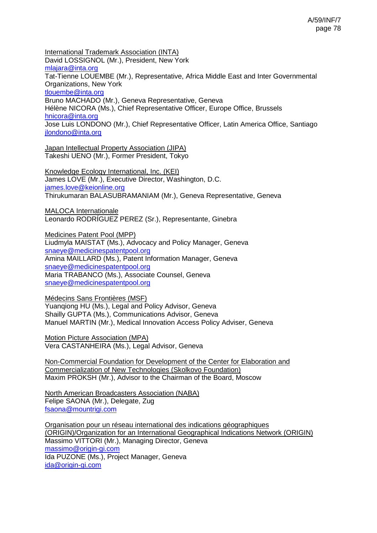International Trademark Association (INTA) David LOSSIGNOL (Mr.), President, New York [mlajara@inta.org](mailto:mlajara@inta.org) Tat-Tienne LOUEMBE (Mr.), Representative, Africa Middle East and Inter Governmental Organizations, New York [tlouembe@inta.org](mailto:tlouembe@inta.org) Bruno MACHADO (Mr.), Geneva Representative, Geneva Hélène NICORA (Ms.), Chief Representative Officer, Europe Office, Brussels [hnicora@inta.org](mailto:hnicora@inta.org) Jose Luis LONDONO (Mr.), Chief Representative Officer, Latin America Office, Santiago [jlondono@inta.org](mailto:jlondono@inta.org)

Japan Intellectual Property Association (JIPA) Takeshi UENO (Mr.), Former President, Tokyo

Knowledge Ecology International, Inc. (KEI) James LOVE (Mr.), Executive Director, Washington, D.C. [james.love@keionline.org](mailto:james.love@keionline.org) Thirukumaran BALASUBRAMANIAM (Mr.), Geneva Representative, Geneva

MALOCA Internationale Leonardo RODRÍGUEZ PEREZ (Sr.), Representante, Ginebra

Medicines Patent Pool (MPP) Liudmyla MAISTAT (Ms.), Advocacy and Policy Manager, Geneva [snaeye@medicinespatentpool.org](mailto:snaeye@medicinespatentpool.org) Amina MAILLARD (Ms.), Patent Information Manager, Geneva [snaeye@medicinespatentpool.org](mailto:snaeye@medicinespatentpool.org) Maria TRABANCO (Ms.), Associate Counsel, Geneva [snaeye@medicinespatentpool.org](mailto:snaeye@medicinespatentpool.org)

Médecins Sans Frontières (MSF) Yuanqiong HU (Ms.), Legal and Policy Advisor, Geneva Shailly GUPTA (Ms.), Communications Advisor, Geneva Manuel MARTIN (Mr.), Medical Innovation Access Policy Adviser, Geneva

Motion Picture Association (MPA) Vera CASTANHEIRA (Ms.), Legal Advisor, Geneva

Non-Commercial Foundation for Development of the Center for Elaboration and Commercialization of New Technologies (Skolkovo Foundation) Maxim PROKSH (Mr.), Advisor to the Chairman of the Board, Moscow

North American Broadcasters Association (NABA) Felipe SAONA (Mr.), Delegate, Zug [fsaona@mountrigi.com](mailto:fsaona@mountrigi.com)

Organisation pour un réseau international des indications géographiques (ORIGIN)/Organization for an International Geographical Indications Network (ORIGIN) Massimo VITTORI (Mr.), Managing Director, Geneva [massimo@origin-gi.com](mailto:massimo@origin-gi.com) Ida PUZONE (Ms.), Project Manager, Geneva [ida@origin-gi.com](mailto:ida@origin-gi.com)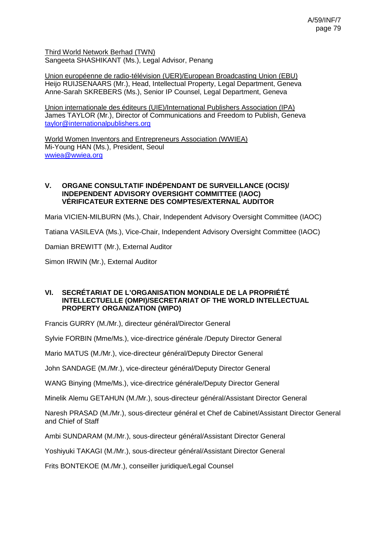Third World Network Berhad (TWN) Sangeeta SHASHIKANT (Ms.), Legal Advisor, Penang

Union européenne de radio-télévision (UER)/European Broadcasting Union (EBU) Heijo RUIJSENAARS (Mr.), Head, Intellectual Property, Legal Department, Geneva Anne-Sarah SKREBERS (Ms.), Senior IP Counsel, Legal Department, Geneva

Union internationale des éditeurs (UIE)/International Publishers Association (IPA) James TAYLOR (Mr.), Director of Communications and Freedom to Publish, Geneva [taylor@internationalpublishers.org](mailto:taylor@internationalpublishers.org)

World Women Inventors and Entrepreneurs Association (WWIEA) Mi-Young HAN (Ms.), President, Seoul [wwiea@wwiea.org](mailto:wwiea@wwiea.org)

### **V. ORGANE CONSULTATIF INDÉPENDANT DE SURVEILLANCE (OCIS)/ INDEPENDENT ADVISORY OVERSIGHT COMMITTEE (IAOC) VÉRIFICATEUR EXTERNE DES COMPTES/EXTERNAL AUDITOR**

Maria VICIEN-MILBURN (Ms.), Chair, Independent Advisory Oversight Committee (IAOC)

Tatiana VASILEVA (Ms.), Vice-Chair, Independent Advisory Oversight Committee (IAOC)

Damian BREWITT (Mr.), External Auditor

Simon IRWIN (Mr.), External Auditor

### **VI. SECRÉTARIAT DE L'ORGANISATION MONDIALE DE LA PROPRIÉTÉ INTELLECTUELLE (OMPI)/SECRETARIAT OF THE WORLD INTELLECTUAL PROPERTY ORGANIZATION (WIPO)**

Francis GURRY (M./Mr.), directeur général/Director General

Sylvie FORBIN (Mme/Ms.), vice-directrice générale /Deputy Director General

Mario MATUS (M./Mr.), vice-directeur général/Deputy Director General

John SANDAGE (M./Mr.), vice-directeur général/Deputy Director General

WANG Binying (Mme/Ms.), vice-directrice générale/Deputy Director General

Minelik Alemu GETAHUN (M./Mr.), sous-directeur général/Assistant Director General

Naresh PRASAD (M./Mr.), sous-directeur général et Chef de Cabinet/Assistant Director General and Chief of Staff

Ambi SUNDARAM (M./Mr.), sous-directeur général/Assistant Director General

Yoshiyuki TAKAGI (M./Mr.), sous-directeur général/Assistant Director General

Frits BONTEKOE (M./Mr.), conseiller juridique/Legal Counsel